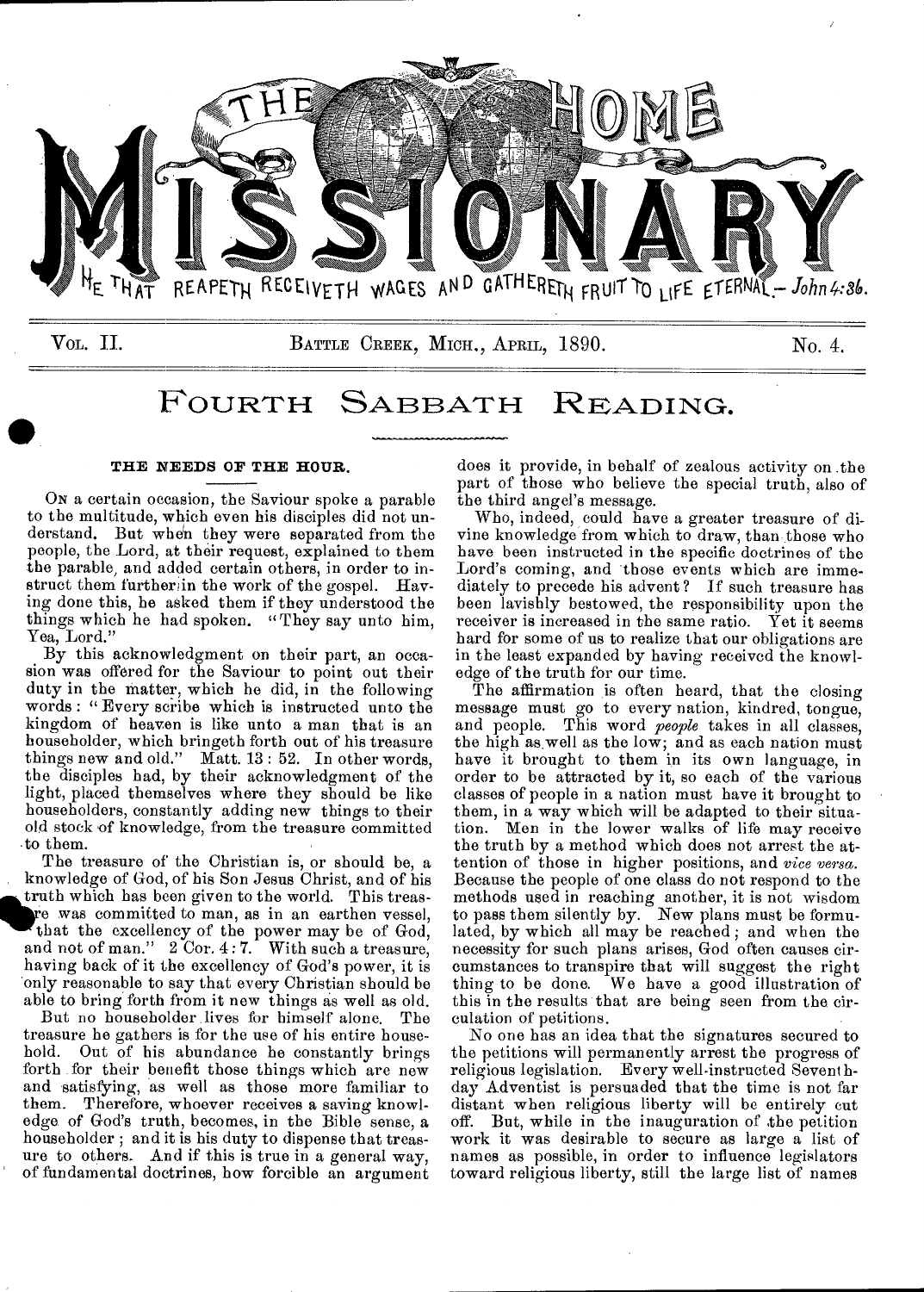

### FOURTH SABBATH READING.

#### **THE NEEDS OF THE HOUR.**

ON a certain occasion, the Saviour spoke a parable to the multitude, which even his disciples did not understand. But when they were separated from the people, the Lord, at their request, explained to them the parable, and added certain others, in order to instruct them further in the work of the gospel. Having done this, he asked them if they understood the things which he had spoken. "They say unto him, Yea, Lord."

By this acknowledgment on their part, an occasion was offered for the Saviour to point out their duty in the matter, which he did, in the following words : " Every scribe which is instructed unto the kingdom of heaven is like unto a man that is an householder, which bringeth forth out of his treasure things new and old." Matt. 13: 52. In other words, the disciples had, by their acknowledgment of the light, placed themselves where they should be like householders, constantly adding new things to their old stock of knowledge, from the treasure committed ,to them.

The treasure of the Christian is, or should be, a knowledge of God, of his Son Jesus Christ, and of his **i** truth which has been given to the world. This treas-<br>re was committed to man, as in an earthen vessel, that the excellency of the power may be of God, e was committed to man, as in an earthen vessel, that the excellency of the power may be of God, and not of man." 2 Cor. 4: 7. With such a treasure, having back of it the excellency of God's power, it is only reasonable to say that every Christian should be able to bring forth from it new things as well as old.

But no householder lives for himself alone. The treasure he gathers is for the use of his entire house-<br>hold. Out of his abundance he constantly brings Out of his abundance he constantly brings forth for their benefit those things which are new and satisfying, as well as those more familiar to them. Therefore, whoever receives a saving knowledge. of God's truth, becomes, in the Bible sense, a householder ; and it is his duty to dispense that treasure to others. And if this is true in a general way, of fundamental doctrines, how forcible an argument does it provide, in behalf of zealous activity on the part of those who believe the special truth, also of the third angel's message.

Who, indeed, could have a greater treasure of divine knowledge from which to draw, than those who have been instructed in the specific doctrines of the Lord's coming, and those events which are immediately to precede his advent? If such treasure has been lavishly bestowed, the responsibility upon the receiver is increased in the same ratio. Yet it seems hard for some of us to realize that our obligations are in the least expanded by having received the knowledge of the truth for our time.

The affirmation is often heard, that the closing message must go to every nation, kindred, tongue, and people. This word *people* takes in all classes, the high as well as the low; and as each nation must have it brought to them in its own language, in order to be attracted by it, so each of the various classes of people in a nation must have it brought to them, in a way which will be adapted to their situation. Men in the lower walks of life may receive the truth by a method which does not arrest the attention of those in higher positions, and *vice versa.*  Because the people of one class do not respond to the methods used in reaching another, it is not wisdom to pass them silently by. New plans must be formulated, by which all may be reached ; and when the necessity for such plans arises, God often causes circumstances to transpire that will suggest the right thing to be done. We have a good illustration of this in the results that are being seen from the circulation of petitions.

No one has an idea that the signatures secured to the petitions will permanently arrest the progress of religious legislation. Every well-instructed Sevent hday Adventist is persuaded that the time is not far distant when religious liberty will be entirely cut off. But, while in the inauguration of the petition work it was desirable to secure as large a list of names as possible, in order to influence legislators toward religious liberty, still the large list of names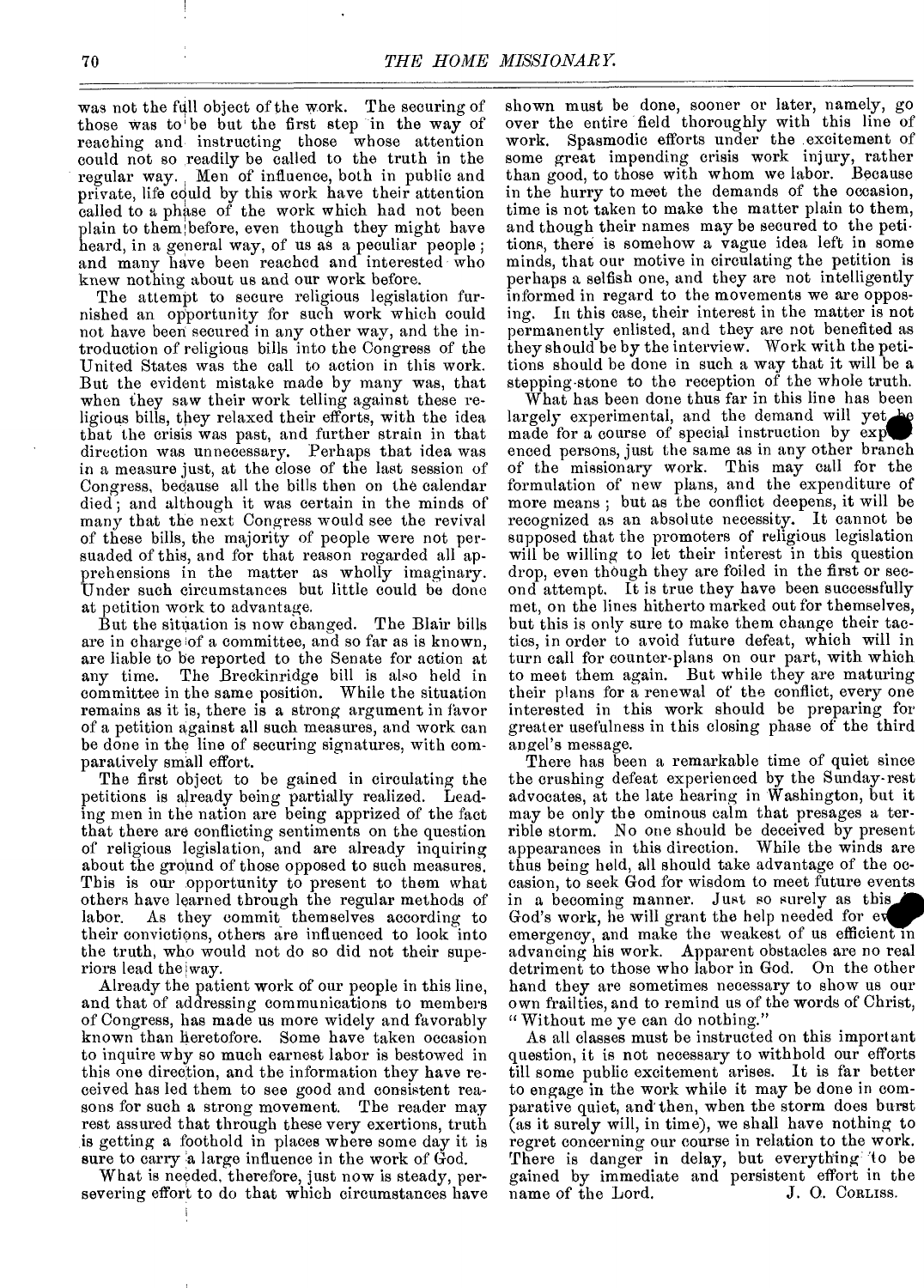was not the full object of the work. The securing of those was to' be but the first step in the way of reaching and instructing those whose attention could not so readily be called to the truth in the regular way. Men of influence, both in public and private, life could by this work have their attention called to a phase of the work which had not been plain to them; before, even though they might have heard, in a general way, of us as a peculiar people ; and many have been reached and interested who knew nothing about us and our work before.

The attempt to secure religious legislation furnished an opportunity for such work which could not have been secured in any other way, and the introduction of religious bills into the Congress of the United States was the call to action in this work. But the evident mistake made by many was, that when they saw their work telling against these religious bills, they relaxed their efforts, with the idea that the crisis was past, and further strain in that direction was unnecessary. Perhaps that idea was in a measure just, at the close of the last session of Congress, bedause all the bills then on the calendar died; and although it was certain in the minds of many that the next Congress would see the revival of these bills, the majority of people were not persuaded of this, and for that reason regarded all apprehensions in the matter as wholly imaginary. Under such circumstances but little could be done at petition work to advantage.

But the situation is now changed. The Blair bills are in charge of a committee, and so far as is known, are liable to be reported to the Senate for action at any time. The Breckinridge bill is also held in committee in the same position. While the situation remains as it is, there is a strong argument in favor of a petition against all such measures, and work can be done in the line of securing signatures, with comparatively small effort.

The first object to be gained in circulating the petitions is already being partially realized. Leading men in the nation are being apprized of the fact that there are conflicting sentiments on the question of religious legislation, and are already inquiring about the ground of those opposed to such measures. This is our opportunity to present to them what others have learned through the regular methods of labor. As they commit themselves according to their convictions, others are influenced to look into the truth, who would not do so did not their superiors lead the way.

Already the patient work of our people in this line, and that of addressing communications to members of Congress, has made us more widely and favorably known than heretofore. Some have taken occasion to inquire why so much earnest labor is bestowed in this one direction, and the information they have received has led them to see good and consistent reasons for such a strong movement. The reader may rest assured that through these very exertions, truth is getting a foothold in places where some day it is sure to carry a large influence in the work of God.

What is needed, therefore, just now is steady, persevering effort to do that which circumstances have shown must be done, sooner or later, namely, go over the entire field thoroughly with this line of work. Spasmodic efforts under the excitement of some great impending crisis work injury, rather than good, to those with whom we labor. Because in the hurry to meet the demands of the occasion, time is not taken to make the matter plain to them, and though their names may be secured to the petitions, there is somehow a vague idea left in some minds, that our motive in circulating the petition is perhaps a selfish one, and they are not intelligently informed in regard to the movements we are opposing. In this case, their interest in the matter is not permanently enlisted, and they are not benefited as they should be by the interview. Work with the petitions should be done in such a way that it will be a stepping stone to the reception of the whole truth.

What has been done thus far in this line has been largely experimental, and the demand will yet made for a course of special instruction by exp enced persons, just the same as in any other branch of the missionary work. This may call for the formulation of new plans, and the expenditure of more means ; but as the conflict deepens, it will be recognized as an absolute necessity. It cannot be supposed that the promoters of religious legislation will be willing to let their interest in this question drop, even though they are foiled in the first or second attempt. It is true they have been successfully met, on the lines hitherto marked out for themselves, but this is only sure to make them change their tactics, in order to avoid future defeat, which will in turn call for counter-plans on our part, with which to meet them again. But while they are maturing their plans for a renewal of the conflict, every one interested in this work should be preparing for greater usefulness in this closing phase of the third angel's message.

There has been a remarkable time of quiet since the crushing defeat experienced by the Sunday-rest advocates, at the late hearing in Washington, but it may be only the ominous calm that presages a terrible storm. No one should be deceived by present appearances in this direction. While the winds are thus being held, all should take advantage of the occasion, to seek God for wisdom to meet future events in a becoming manner. Just so surely as this God's work, he will grant the help needed for e emergency, and make the weakest of us efficient in advancing his work. Apparent obstacles are no real detriment to those who labor in God. On the other hand they are sometimes necessary to show us our own frailties, and to remind us of the words of Christ, " Without me ye can do nothing."

As all classes must be instructed on this important question, it is not necessary to withhold our efforts till some public excitement arises. It is far better to engage in the work while it may be done in comparative quiet, and then, when the storm does burst (as it surely will, in time), we shall have nothing to regret concerning our course in relation to the work. There is danger in delay, but everything to be gained by immediate and persistent effort in the name of the Lord. J. O. ConLiss. name of the Lord.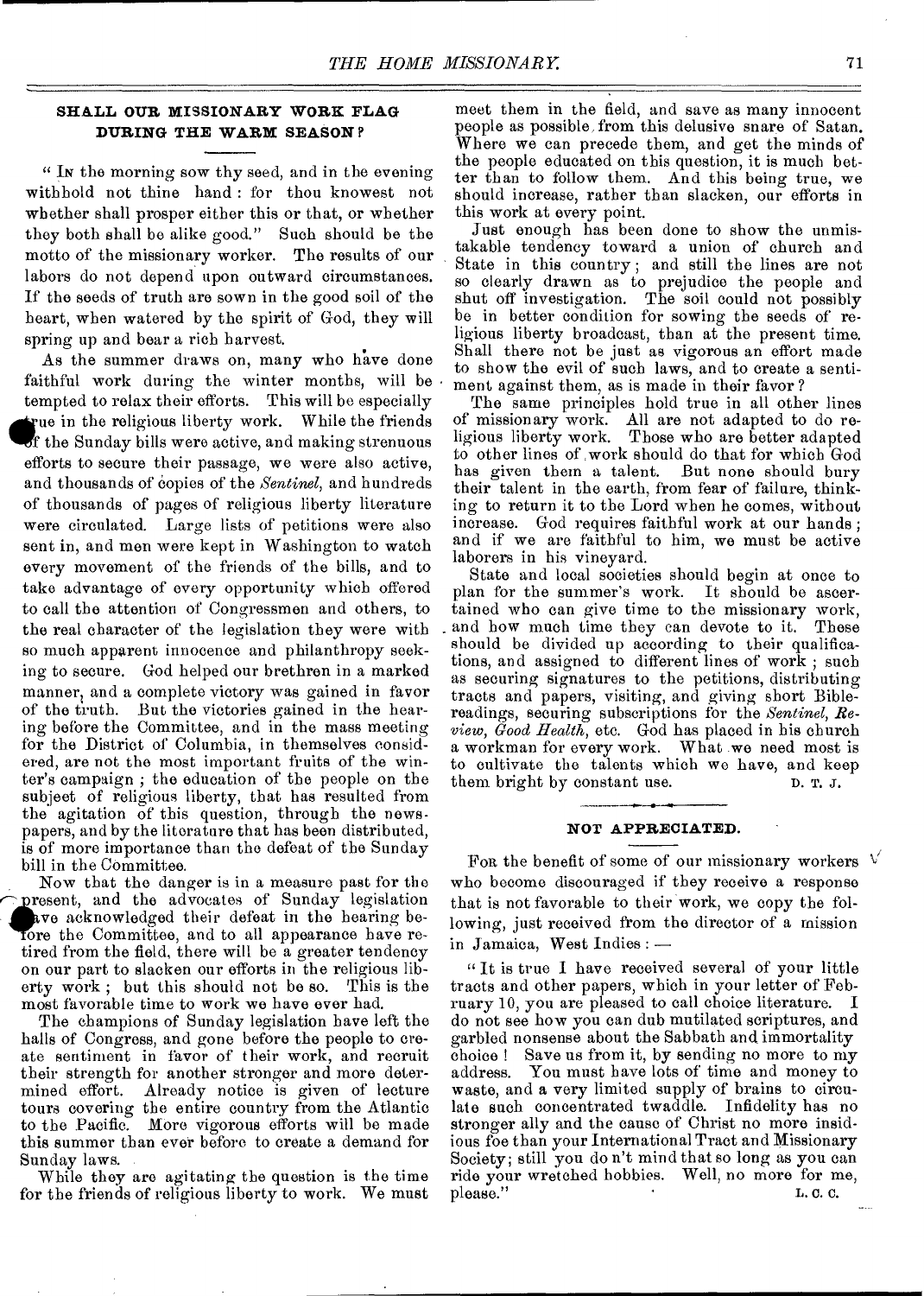#### **SHALL OUR MISSIONARY WORK FLAG DURING THE WARM SEASON** <sup>P</sup>

" IN the morning sow thy seed, and in the evening withhold not thine hand : for thou knowest not whether shall prosper either this or that, or whether they both shall be alike good." Such should be the motto of the missionary worker. The results of our labors do not depend upon outward circumstances. If the seeds of truth are sown in the good soil of the heart, when watered by the spirit of God, they will spring up and bear a rich harvest.

As the summer draws on, many who have done faithful work during the winter months, will be tempted to relax their efforts. This will be especially The in the religious liberty work. While the friends of the Sunday bills were active, and making strenuous efforts to secure their passage, we were also active, and thousands of copies of the *Sentinel*, and hundreds of thousands of pages of religious liberty literature were circulated. Large lists of petitions were also sent in, and men were kept in Washington to watch every movement of the friends of the bills, and to take advantage of every opportunity which offered to call the attention of Congressmen and others, to the real character of the legislation they were with so much apparent innocence and philanthropy seeking to secure. God helped our brethren in a marked manner, and a complete victory was gained in favor of the truth. But the victories gained in the hearing before the Committee, and in the mass meeting for the District of Columbia, in themselves considered, are not the most important fruits of the winter's campaign ; the education of the people on the subject of religious liberty, that has resulted from the agitation of this question, through the newspapers, and by the literature that has been distributed, is of more importance than the defeat of the Sunday bill in the Committee.

Now that the danger is in a measure past for the present, and the advocates of Sunday legislation ave acknowledged their defeat in the hearing beore the Committee, and to all appearance have retired from the field, there will be a greater tendency on our part to slacken our efforts in the religious liberty work ; but this should not be so. This is the most favorable time to work we have ever had.

The champions of Sunday legislation have left the halls of Congress, and gone before the people to create sentiment in favor of their work, and recruit their strength for another stronger and more determined effort. Already notice is given of lecture tours covering the entire country from the Atlantic to the Pacific. More vigorous efforts will be made this summer than ever before to create a demand for Sunday laws.

While they are agitating the question is the time for the friends of religious liberty to work. We must

meet them in the field, and save as many innocent people as possible, from this delusive snare of Satan. Where we can precede them, and get the minds of the people educated on this question, it is much better than to follow them. And this being true, we should increase, rather than slacken, our efforts in this work at every point.

Just enough has been done to show the unmistakable tendency toward a union of church and State in this country ; and still the lines are not so clearly drawn as to prejudice the people and shut off investigation. The soil could not possibly be in better condition for sowing the seeds of religious liberty broadcast, than at the present time. Shall there not be just as vigorous an effort made to show the evil of such laws, and to create a sentiment against them, as is made in their favor ?

The same principles hold true in all other lines of missionary work. All are not adapted to do religious liberty work. Those who are better adapted to other lines of work should do that for which God has given them a talent. But none should bury their talent in the earth, from fear of failure, thinking to return it to the Lord when he comes, without increase. God requires faithful work at our hands ; and if we are faithful to him, we must be active laborers in his vineyard.

State and local societies should begin at once to plan for the summer's work. It should be ascertained who can give time to the missionary work, and how much time they can devote to it. These should be divided up according to their qualifications, and assigned to different lines of work ; such as securing signatures to the petitions, distributing tracts and papers, visiting, and giving short Biblereadings, securing subscriptions for the *Sentinel, Review, Good Health,* etc. God has placed in his church a workman for every work. What we need most is to cultivate the talents which we have, and keep<br>them bright by constant use.  $\Box$   $\Box$   $\Box$   $\Box$   $\Box$ them bright by constant use.

#### **NOT APPRECIATED.**

For the benefit of some of our missionary workers  $V$ who become discouraged if they receive a response that is not favorable to their work, we copy the following, just received from the director of a mission in Jamaica, West Indies : —

" It is true I have received several of your little tracts and other papers, which in your letter of February 10, you are pleased to call choice literature. I do not see how you can dub mutilated scriptures, and garbled nonsense about the Sabbath and immortality choice ! Save us from it, by sending no more to my address. You must have lots of time and money to waste, and a very limited supply of brains to circulate such concentrated twaddle. Infidelity has no stronger ally and the cause of Christ no more insidious foe than your International Tract and Missionary Society; still you do n't mind that so long as you can ride your wretched hobbies. Well, no more for me, please." L. C. C.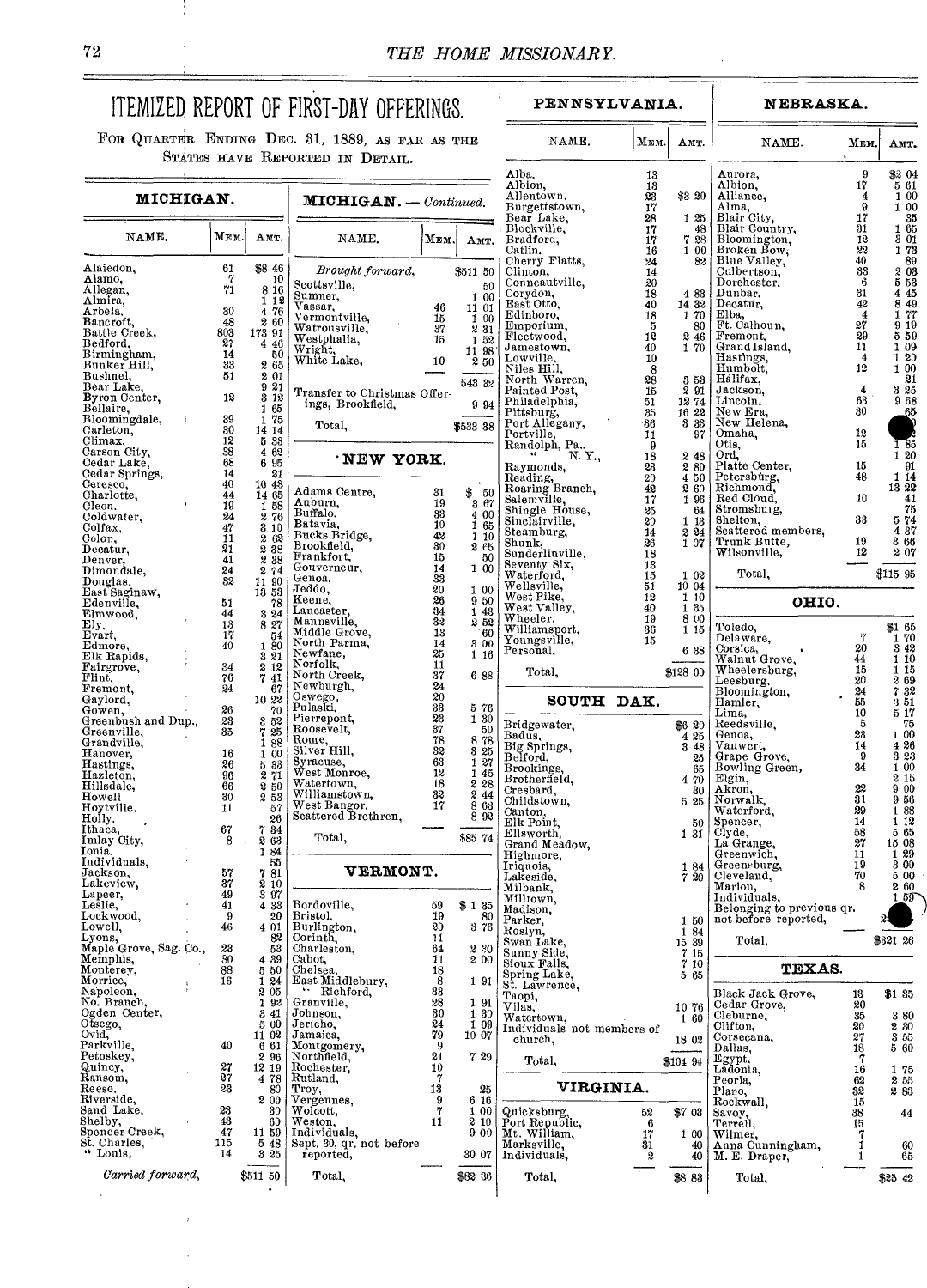ī

### ITEMIZED REPORT OF FIRST-DAY OFFERINGS. FOR QUARTER ENDING DEC. 31, 1889, AS FAR AS THE

STATES HAVE REPORTED IN DETAIL.

## **PENNSYLVANIA.**

|                                    |  |                 |                                                                |                                                   |                       |               | Alba,                                  | 13             |                                                                   | Aι                            |
|------------------------------------|--|-----------------|----------------------------------------------------------------|---------------------------------------------------|-----------------------|---------------|----------------------------------------|----------------|-------------------------------------------------------------------|-------------------------------|
| MICHIGAN.                          |  |                 |                                                                | $MICHIGAN. - Continued.$                          |                       |               | Albion,<br>Allentown,<br>Burgettstown, | 13<br>23<br>17 | \$3 20                                                            | Al<br>AI<br>Al                |
|                                    |  |                 |                                                                |                                                   |                       |               | Bear Lake,                             | 28             | 1 25                                                              | Bl.                           |
| NAME.                              |  | Мем.            | Амт.                                                           | NAME.                                             | МЕМ.                  | Амт.          | Blockville,<br>Bradford,               | 17<br>17       | 48<br>7 28                                                        | B <sub>l</sub><br>Bl.         |
| $\sim$                             |  |                 |                                                                |                                                   |                       |               | Catlin.<br>Cherry Flatts,              | 16<br>24       | 100<br>82                                                         | Br<br>Bŀ                      |
| Alaiedon,<br>Alamo,                |  | 61<br>7         | \$8 46<br>10                                                   | Brought forward,                                  |                       | \$511 50      | Clinton,<br>Conneautville,             | 14             |                                                                   | Cu<br>Do                      |
| Allegan,                           |  | 71              | 8 16                                                           | Scottsville,<br>Sumner,                           |                       | 50<br>1 00    | Corydon,                               | 20<br>18       | 4 8 3                                                             | Du                            |
| Almira,<br>Arbela.                 |  | 30 <sup>°</sup> | 1 1 2<br>4 76                                                  | Vassar,                                           | 46                    | 11 01         | East Otto,                             | 40             | 14 32                                                             | $\mathbf{p_{e}}$              |
| Bancroft,                          |  | 48              | 260                                                            | Vermontville,<br>Watrousville,                    | 15<br>37              | 1 00<br>2 3 1 | Edinboro,<br>Emporium,                 | 18<br>5        | 170<br>80                                                         | Ell<br>Ft.                    |
| Battle Creek,<br>Bedford,          |  | 803<br>27       | 173 91<br>4 46                                                 | Westphalia.                                       | 15                    | 152           | Fleetwood,                             | 12             | 2 4 6                                                             | Fr                            |
| Birmingham,                        |  | 14              | 50                                                             | Wright,<br>White Lake,                            |                       | 11 98         | Jamestown,<br>Lowville.                | 40<br>10       | 170                                                               | $_{\rm Gr}$<br>Ha             |
| Bunker Hill,                       |  | 33<br>51        | 2 65                                                           |                                                   | 10                    | 2 50          | Niles Hill,                            | -8             |                                                                   | $_{\rm Hu}$                   |
| Bushnel,<br>Bear Lake.             |  |                 | 2 01<br>921                                                    |                                                   |                       | 543 32        | North Warren,<br>Painted Post,         | 28<br>15       | 358<br>291                                                        | Há<br>Ja                      |
| Byron Center,                      |  | 12              | 3 12                                                           | Transfer to Christmas Offer-<br>ings, Brookfield, |                       | 994           | Philadelphia,                          | 51             | 1274                                                              | Liı                           |
| Bellaire,<br>Bloomingdale,         |  | 39              | 1 65<br>1 75                                                   |                                                   |                       |               | Pittsburg,                             | 35             | 16 22<br>3 33                                                     | Ne<br>Ne                      |
| Carleton,                          |  | 30              | 14 14                                                          | Total,                                            |                       | \$533 38      | Port Allegany,                         | -36<br>11      | 97                                                                | On                            |
| Climax.<br>Carson City,            |  | 12<br>38        | 5 3 3<br>4 62                                                  |                                                   |                       |               | Portville, Randolph, Pa., Y.,          | - 9            |                                                                   | Oti                           |
| Cedar Lake,                        |  | 68              | 6 95                                                           | NEW YORK.                                         |                       |               | Raymonds,                              | 18<br>23       | 248<br>2 80                                                       | Or<br>$_{\rm{P1g}}$           |
| Cedar Springs,<br>Ceresco,         |  | 14<br>40        | 21<br>10 43                                                    |                                                   |                       |               | Reading,<br>Roaring Branch,            | 20             | 4 50                                                              | Pe                            |
| Charlotte,                         |  | 44              | 14 65                                                          | Adams Centre,                                     | 31                    | \$<br>50      | Salemville,                            | 42<br>17       | 260<br>1 96                                                       | Rh<br>Re                      |
| Cleon,<br>Coldwater,               |  | 19<br>24        | 1 58<br>276                                                    | Auburn,<br>Buffalo,                               | 19<br>33              | 867<br>4 00   | Shingle House,                         | 25             | 64                                                                | Str                           |
| Colfax.                            |  | 47              | 3 10                                                           | Batavia,                                          | 10                    | 165           | Sinclairville,<br>Steamburg,           | 20<br>14       | 1 13                                                              | Sh<br>$\mathop{\mathrm{Scs}}$ |
| Colon.                             |  | 11              | $\frac{2}{2}$ $\frac{62}{38}$<br>$\frac{83}{2}$ $\frac{83}{8}$ | Bucks Bridge.<br>Brookfield,                      | 42<br>30 <sup>°</sup> | 1 10<br>265   | Shunk,                                 | 26             | $\begin{array}{c} 2\!\! & \!\! 24 \\ 1\!\! & \!\! 07 \end{array}$ | Тr                            |
| Decatur,<br>Denver,                |  | 21<br>41        |                                                                | Frankfort.                                        | 15                    | 50            | Sunderlinville,                        | 18             |                                                                   | Wi                            |
| Dimondale,                         |  | 24              | 274                                                            | Gouverneur,<br>Genoa,                             | 14<br>33              | 100           | Seventy Six,<br>Waterford,             | 13<br>15       | 1 02                                                              |                               |
| Douglas,<br>East Saginaw,          |  | 32              | 11 90<br>13 53                                                 | Jeddo,                                            | 20                    | 100           | Wellsville,                            | 51             | 10 04                                                             |                               |
| Edenville.                         |  | 51              | 78                                                             | Keene,                                            | 26                    | 9 50          | West Pike,<br>West Valley,             | 12<br>40       | 110<br>1 35                                                       |                               |
| Elmwood,<br>Ely.                   |  | 44<br>13        | $3\,24$<br>827                                                 | Lancaster,<br>Mannsville,                         | 34<br>32              | 1 43<br>252   | Wheeler,                               | 19             | 8 00                                                              |                               |
| Evart,                             |  | 17              | 54                                                             | Middle Grove,                                     | 13                    | 60            | Williamsport,<br>Youngsville,          | 36<br>15       | 1 15                                                              | To<br>De                      |
| Edmore,<br>Elk Rapids,             |  | 40              | 180<br>$3\,21$                                                 | North Parma,<br>Newfane,                          | 14<br>25              | 3 0 0<br>1 16 | Personal,                              |                | 6 38                                                              | Co                            |
| Fairgrove,                         |  | 34              | 2 12                                                           | Norfolk,                                          | 11                    |               | Total,                                 |                | \$128 00                                                          | Wε<br>Wi                      |
| Flint,                             |  | 76<br>24        | 741                                                            | North Creek,<br>Newburgh,                         | 37<br>24              | 6 88          |                                        |                |                                                                   | Le                            |
| Fremont,<br>Gaylord,               |  |                 | 67<br>10 22                                                    | Oswego.                                           | 20                    |               | SOUTH DAK.                             |                |                                                                   | Bk<br>Ha                      |
| Gowen,                             |  | 26              | 70                                                             | Pulaski,<br>Pierrepont,                           | 33<br>23              | 576<br>1 30   |                                        |                |                                                                   | Lir                           |
| Greenbush and Dup.,<br>Greenville, |  | 23<br>35        | 3 52                                                           | Roosevelt,                                        | 37                    | 50            | Bridgewater,<br>Badus,                 |                | \$6 20<br>4 25                                                    | Re<br>Ge                      |
| Grandville,                        |  |                 | $\begin{array}{c} 7\,25 \\ 1\,88 \end{array}$                  | Rome,<br>Silver Hill,                             | 78<br>32              | 878<br>3 25   |                                        |                | 3 4 8                                                             | Va                            |
| Hanover,<br>Hastings,              |  | 16<br>26        | 100                                                            | Syracuse,                                         | 63                    | 1 27          | Big Springs,<br>Belford,               |                | 25                                                                | Gr<br>Bo                      |
| Hazleton,                          |  | 96              | $\begin{smallmatrix} 5 & 33 \\ 2 & 71 \end{smallmatrix}$       | West Monroe,<br>Watertown,                        | 12<br>18              | 1 45<br>228   | Brookings.<br>Brotherfield,            |                | 65<br>4 70                                                        | ${\rm E}\mathbf{k}$           |
| Hillsdale,<br>Howell               |  | 66<br>30        | 2 50<br>253                                                    | Williamstown,                                     | 32                    | 2 44          | Cresbard,                              |                | 80                                                                | Ak<br>No                      |
| Hoytville,                         |  | 11              | 57                                                             | West Bangor,                                      | 17                    | 8 63          | Childstown,<br>Canton,                 |                | 5 25                                                              | Wa                            |
| Holly.<br>Ithaca,                  |  | 67              | 26<br>734                                                      | Scattered Brethren.                               |                       | 8 9 2         | Elk Point,                             |                | 50                                                                | $_{\rm Spe}$                  |
| Imlay City,                        |  | 8               | 2 63                                                           | Total,                                            |                       | \$85 74       | Ellsworth,<br>Grand Meadow,            |                | 1 31                                                              | Cly<br>La                     |
| Ionia.<br>Individuals,             |  |                 | 1<br>84<br>55                                                  |                                                   |                       |               | Highmore.                              |                |                                                                   | Gr                            |
| Jackson,                           |  | 57              | 781                                                            | VERMONT.                                          |                       |               | Iriquois,<br>Lakeside.                 |                | 184<br>720                                                        | $G$ re<br>Cle                 |
| Lakeview.<br>Lapeer,               |  | 37<br>49        | 210<br>3 97                                                    |                                                   |                       |               | Milbank,                               |                |                                                                   | Мa                            |
| Leslie,                            |  | 41              | 4 33                                                           | Bordoville,                                       | 59                    | \$135         | Milltown,<br>Madison,                  |                |                                                                   | Ind<br>Be.                    |
| Lockwood,<br>Lowell,               |  | 9<br>46         | 20<br>4 01                                                     | Bristol.<br>Burlington,                           | 19<br>20              | 80<br>376     | Parker,                                |                | 150                                                               | not                           |
| Lyons,                             |  |                 | 82                                                             | Corinth.                                          | 11                    |               | Roslyn,<br>Swan Lake,                  |                | 184<br>15 39                                                      |                               |
| Maple Grove, Sag. Co.,             |  | 28<br>30        | 53                                                             | Charleston,                                       | 64                    | 2 30          | Sunny Side,                            |                | 7<br>15                                                           |                               |
| Memphis,<br>Monterey,              |  | 88              | 4 3 9<br>550                                                   | Cabot,<br>Chelsea,                                | 11<br>18              | $2\;\,00$     | Sioux Falls.<br>Spring Lake,           |                | 7<br>10                                                           |                               |
| Morrice,                           |  | 16              | 124                                                            | East Middlebury,                                  | 8                     | 191           | St. Lawrence,                          |                | 565                                                               |                               |
| Napoleon,<br>No. Branch,           |  |                 | 2 05<br>192                                                    | " Richford,<br>Granville.                         | 33<br>28              | 1 91          | Taopi,                                 |                |                                                                   | Bla<br>$_{\rm Ce}$            |
| Ogden Center,                      |  |                 | 341                                                            | Johnson,                                          | 30                    | 1 30          | Vilas,<br>Watertown,                   |                | 10 76<br>1 60                                                     | Cle                           |
| Otsego,<br>Ovid,                   |  |                 | 5 00<br>11 02                                                  | Jericho.<br>Jamaica,                              | 24<br>79              | 1 09<br>10 07 | Individuals not members of             |                |                                                                   | CH.<br>Cor                    |
| Parkville,                         |  | 40              | 6 61                                                           | Montgomery,                                       | 9                     |               | church.                                |                | 18 02                                                             | Dal                           |
| Petoskey.                          |  | 27              | 2 96<br>12 19                                                  | Northfield,<br>Rochester,                         | 21<br>10              | 729           | Total,                                 |                | \$104 94                                                          | Eg<br>Lac                     |
| Quincy,<br>Ransom,                 |  | 27              | 478                                                            | Rutland,                                          | 7                     |               |                                        |                |                                                                   | Pec                           |
| Reese,<br>Riverside.               |  | 23              | 80<br>200                                                      | Troy,<br>Vergennes,                               | 13<br>9               | 25<br>6 16    | <b>VIRGINIA.</b>                       |                |                                                                   | Pla                           |
| Sand Lake,                         |  | 23              | 30                                                             | Wolcott,                                          | 7                     | 1 00          | Quicksburg,                            | 52             | \$703                                                             | Ro<br>Sav                     |
| Shelby,<br>Spencer Creek.          |  | 43<br>47        | 60<br>11 59                                                    | Weston,<br>Individuals,                           | 11                    | 2 10<br>9 0 0 | Port Republic,                         | 6              |                                                                   | Ter                           |
| St. Charles,                       |  | 115             | 5 48                                                           | Sept. 30, qr. not before                          |                       |               | Mt. William,<br>Marksville,            | 17<br>31       | 1 00<br>40                                                        | Wil<br>An:                    |
| " Louis,                           |  | 14              | 3 25                                                           | reported,                                         |                       | 30 07         | Individuals,                           | 2              | 40                                                                | М.                            |
| Carried forward,                   |  |                 | \$511 50                                                       | Total.                                            |                       | \$82 36       | Total,                                 |                | \$883                                                             |                               |

| <b>ENNSYLVANIA.</b>              |                 |                                                          | <b>NEBRASKA.</b>                       |          |             |                                                 |  |  |  |  |
|----------------------------------|-----------------|----------------------------------------------------------|----------------------------------------|----------|-------------|-------------------------------------------------|--|--|--|--|
| NAME.                            | Мем.            | Амт.                                                     | NAME.                                  | Мви.     |             | Амт.                                            |  |  |  |  |
|                                  | 13              |                                                          | Aurora,                                | 9        |             | \$2 04                                          |  |  |  |  |
| wn,                              | 13<br>23        | \$3 20                                                   | Albion.<br>Alliance,                   | 17<br>4  |             | 561<br>1 00                                     |  |  |  |  |
| tstown.                          | $\overline{17}$ |                                                          |                                        | 9        |             | 1 00                                            |  |  |  |  |
| ake,                             | 28              | 1 25                                                     | Alma,<br>Blair City,<br>Blair Country, | 17       |             | 35                                              |  |  |  |  |
| ille,                            | 17              | 48                                                       |                                        | 31       |             | $\begin{array}{c} 1 \\ 3 \\ 01 \end{array}$     |  |  |  |  |
| rd,                              | 17              | $\begin{smallmatrix} 7 & 28 \\ 1 & 00 \end{smallmatrix}$ | Bloomington,<br>Broken Bow,            | 12<br>22 |             | 173                                             |  |  |  |  |
| Flatts,                          | 16<br>24        | 82                                                       | Blue Valley,                           | 40       |             | 89                                              |  |  |  |  |
|                                  | 14              |                                                          | Culbertson,                            | 33       |             | 2 03                                            |  |  |  |  |
| utville,                         | $20\,$          |                                                          | Dorchester,                            | -6       |             | 5 53                                            |  |  |  |  |
| n,                               | 18              | 483                                                      | Dunbar,                                | 31       |             | 4 45                                            |  |  |  |  |
| :to,<br>ro,                      | 40<br>18        | 14 32<br>1 70                                            | Decatur,<br>Elba,                      | 42<br>4  | 1           | 849                                             |  |  |  |  |
| ίum,                             | 5               | 80                                                       | Ft. Calhoun,                           | 27       | 9           | $\frac{77}{19}$                                 |  |  |  |  |
| ood,                             | 12              | 2 4 6                                                    | Fremont,                               | 29       |             | 559                                             |  |  |  |  |
| own,                             | 40              | 170                                                      | Grand Island,                          | 11       |             | 1 09                                            |  |  |  |  |
| le.<br>ИII,                      | 10              |                                                          | Hastings,                              | 4<br>12  |             | $\frac{1}{1}$ $\frac{20}{00}$                   |  |  |  |  |
| Warren,                          | -8<br>28        | 358                                                      | Humbolt,<br>Halifax,                   |          |             | 21                                              |  |  |  |  |
| l Post,                          | 15              | 291                                                      | Jackson,                               | 4        |             | 3 25                                            |  |  |  |  |
| lphia,                           | 51              | 1274                                                     | Lincoln,                               | 63       |             | 968                                             |  |  |  |  |
| rg,                              | -35             | 16 22                                                    | New Era,<br>New Helena,                | 30       |             | 65                                              |  |  |  |  |
| legany,                          | -36             | 3 3 3                                                    | Omaha,                                 | 12       |             |                                                 |  |  |  |  |
| le,                              | 11              | 97                                                       | Otis,                                  | 15       |             | $1-85$                                          |  |  |  |  |
| ph, Pa., Y.,                     | -9<br>18        | 248                                                      | Ord,                                   |          |             | 120                                             |  |  |  |  |
| nds,                             | 23              | 280                                                      | Platte Center,                         | 15       |             | 91                                              |  |  |  |  |
|                                  | 20              | 4 50                                                     | Petcrsburg,                            | 48       |             | 1 14                                            |  |  |  |  |
| g,<br>3 Branch,<br>il <u>le,</u> | 42              | 260                                                      | Richmond,                              |          | 1322        |                                                 |  |  |  |  |
|                                  | 17              | 1 96                                                     | Red Cloud,                             | 10       |             | 41                                              |  |  |  |  |
| House,<br>rville,                | 25<br>20        | 64<br>1 13                                               | Stromsburg,<br>Shelton,                | 33       |             | 75<br>574                                       |  |  |  |  |
| urg,                             | 14              | 224                                                      | Scattered members,                     |          |             | 437                                             |  |  |  |  |
|                                  | 26              | 1 07                                                     | Trunk Butte,                           | 19       |             | 366                                             |  |  |  |  |
| linville,                        | 18              |                                                          | Wilsonville,                           | 12       |             | 207                                             |  |  |  |  |
| ' Six,                           | 13              |                                                          |                                        |          |             |                                                 |  |  |  |  |
| ərd.                             | 15              | 1 02<br>10 04                                            | Total,                                 |          | $$115\,95$  |                                                 |  |  |  |  |
| nе,<br>ike.                      | 51<br>12        | 1 10                                                     |                                        |          |             |                                                 |  |  |  |  |
| alley,                           | 40              | 135                                                      | OHIO.                                  |          |             |                                                 |  |  |  |  |
| r,                               | 19              | 800                                                      |                                        |          |             |                                                 |  |  |  |  |
| ısport,                          | 36              | 1 15                                                     | Toledo,                                | 7        | \$165       |                                                 |  |  |  |  |
| ville,                           | 15              |                                                          | Delaware,                              | 20       |             | $\begin{array}{c} 1 \ 70 \\ 3 \ 42 \end{array}$ |  |  |  |  |
| ul,                              |                 | 6 38                                                     | Corsica,<br>Walnut Grove,              | 44       |             | 1 10                                            |  |  |  |  |
| al,                              |                 | \$128 00                                                 | Wheelersburg,                          | 15       |             | 1 15                                            |  |  |  |  |
|                                  |                 |                                                          | Leesburg,                              | 20       |             | 269                                             |  |  |  |  |
| <b>SOUTH</b>                     | DAK.            |                                                          | Bloomington,                           | 24<br>55 |             | 732<br>351                                      |  |  |  |  |
|                                  |                 |                                                          | Hamler,<br>Lima,                       | 10       |             | 517                                             |  |  |  |  |
| vater.                           |                 | \$6 20                                                   | Reedsville,                            | 5        |             | 75                                              |  |  |  |  |
|                                  |                 | 425                                                      | Genoa,                                 | 23       |             | 100                                             |  |  |  |  |
| ings,                            |                 | 3 48                                                     | Vanwert,                               | 14       |             | 426                                             |  |  |  |  |
|                                  |                 | 25                                                       | Grape Grove,<br>Bowling Green,         | -9<br>34 |             | 323<br>1 00                                     |  |  |  |  |
| ıgs.<br>field,                   |                 | 65<br>4 70                                               | Elgin,                                 |          |             | 215                                             |  |  |  |  |
| d,                               |                 | 80                                                       | Akron,                                 | 22       |             | 9 00                                            |  |  |  |  |
| own,                             |                 | 5 25                                                     | Norwalk,                               | 31       |             | 956                                             |  |  |  |  |
|                                  |                 |                                                          | Waterford,                             | 29       |             | 188                                             |  |  |  |  |
| 'nt,                             |                 | 50                                                       | Spencer,                               | 14<br>58 |             | 1 12<br>565                                     |  |  |  |  |
| rth,<br>Meadow,                  |                 | 1 31                                                     | Clyde,<br>La Grange,                   | 27       | 15 08       |                                                 |  |  |  |  |
| ге,                              |                 |                                                          | Greenwich,                             | 11       |             | 129                                             |  |  |  |  |
| ı,                               |                 | 184                                                      | Greensburg,                            | 19       |             | 3 00                                            |  |  |  |  |
| le.                              |                 | 720                                                      | Cleveland,                             | 70       |             | 5 00                                            |  |  |  |  |
| Σ,                               |                 |                                                          | Marion,<br>Individuals                 | 8        | 2           | -60                                             |  |  |  |  |
| n,                               |                 |                                                          | Belonging to previous qr.              |          | 1           | 59                                              |  |  |  |  |
| ı,                               |                 | 150                                                      | not before reported,                   |          |             |                                                 |  |  |  |  |
|                                  |                 | 184                                                      |                                        |          |             |                                                 |  |  |  |  |
| ake,                             |                 | 15 39                                                    | Total,                                 |          | \$321 26    |                                                 |  |  |  |  |
| šide,                            |                 | 715                                                      |                                        |          |             |                                                 |  |  |  |  |
| 'alls,                           |                 | 7<br>10                                                  | <b>TEXAS.</b>                          |          |             |                                                 |  |  |  |  |
| Lake,<br>rence,                  |                 | 5<br>65                                                  |                                        |          |             |                                                 |  |  |  |  |
|                                  |                 |                                                          | Black Jack Grove,                      | 13       | \$135       |                                                 |  |  |  |  |
|                                  |                 | 1076                                                     | Cedar Grove,                           | 20       |             |                                                 |  |  |  |  |
| wn,                              |                 | $1\,60$                                                  | Cleburne,                              | 35       |             | 380                                             |  |  |  |  |
| uals not members of              |                 |                                                          | Clifton,<br>Corsecana,                 | 20<br>27 | 230<br>3 55 |                                                 |  |  |  |  |
| h,                               |                 | 18 02                                                    | Dallas,                                | 18       | 560         |                                                 |  |  |  |  |
| al,                              |                 | \$104 94                                                 | Egypt.                                 | 7        |             |                                                 |  |  |  |  |
|                                  |                 |                                                          | Ladonia,                               | 16       | 1           | 75                                              |  |  |  |  |
| <b>VIRGINIA.</b>                 |                 |                                                          | Peoria,                                | 62       | 255         |                                                 |  |  |  |  |
|                                  |                 |                                                          | Plano,                                 | 32<br>15 | 283         |                                                 |  |  |  |  |
| urg                              | 52              | \$7 03                                                   | Rockwall,<br>Savoy,                    | 38       |             | 44                                              |  |  |  |  |
| public,                          | 6               |                                                          | Terrell.                               | 15       |             |                                                 |  |  |  |  |
| lliam,                           | 17              | 1 00                                                     | Wilmer,                                | 7        |             |                                                 |  |  |  |  |
| ille,                            | 31              | 40                                                       | Anna Cunningham,                       | 1        |             | 60                                              |  |  |  |  |
| ials,                            | 2               | 40                                                       | M. E. Draper,                          | 1        |             | 65                                              |  |  |  |  |
| ۹l,                              |                 | \$883                                                    | Total,                                 |          | \$25 42     |                                                 |  |  |  |  |
|                                  |                 |                                                          |                                        |          |             |                                                 |  |  |  |  |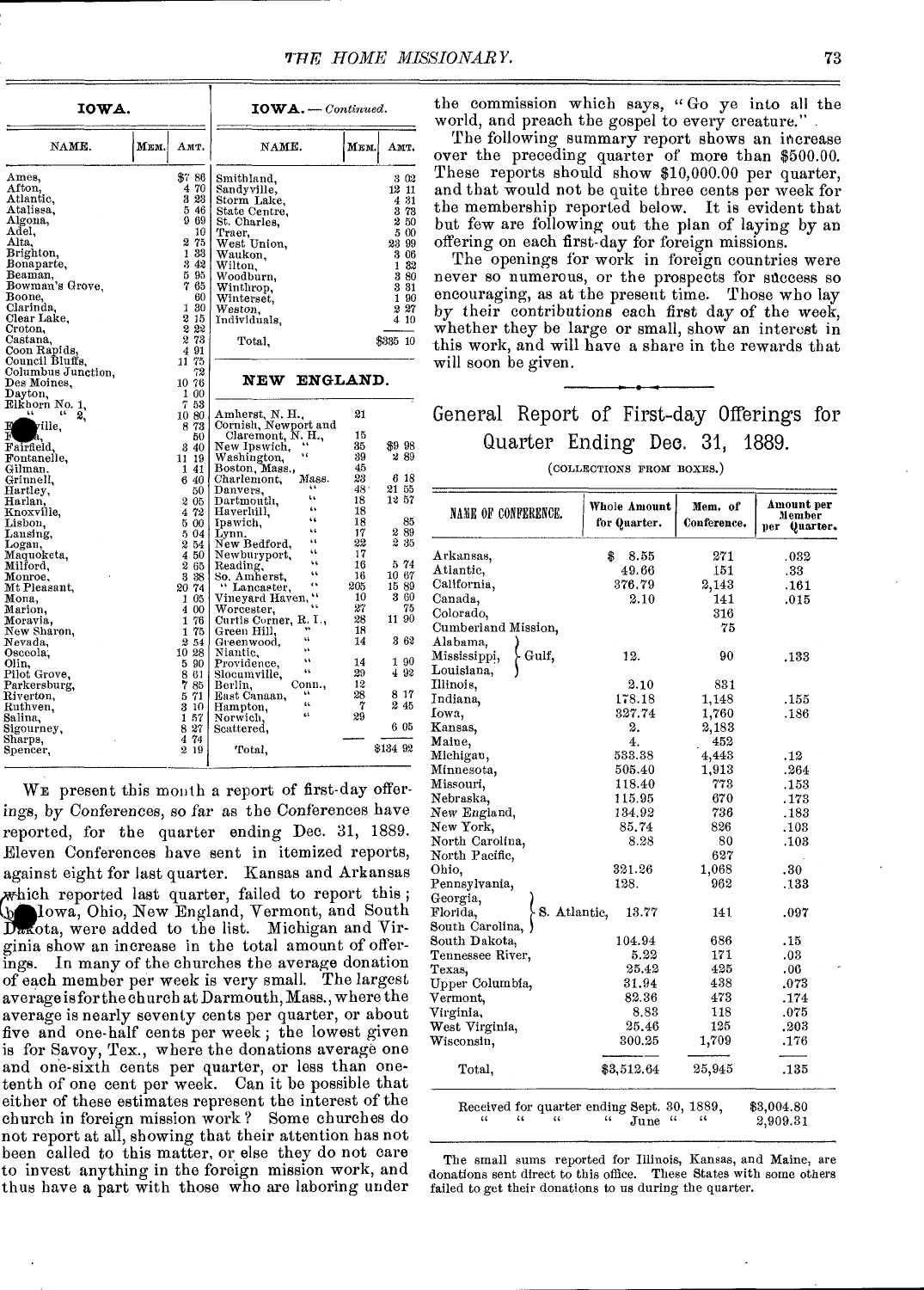| IOWA.                             |      |                        | $IOWA. - Continued.$                  |          |          |  |  |  |
|-----------------------------------|------|------------------------|---------------------------------------|----------|----------|--|--|--|
| NAME.                             | Мем. | Амт.                   | NAME.                                 | Мем.     | Амт.     |  |  |  |
| Ames.                             |      | 37.86                  | Smithland.                            |          | 302      |  |  |  |
| Afton,                            |      | 70<br>4                | Sandyville,                           |          | 12 11    |  |  |  |
| Atlantic,                         |      | 323                    | Storm Lake,                           |          | 431      |  |  |  |
| Atalissa,                         |      | 5<br>46                | State Centre,                         |          | 3 73     |  |  |  |
| Algona,                           |      | 969                    | St. Charles,                          |          | 250      |  |  |  |
| Adel,                             |      | 10                     | Ттаег,                                |          | 5 00     |  |  |  |
| Alta.                             |      | 2<br>75                | West Union,                           |          | 23 99    |  |  |  |
| Brighton,                         |      | 33<br>1                | Waukon,                               |          | 3 06     |  |  |  |
| Bonaparte,                        |      | 342                    | Wilton,                               |          | 182      |  |  |  |
| Beaman,                           |      | 595                    | Woodburn,                             |          | 380      |  |  |  |
| Bowman's Grove.                   |      | 7<br>65                | Winthrop,                             |          | 331      |  |  |  |
| Boone,                            |      | 60                     | Winterset.                            |          | 1 90     |  |  |  |
| Clarinda.                         |      | 30<br>1                | Weston.                               |          | $2\,27$  |  |  |  |
| Clear Lake.                       |      | 2<br>15                | Individuals.                          |          | 410      |  |  |  |
| Croton,                           |      | 222                    |                                       |          |          |  |  |  |
| Castana.                          |      | 2 73                   | Total,                                |          | \$335 10 |  |  |  |
| Coon Rapids.                      |      | 491                    |                                       |          |          |  |  |  |
| Council Bluffs,                   |      | 11 75<br>72            |                                       |          |          |  |  |  |
| Columbus Junction,<br>Des Moines. |      | 10 76                  | ENGLAND.<br>NEW                       |          |          |  |  |  |
| Dayton,                           |      | 1 00                   |                                       |          |          |  |  |  |
| Elkhorn No. 1.                    |      | 7.53                   |                                       |          |          |  |  |  |
| 46.<br>2.                         |      | 10 80                  | Amherst, N. H.,                       | 21       |          |  |  |  |
| ville.                            |      | 873                    | Cornish, Newport and                  |          |          |  |  |  |
| F<br>a.                           |      | 50                     | Claremont, N. H.,                     | 15       |          |  |  |  |
| Fairfield,                        |      | 340                    | New Ipswich,                          | 35       | \$998    |  |  |  |
| Fontanelle,                       |      | 11 19                  | 6,6<br>Washington,                    | 39       | 289      |  |  |  |
| Gilman.                           |      | 141                    | Boston, Mass.,                        | 45       |          |  |  |  |
| Grinnell,                         |      | 6<br>-40               | Mass.<br>Charlemont,                  | 23       | 6 18     |  |  |  |
| Hartley,                          |      | 50                     | Danvers,                              | 48.      | 21 55    |  |  |  |
| Harlan,                           |      | $2\,05$                | k k<br>Dartmouth,<br>$\overline{a}$   | 18       | 1257     |  |  |  |
| Knoxville,                        |      | 72<br>4                | Haverlull,<br>٤ś.                     | 18       |          |  |  |  |
| Lisbon,                           |      | 5 00                   | Ipswich,<br>Ġ.                        | 18       | 85       |  |  |  |
| Lansing,                          |      | 5 04                   | Lynn.<br>t t                          | 17       | 289      |  |  |  |
| Logan,                            |      | 254                    | New Bedford,<br>G E                   | 22       | 2<br>-35 |  |  |  |
| Maquoketa,                        |      | 450                    | Newburyport,<br>Ġ.                    | 17       | 5.74     |  |  |  |
| Milford,                          |      | $\boldsymbol{2}$<br>65 | Reading,<br>66                        | 16<br>16 | 10 67    |  |  |  |
| Monroe,                           |      | 3 3 8                  | So, Amherst,<br>ć١.                   | 205      | 1589     |  |  |  |
| Mt Pleasant,                      |      | 20 74<br>1 05          | " Lancaster,<br>66<br>Vineyard Haven, | 10       | 360      |  |  |  |
| Mona,                             |      | 4<br>00                | Ġ.                                    | 27       | 75       |  |  |  |
| Marion,<br>Moravia,               |      | 76<br>1                | Worcester,<br>Curtis Corner, R. I.,   | 28       | 11 90    |  |  |  |
| New Sharon,                       |      | 1<br>75                | Green Hill.                           | 18       |          |  |  |  |
| Nevada.                           |      | 2<br>54                | щ<br>Greenwood.                       | 14       | 362      |  |  |  |
| Osceola,                          |      | 10 28                  | ٤ś.<br>Niantic.                       |          |          |  |  |  |
| Olin,                             |      | 590                    | 66<br>Providence,                     | 14       | 190      |  |  |  |
| Pilot Grove,                      |      | 8<br>61                | ùК.<br>Slocumville,                   | 29       | 492      |  |  |  |
| Parkersburg,                      |      | 7<br>85                | Berlin.<br>Conn.,                     | 12       |          |  |  |  |
| Riverton,                         |      | 71<br>5                | ţš.<br>East Canaan,                   | 28       | 8 17     |  |  |  |
| Ruthven,                          |      | 3<br>-10               | t t<br>Hampton,                       | 7        | 245      |  |  |  |
| Salina,                           |      | 1 57                   | 44<br>Norwich,                        | 29       |          |  |  |  |
| Sigourney,                        |      | 8<br>27                | Scattered,                            |          | 6 05     |  |  |  |
| Sharps,                           |      | 74<br>4                |                                       |          |          |  |  |  |
| Spencer,                          |      | $2\;19$                | Total,                                |          | \$134 92 |  |  |  |
|                                   |      |                        |                                       |          |          |  |  |  |

WE present this month a report of first-day offerings, by Conferences, so far as the Conferences have reported, for the quarter ending Dec. 31, 1889. Eleven Conferences have sent in itemized reports, against eight for last quarter. Kansas and Arkansas it which reported last quarter, failed to report this; lowa, Ohio, New England, Vermont, and South ota, were added to the list. Michigan and Virginia show an increase in the total amount of offerings. In many of the churches the average donation of each member per week is very small. The largest average is for the church at Darmouth, Mass., where the average is nearly seventy cents per quarter, or about five and one-half cents per week ; the lowest given is for Savoy, Tex., where the donations average one and one-sixth cents per quarter, or less than onetenth of one cent per week. Can it be possible that either of these estimates represent the interest of the church in foreign mission work ? Some churches do not report at all, showing that their attention has not been called to this matter, or else they do not care to invest anything in the foreign mission work, and thus have a part with those who are laboring under

the commission which says, " Go ye into all the world, and preach the gospel to every creature."

The following summary report shows an increase over the preceding quarter of more than \$500.00. These reports should show \$10,000.00 per quarter, and that would not be quite three cents per week for the membership reported below. It is evident that but few are following out the plan of laying by an offering on each first-day for foreign missions.

The openings for work in foreign countries were never so numerous, or the prospects for success so encouraging, as at the present time. Those who lay by their contributions each first day of the week, whether they be large or small, show an interest in this work, and will have a share in the rewards that will soon be given.

### General Report of First-day Offerings for Quarter Ending Dec. 31, 1889.

#### (COLLECTIONS FROM BOXES.)

| <b>NAME OF CONFERENCE.</b>                                                                        | Whole Amount<br>for Quarter.             | Mem. of<br>Conference. | Amount per<br>Member<br>per<br>Quarter. |
|---------------------------------------------------------------------------------------------------|------------------------------------------|------------------------|-----------------------------------------|
| Arkansas,                                                                                         | \$<br>8.55                               | 271                    | .032                                    |
| Atlantic,                                                                                         | 49.66                                    | 151                    | .33                                     |
| California,                                                                                       | 376.79                                   | 2,143                  | .161                                    |
| Canada,                                                                                           | 2.10                                     | 141                    | .015                                    |
| Colorado,                                                                                         |                                          | 316                    |                                         |
| Cumberland Mission,                                                                               |                                          | 75                     |                                         |
| Alabama,                                                                                          |                                          |                        |                                         |
| Gulf.<br>Mississippi,                                                                             | 12.                                      | 90                     | .133                                    |
| Louisiana,                                                                                        |                                          |                        |                                         |
| Illinois,                                                                                         | 2.10                                     | 831                    |                                         |
| Indiana,                                                                                          | 178.18                                   | 1.148                  | .155                                    |
| Iowa,                                                                                             | 327.74                                   | 1,760                  | .186                                    |
| Kansas,                                                                                           | 2.                                       | 2,183                  |                                         |
| Maine,                                                                                            | 4.                                       | 452                    |                                         |
| Michigan,                                                                                         | 533.38                                   | 4,443                  | .12                                     |
| Minnesota.                                                                                        | 505.40                                   | 1,913                  | .264                                    |
| Missouri,                                                                                         | 118.40                                   | 773                    | .153                                    |
| Nebraska,                                                                                         | 115.95                                   | 670                    | .173                                    |
| New England.                                                                                      | 134.92                                   | 736                    | .183                                    |
| New York.                                                                                         | 85.74                                    | 826                    | .103                                    |
| North Carolina,                                                                                   | 8.28                                     | 80                     | .103                                    |
| North Pacific,                                                                                    |                                          | 627                    |                                         |
| Ohio,                                                                                             | 321.26                                   | 1,068                  | .30                                     |
| Pennsylvania,                                                                                     | 128.                                     | 962                    | .133                                    |
| Georgia,                                                                                          |                                          |                        |                                         |
| S. Atlantic,<br>Florida,                                                                          | 13.77                                    | 141                    | .097                                    |
| South Carolina,                                                                                   |                                          |                        |                                         |
| South Dakota,                                                                                     | 104.94                                   | 686                    | .15                                     |
| Tennessee River,                                                                                  | 5.22                                     | 171                    | .03                                     |
| Texas.                                                                                            | 25.42                                    | 425                    | .06                                     |
| Upper Columbia,                                                                                   | 31.94                                    | 438                    | .073                                    |
| Vermont,                                                                                          | 82.36                                    | 473                    | .174                                    |
| Virginia,                                                                                         | 8.83                                     | 118                    | .075                                    |
| West Virginia,                                                                                    | 25.46                                    | 125                    | .203                                    |
| Wisconsin,                                                                                        | 300.25                                   | 1,709                  | .176                                    |
|                                                                                                   |                                          |                        |                                         |
| Total,                                                                                            | \$3,512.64                               | 25,945                 | .135                                    |
| Received for quarter ending Sept. 30, 1889,<br>$\ddot{\phantom{1}}$<br>$\alpha$<br>$\mathfrak{c}$ | $\mathfrak{c}$<br>$\mathfrak{c}$<br>June |                        | \$3,004.80<br>2,909.31                  |

The small sums reported for Illinois, Kansas, and Maine, are donations sent direct to this office. These States with some others failed to get their donations to us during the quarter.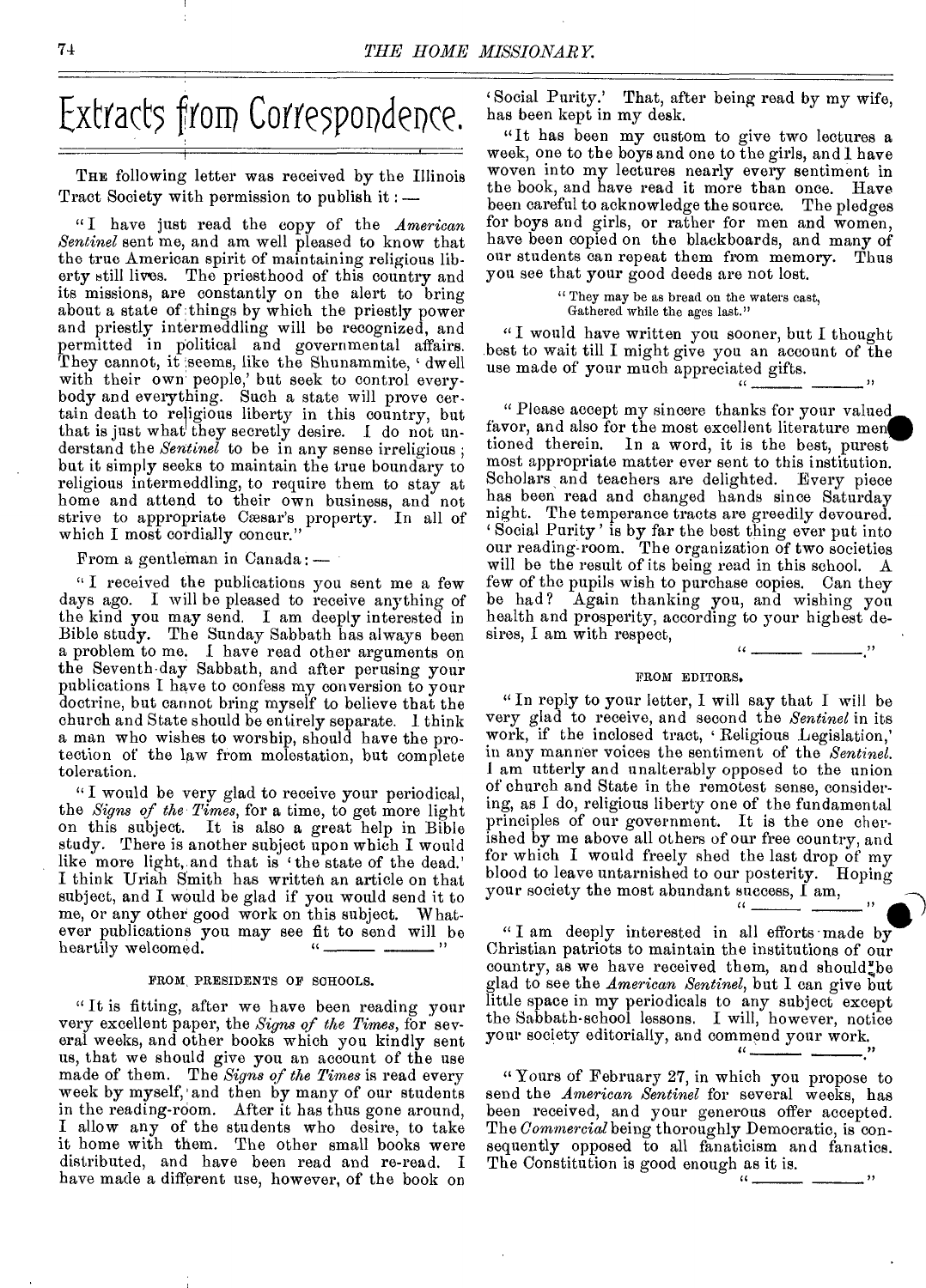# Extracts from Correspondence.

THE following letter was received by the Illinois Tract Society with permission to publish it : —

" I have just read the copy of the *American Sentinel* sent me, and am well pleased to know that the true American spirit of maintaining religious liberty still lives. The priesthood of this country and its missions, are constantly on the alert to bring about a state of things by which the priestly power and priestly intermeddling will be recognized, and permitted in political and governmental affairs. They cannot, it seems, like the Shunammite, 'dwell ' with their own people,' but seek to control everybody and everything. Such a state will prove certain death to religious liberty in this country, but that is just what they secretly desire. I do not understand the *Sentinel* to be in any sense irreligious ; but it simply seeks to maintain the true boundary to religious intermeddling, to require them to stay at home and attend to their own business, and not strive to appropriate Cæsar's property. In all of which I most cordially concur."

From a gentleman in Canada : —

"I received the publications you sent me a few days ago. I will be pleased to receive anything of the kind you may send. I am deeply interested in Bible study. The Sunday Sabbath has always been a problem to me. 1 have read other arguments on the Seventh-day Sabbath, and after perusing your publications I have to confess my conversion to your doctrine, but cannot bring myself to believe that the church and State should be entirely separate. 1 think a man who wishes to worship, should have the protection of the law from molestation, but complete toleration.

" I would be very glad to receive your periodical, the *Signs of the Times,* for a time, to get more light on this subject. It is also a great help in Bible study. There is another subject upon which I would like more light. and that is 'the state of the dead.' I think Uriah Smith has written an article on that subject, and I would be glad if you would send it to me, or any other good work on this subject. Whatever publications you may see fit to send will be heartily welcomed.

#### FROM PRESIDENTS OF SCHOOLS.

" It is fitting, after we have been reading your very excellent paper, the *Signs of the Times,* for several weeks, and other books which you kindly sent us, that we should give you an account of the use made of them. The *Signs of the Times* is read every week by myself,' and then by many of our students in the reading-room. After it has thus gone around, I allow any of the students who desire, to take it home with them. The other small books were distributed, and have been read and re-read. I have made a different use, however, of the book on 'Social Purity.' That, after being read by my wife, has been kept in my desk.

"It has been my custom to give two lectures a week, one to the boys and one to the girls, and 1 have woven into my lectures nearly every sentiment in the book, and have read it more than once. Have been careful to acknowledge the source. The pledges for boys and girls, or rather for men and women, have been copied on the blackboards, and many of our students can repeat them from memory. Thus you see that your good deeds are not lost.

> " They may be as bread on the waters cast, Gathered while the ages last."

" I would have written you sooner, but I thought best to wait till I might give you an account of the use made of your much appreciated gifts.

 $\cdots$ 

" Please accept my sincere thanks for your valued favor, and also for the most excellent literature men tioned therein. In a word, it is the best, purest most appropriate matter ever sent to this institution. Scholars and teachers are delighted. Every piece has been read and changed hands since Saturday night. The temperance tracts are greedily devoured. Social Purity' is by far the best thing ever put into our reading-room. The organization of two societies will be the result of its being read in this school. A few of the pupils wish to purchase copies. Can they be had? Again thanking you, and wishing you health and prosperity, according to your highest desires, I am with respect,

#### FROM EDITORS.

" In reply to your letter, I will say that I will be very glad to receive, and second the *Sentinel* in its work, if the inclosed tract, 'Religious Legislation,' in any manner voices the sentiment of the *Sentinel.*  I am utterly and unalterably opposed to the union of church and State in the remotest sense, considering, as I do, religious liberty one of the fundamental principles of our government. It is the one cherished by me above all others of our free country, and for which I would freely shed the last drop of my blood to leave untarnished to our posterity. Hoping your society the most abundant success, I am,

" I am deeply interested in all efforts made by Christian patriots to maintain the institutions of our country, as we have received them, and should be glad to see the *American Sentinel,* but I can give but little space in my periodicals to any subject except the Sabbath-school lessons. I will, however, notice your society editorially, and commend your work.

 $\mathcal{L}$ 

 $\epsilon$   $\epsilon$ 

" Yours of February 27, in which you propose to send the *American Sentinel* for several weeks, has been received, and your generous offer accepted. The *Commercial* being thoroughly Democratic, is consequently opposed to all fanaticism and fanatics. The Constitution is good enough as it is.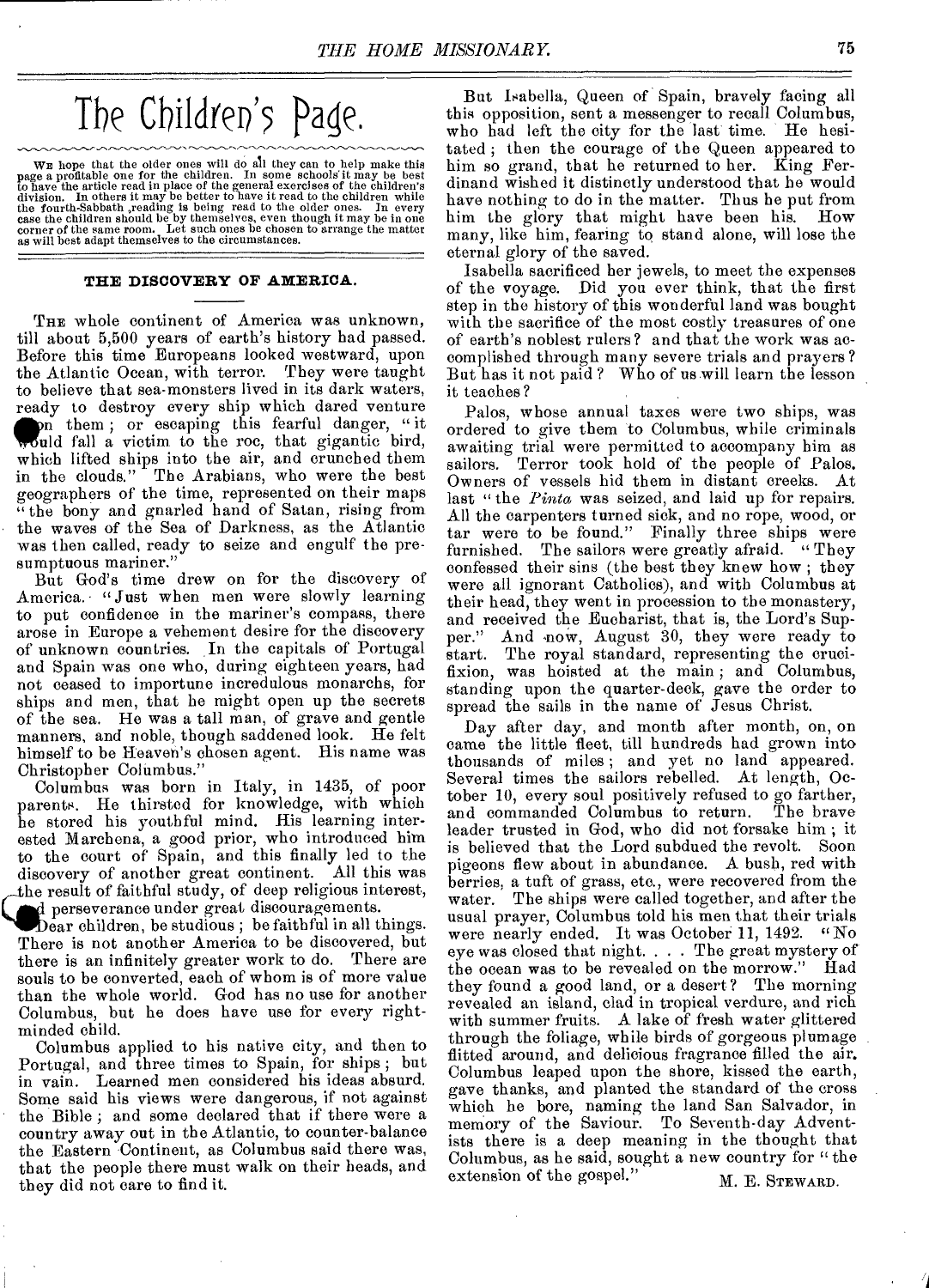# The Children's Page.

WE hope that the older ones will do all they can to help make this<br>page a profitable one for the children. In some schools it may be best<br>to have the article read in place of the general exercises of the children's<br>divisi

#### **THE DISCOVERY OF AMERICA.**

THE whole continent of America was unknown, till about 5,500 years of earth's history had passed. Before this time Europeans looked westward, upon the Atlantic Ocean, with terror. They were taught to believe that sea-monsters lived in its dark waters, ready to destroy every ship which dared venture would fall a victim to the roc, that gigantic bird, m them ; or escaping this fearful danger, " it which lifted ships into the air, and crunched them in the clouds." The Arabians, who were the best geographers of the time, represented on their maps "the bony and gnarled band of Satan, rising from the waves of the Sea of Darkness, as the Atlantic was then called, ready to seize and engulf the presumptuous mariner."

But God's time drew on for the discovery of America. "Just when men were slowly learning to put confidence in the mariner's compass, there arose in Europe a vehement desire for the discovery of unknown countries. In the capitals of Portugal and Spain was one who, during eighteen years, had not ceased to importune incredulous monarchs, for ships and men, that he might open up the secrets of the sea. He was a tall man, of grave and gentle manners, and noble, though saddened look. He felt himself to be Heaven's chosen agent. His name was Christopher Columbus."

Columbus was born in Italy, in 1435, of poor parents. He thirsted for knowledge, with which he stored his youthful mind. His learning interested Marchena, a good prior, who introduced him to the court of Spain, and this finally led to the to the court of Span, and this maily led to the<br>discovery of another great continent. All this was<br>the result of faithful study, of deep religious interest,<br> $\bf{d}$  perseverance under great discouragements.<br>Dear children, he result of faithful study, of deep religious interest, perseverance under great discouragements.

Dear children, be studious; be faithful in all things. There is not another America to be discovered, but there is an infinitely greater work to do. There are souls to be converted, each of whom is of more value than the whole world. God has no use for another Columbus, but he does have use for every rightminded child.

Columbus applied to his native city, and then to Portugal, and three times to Spain, for ships ; but in vain. Learned men considered his ideas absurd. Some said his views were dangerous, if not against the Bible ; and some declared that if there were a country away out in the Atlantic, to counter-balance the Eastern Continent, as Columbus said there was, that the people there must walk on their heads, and they did not care to find it.

But Isabella, Queen of Spain, bravely facing all this opposition, sent a messenger to recall Columbus, who bad left the city for the last time. He hesitated ; then the courage of the Queen appeared to him so grand, that he returned to her. King Ferdinand wished it distinctly understood that he would have nothing to do in the matter. Thus he put from him the glory that might have been his. How many, like him, fearing to stand alone, will lose the eternal glory of the saved.

Isabella sacrificed her jewels, to meet the expenses of the voyage. Did you ever think, that the first step in the history of this wonderful land was bought with the sacrifice of the most costly treasures of one of earth's noblest rulers ? and that the work was accomplished through many severe trials and prayers? But has it not paid? Who of us will learn the lesson it teaches?

Palos, whose annual taxes were two ships, was ordered to give them to Columbus, while criminals awaiting trial were permitted to accompany him as sailors. Terror took hold of the people of Palos.<br>Owners of vessels hid them in distant creeks. At Owners of vessels hid them in distant creeks. last " the *Pinta* was seized, and laid up for repairs. All the carpenters turned sick, and no rope, wood, or tar were to be found." Finally three ships were furnished. The sailors were greatly afraid. "They confessed their sins (the best they knew how ; they were all ignorant Catholics), and with Columbus at their bead, they went in procession to the monastery, and received the Eucharist, that is, the Lord's Supper." And now, August 30, they were ready to start. The royal standard, representing the crucifixion, was hoisted at the main ; and Columbus, standing upon the quarter-deck, gave the order to spread the sails in the name of Jesus Christ.

Day after day, and month after month, on, on came the little fleet, till hundreds had grown into thousands of miles ; and yet no land appeared. Several times the sailors rebelled. At length, October 10, every soul positively refused to go farther, and commanded Columbus to return. leader trusted in God, who did not forsake him ; it is believed that the Lord subdued the revolt. Soon pigeons flew about in abundance. A bush, red with berries, a tuft of grass, etc., were recovered from the water. The ships were called together, and after the usual prayer, Columbus told his men that their trials were nearly ended. It was October 11, 1492. "No eye was closed that night. . . . The great mystery of the ocean was to be revealed on the morrow." they found a good land, or a desert? The morning revealed an island, clad in tropical verdure, and rich with summer fruits. A lake of fresh water glittered through the foliage, while birds of gorgeous plumage flitted around, and delicious fragrance filled the air. Columbus leaped upon the shore, kissed the earth, gave thanks, and planted the standard of the cross which he bore, naming the land San Salvador, in memory of the Saviour. To Seventh-day Adventists there is a deep meaning in the thought that Columbus, as he said, sought a new country for " the extension of the gospel."  $M. E.$  STEWARD.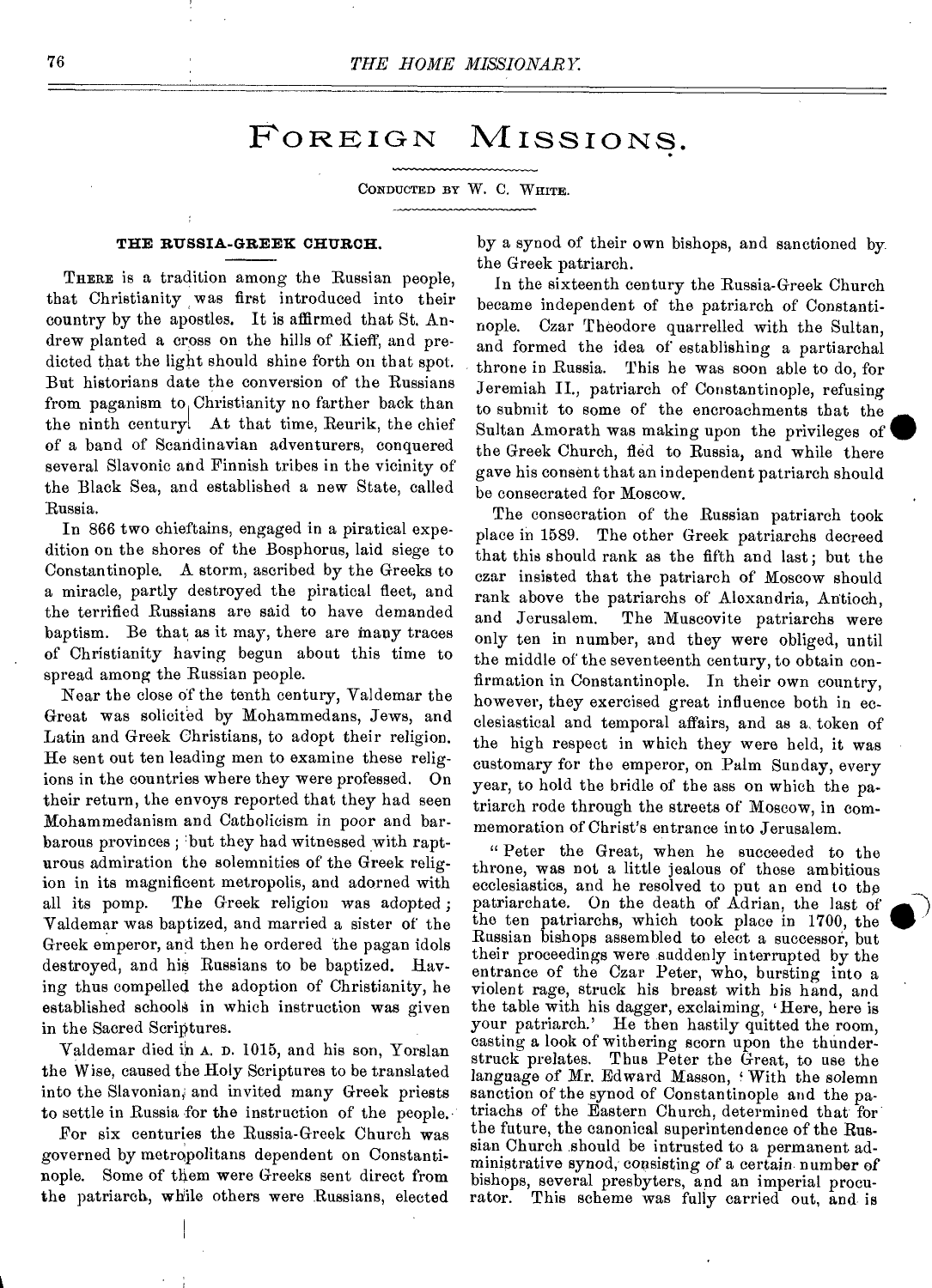## FOREIGN MISSIONS.

#### CONDUCTED BY W. C. WHITE.

#### **THE RUSSIA-GREEK CHURCH.**

THERE is a tradition among the Russian people. that Christianity was first introduced into their country by the apostles. It is affirmed that St. Andrew planted a cross on the hills of Kieff, and predicted that the light should shine forth on that spot. But historians date the conversion of the Russians from paganism to Christianity no farther back than the ninth century. At that time, Reurik, the chief of a band of Scandinavian adventurers, conquered several Slavonic and Finnish tribes in the vicinity of the Black Sea, and established a new State, called Russia.

In 866 two chieftains, engaged in a piratical expedition on the shores of the Bosphorus, laid siege to Constantinople. A storm, ascribed by the Greeks to a miracle, partly destroyed the piratical fleet, and the terrified Russians are said to have demanded baptism. Be that as it may, there are many traces of Christianity having begun about this time to spread among the Russian people.

Near the close of the tenth century, Valdemar the Great was solicited by Mohammedans, Jews, and Latin and Greek Christians, to adopt their religion. He sent out ten leading men to examine these religions in the countries where they were professed. On their return, the envoys reported that they had seen Mohammedanism and Catholicism in poor and barbarous provinces ; but they had witnessed with rapturous admiration the solemnities of the Greek religion in its magnificent metropolis, and adorned with all its pomp. The Greek religion was adopted ; Valdemar was baptized, and married a sister of the Greek emperor, and then he ordered the pagan idols destroyed, and his Russians to be baptized. Having thus compelled the adoption of Christianity, he established schools in which instruction was given in the Sacred Scriptures.

Valdemar died in A. D. 1015, and his son, Yorslan the Wise, caused the Holy Scriptures to be translated into the Slavonian, and invited many Greek priests to settle in Russia for the instruction of the people.

For six centuries the Russia-Greek Church was governed by metropolitans dependent on Constantinople. Some of them were Greeks sent direct from the patriarch, while others were Russians, elected by a synod of their own bishops, and sanctioned by. the Greek patriarch.

In the sixteenth century the Russia-Greek Church became independent of the patriarch of Constantinople. Czar Theodore quarrelled with the Sultan, and formed the idea of establishing a partiarchal throne in Russia. This he was soon able to do, for Jeremiah II., patriarch of Constantinople, refusing to submit to some of the encroachments that the Sultan Amorath was making upon the privileges of the Greek Church, fled to Russia, and while there gave his consent that an independent patriarch should be consecrated for Moscow.

The consecration of the Russian patriarch took place in 1589. The other Greek patriarchs decreed that this should rank as the fifth and last; but the czar insisted that the patriarch of Moscow should rank above the patriarchs of Alexandria, Antioch, and Jerusalem. The Muscovite patriarchs were only ten in number, and they were obliged, until the middle of the seventeenth century, to obtain confirmation in Constantinople. In their own country, however, they exercised great influence both in ecclesiastical and temporal affairs, and as a token of the high respect in which they were held, it was customary for the emperor, on Palm Sunday, every year, to hold the bridle of the ass on which the patriarch rode through the streets of Moscow, in commemoration of Christ's entrance into Jerusalem.

" Peter the Great, when he succeeded to the throne, was not a little jealous of these ambitious ecclesiastics, and he resolved to put an end to the patriarchate. On the death of Adrian, the last of the ten patriarchs, which took place in 1700, the Russian bishops assembled to elect a successor, but their proceedings were suddenly interrupted by the entrance of the Czar Peter, who, bursting into a violent rage, struck his breast with his hand, and the table with his dagger, exclaiming, 'Here, here is your patriarch.' He then hastily quitted the room, casting a look of withering scorn upon the thunderstruck prelates. Thus Peter the Great, to use the language of Mr. Edward Masson, 'With the solemn sanction of the synod of Constantinople and the patriachs of the Eastern Church, determined that for the future, the canonical superintendence of the Russian Church should be intrusted to a permanent administrative synod, consisting of a certain number of bishops, several presbyters, and an imperial procu-This scheme was fully carried out, and is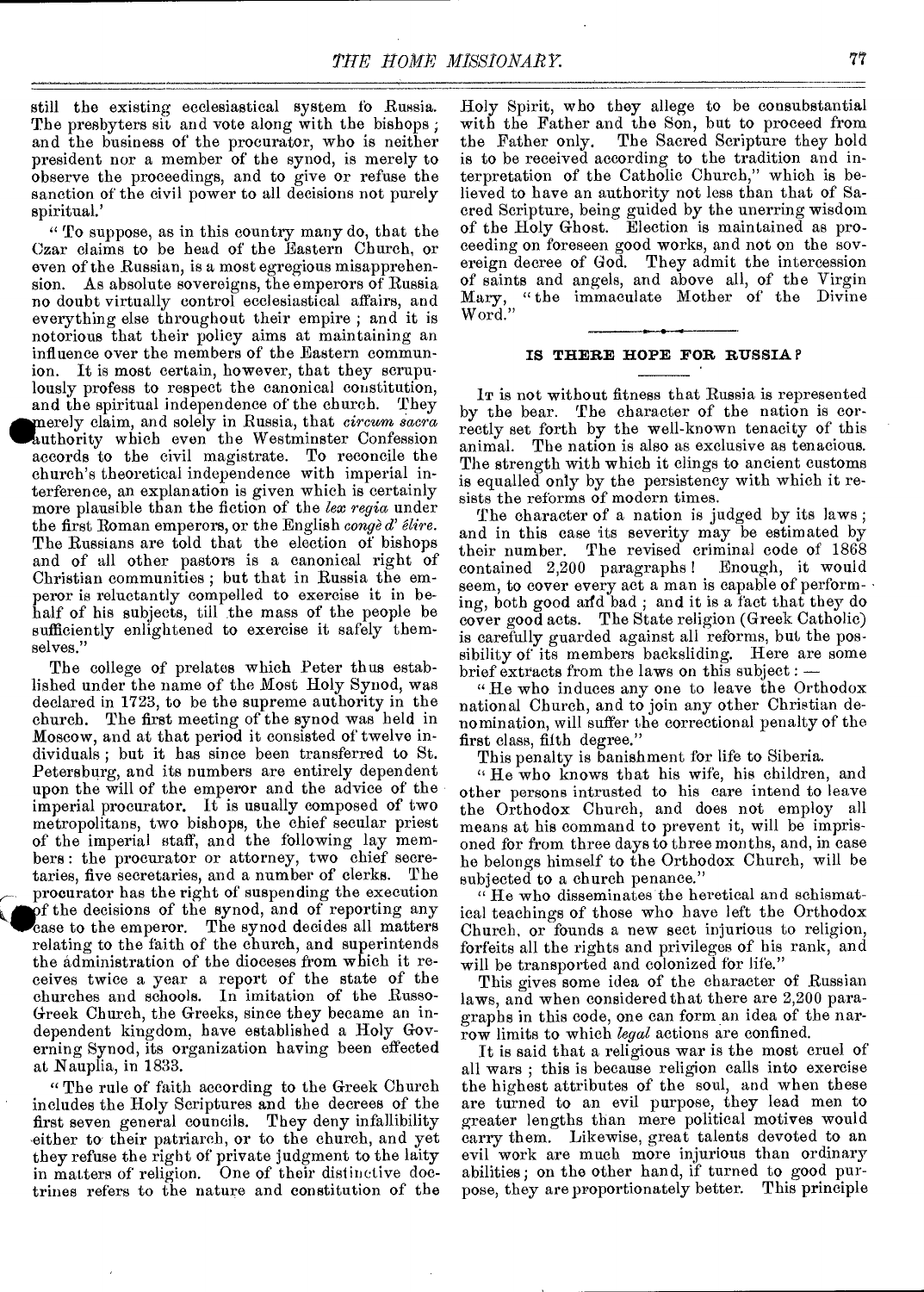still the existing ecclesiastical system fo Russia. The presbyters sit and vote along with the bishops ; and the business of the procurator, who is neither president nor a member of the synod, is merely to observe the proceedings, and to give or refuse the sanction of the civil power to all decisions not purely spiritual.'

"To suppose, as in this country many do, that the Czar claims to be head of the Eastern Church, or even of the Russian, is a most egregious misapprehension. As absolute sovereigns, the emperors of Russia no doubt virtually control ecclesiastical affairs, and everything else throughout their empire ; and it is notorious that their policy aims at maintaining an influence over the members of the Eastern communion. It is most certain, however, that they scrupulously profess to respect the canonical constitution, and the spiritual independence of the church. They and the spiritual independence of the church. They<br>
merely claim, and solely in Russia, that *circum sacra*<br>
authority which even the Westminster Confession<br>
accords to the civil magistrate. To reconcile the accords to the civil magistrate. To reconcile the church's theoretical independence with imperial interference, an explanation is given which is certainly more plausible than the fiction of the *lex regia* under the first Roman emperors, or the English *conged' Sire.*  The Russians are told that the election of bishops and of all other pastors is a canonical right of Christian communities ; but that in Russia the emperor is reluctantly compelled to exercise it in behalf of his subjects, till the mass of the people be sufficiently enlightened to exercise it safely themselves."

The college of prelates which Peter thus established under the name of the Most Holy Synod, was declared in 1723, to be the supreme authority in the church. The first meeting of the synod was held in Moscow, and at that period it consisted of twelve individuals ; but it has since been transferred to St. Petersburg, and its numbers are entirely dependent upon the will of the emperor and the advice of the imperial procurator. It is usually composed of two metropolitans, two bishops, the chief secular priest of the imperial staff, and the following lay members : the procurator or attorney, two chief secretaries, five secretaries, and a number of clerks. The taries, five secretaries, and a number of clerks. procurator has the right of suspending the execution of the decisions of the synod, and of reporting any case to the emperor. The synod decides all matters relating to the faith of the church, and superintends the administration of the dioceses from which it receives twice a year a report of the state of the churches and schools. In imitation of the Russo-Greek Church, the Greeks, since they became an independent kingdom, have established a Holy Governing Synod, its organization having been effected at Nauplia, in 1833.

"The rule of faith according to the Greek Church includes the Holy Scriptures and the decrees of the first seven general councils. They deny infallibility either to their patriarch, or to the church, and yet they refuse the right of private judgment to the laity in matters of religion. One of their distinctive doctrines refers to the nature and constitution of the

Holy Spirit, who they allege to be consubstantial with the Father and the Son, but to proceed from the Father only. The Sacred Scripture they hold is to be received according to the tradition and interpretation of the Catholic Church," which is believed to have an authority not less than that of Sacred Scripture, being guided by the unerring wisdom of the Holy Ghost. Election is maintained as proceeding on foreseen good works, and not on the sovereign decree of God. They admit the intercession of saints and angels, and above all, of the Virgin Mary, "the immaculate Mother of the Divine Word."

#### **IS THERE HOPE FOR RUSSIA**

Jr is not without fitness that Russia is represented by the bear. The character of the nation is correctly set forth by the well-known tenacity of this animal. The nation is also as exclusive as tenacious. The strength with which it clings to ancient customs is equalled only by the persistency with which it resists the reforms of modern times.

The character of a nation is judged by its laws; and in this case its severity may be estimated by their number. The revised criminal code of 1868 contained 2,200 paragraphs ! Enough, it would seem, to cover every act a man is capable of performing, both good and bad ; and it is a fact that they do cover good acts. The State religion (Greek Catholic) is carefully guarded against all reforms, but the possibility of its members backsliding. Here are some brief extracts from the laws on this subject :  $\cdot$ 

" He who induces any one to leave the Orthodox national Church, and to join any other Christian denomination, will suffer the correctional penalty of the first class, fifth degree."

This penalty is banishment for life to Siberia.

" He who knows that his wife, his children, and other persons intrusted to his care intend to leave the Orthodox Church, and does not employ all means at his command to prevent it, will be imprisoned for from three days to three months, and, in case he belongs himself to the Orthodox Church, will be subjected to a church penance."

" He who disseminates the heretical and schismatical teachings of those who have left the Orthodox Church, or founds a new sect injurious to religion, forfeits all the rights and privileges of his rank, and will be transported and colonized for life."

This gives some idea of the character of Russian laws, and when considered that there are 2,200 paragraphs in this code, one can form an idea of the narrow limits to which *legal* actions are confined.

It is said that a religious war is the most cruel of all wars ; this is because religion calls into exercise the highest attributes of the soul, and when these are turned to an evil purpose, they lead men to greater lengths than mere political motives would carry them. Likewise, great talents devoted to an evil work are much more injurious than ordinary abilities; on the other hand, if turned to good purpose, they are proportionately better. This principle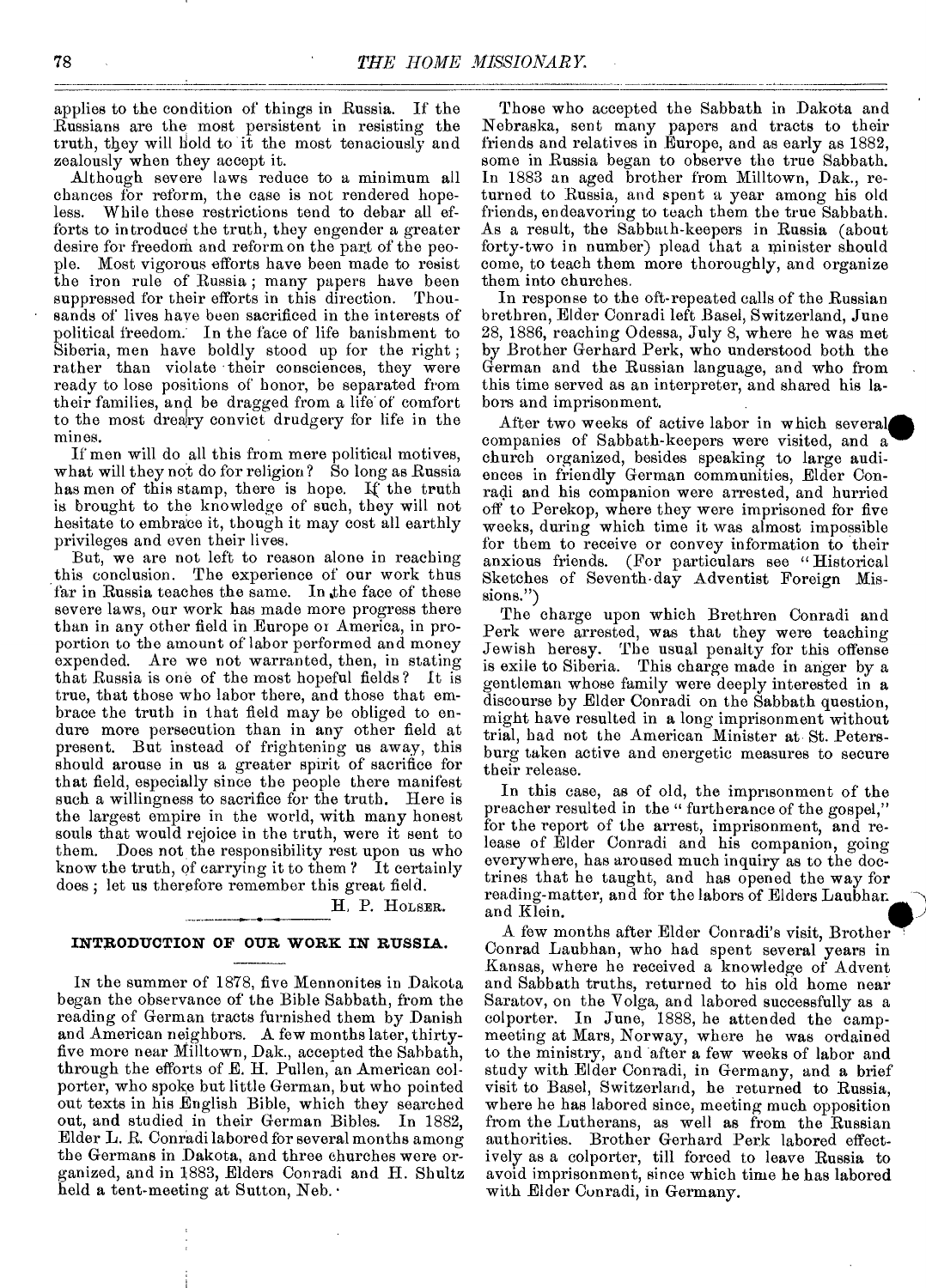applies to the condition of things in Russia. If the Russians are the most persistent in resisting the truth, they will hold to it the most tenaciously and zealously when they accept it.

Although severe laws reduce to a minimum all chances for reform, the case is not rendered hopeless. While these restrictions tend to debar all efforts to in troducd the truth, they engender a greater desire for freedom and reform on the part of the peo-<br>ple. Most vigorous efforts have been made to resist Most vigorous efforts have been made to resist the iron rule of Russia; many papers have been suppressed for their efforts in this direction. Thousands of lives have been sacrificed in the interests of political freedom. In the face of life banishment to Siberia, men have boldly stood up for the right ; rather than violate their consciences, they were ready to lose positions of honor, be separated from their families, and be dragged from a life of comfort to the most dreary convict drudgery for life in the mines.

If men will do all this from mere political motives, what will they not do for religion? So long as Russia has men of this stamp, there is hope. If the truth is brought to the knowledge of such, they will not hesitate to embrace it, though it may cost all earthly privileges and even their lives.

But, we are not left to reason alone in reaching this conclusion. The experience of our work thus far in Russia teaches the same. In the face of these severe laws, our work has made more progress there than in any other field in Europe or America, in proportion to the amount of labor performed and money expended. Are we not warranted, then, in stating that Russia is one of the most hopeful fields? It is true, that those who labor there, and those that embrace the truth in that field may be obliged to endure more persecution than in any other field at present. But instead of frightening us away, this should arouse in us a greater spirit of sacrifice for that field, especially since the people there manifest such a willingness to sacrifice for the truth. Here is the largest empire in the world, with many honest souls that would rejoice in the truth, were it sent to them. Does not the responsibility rest upon us who know the truth, of carrying it to them ? It certainly does ; let us therefore remember this great field.

H, P. HOLSER.

#### **INTRODUCTION OF OUR WORK IN RUSSIA.**

IN the summer of 1878, five Mennonites in Dakota began the observance of the Bible Sabbath, from the reading of German tracts furnished them by Danish and American neighbors. A few months later, thirtyfive more near Milltown, Dak., accepted the Sabbath, through the efforts of E. H. Pullen, an American colporter, who spoke but little German, but who pointed out texts in his English Bible, which they searched out, and studied in their German Bibles. Elder L. R. Conradi labored for several months among the Germans in Dakota, and three churches were organized, and in 1883, Elders Conradi and H. Shultz held a tent-meeting at Sutton, Neb. •

Those who accepted the Sabbath in Dakota and Nebraska, sent many papers and tracts to their friends and relatives in Europe, and as early as 1882, some in Russia began to observe the true Sabbath. In 1883 an aged brother from Milltown, Dak., returned to Russia, and spent a year among his old friends, endeavoring to teach them the true Sabbath. As a result, the Sabbath-keepers in Russia (about forty-two in number) plead that a minister should come, to teach them more thoroughly, and organize them into churches.

In response to the oft-repeated calls of the Russian brethren, Elder Conradi left Basel, Switzerland, June 28, 1886, reaching Odessa, July 8, where he was met by Brother Gerhard Perk, who understood both the German and the Russian language, and who from this time served as an interpreter, and shared his labors and imprisonment.

After two weeks of active labor in which several companies of Sabbath-keepers were visited, and a church organized, besides speaking to large audiences in friendly German communities, Elder Conradi and his companion were arrested, and hurried off to Perekop, where they were imprisoned for five weeks, during which time it was almost impossible for them to receive or convey information to their anxious friends. (For particulars see " Historical Sketches of Seventh-day Adventist Foreign Missions.")

The charge upon which Brethren Conradi and Perk were arrested, was that they were teaching Jewish heresy. The usual penalty for this offense is exile to Siberia. This charge made in anger by a gentleman whose family were deeply interested in a discourse by Elder Conradi on the Sabbath question, might have resulted in a long imprisonment without trial, had not the American Minister at St. Petersburg taken active and energetic measures to secure their release.

In this case, as of old, the imprisonment of the preacher resulted in the " furtherance of the gospel," for the report of the arrest, imprisonment, and release of Elder Conradi and his companion, going everywhere, has aroused much inquiry as to the doctrines that he taught, and has opened the way for reading-matter, and for the labors of Elders Laubharland Klein.

A few months after Elder Conradi's visit, Brother Conrad Laubhan, who had spent several years in Kansas, where he received a knowledge of Advent and Sabbath truths, returned to his old home near Saratov, on the Volga, and labored successfully as a eolporter. In June, 1888, he attended the campmeeting at Mars, Norway, where he was ordained to the ministry, and after a few weeks of labor and study with Elder Conradi, in Germany, and a brief visit to Basel, Switzerland, he returned to Russia, where he has labored since, meeting much opposition from the Lutherans, as well as from the Russian authorities. Brother Gerhard Perk labored effectively as a colporter, till forced to leave Russia to avoid imprisonment, since which time he has labored with Elder Conradi, in Germany.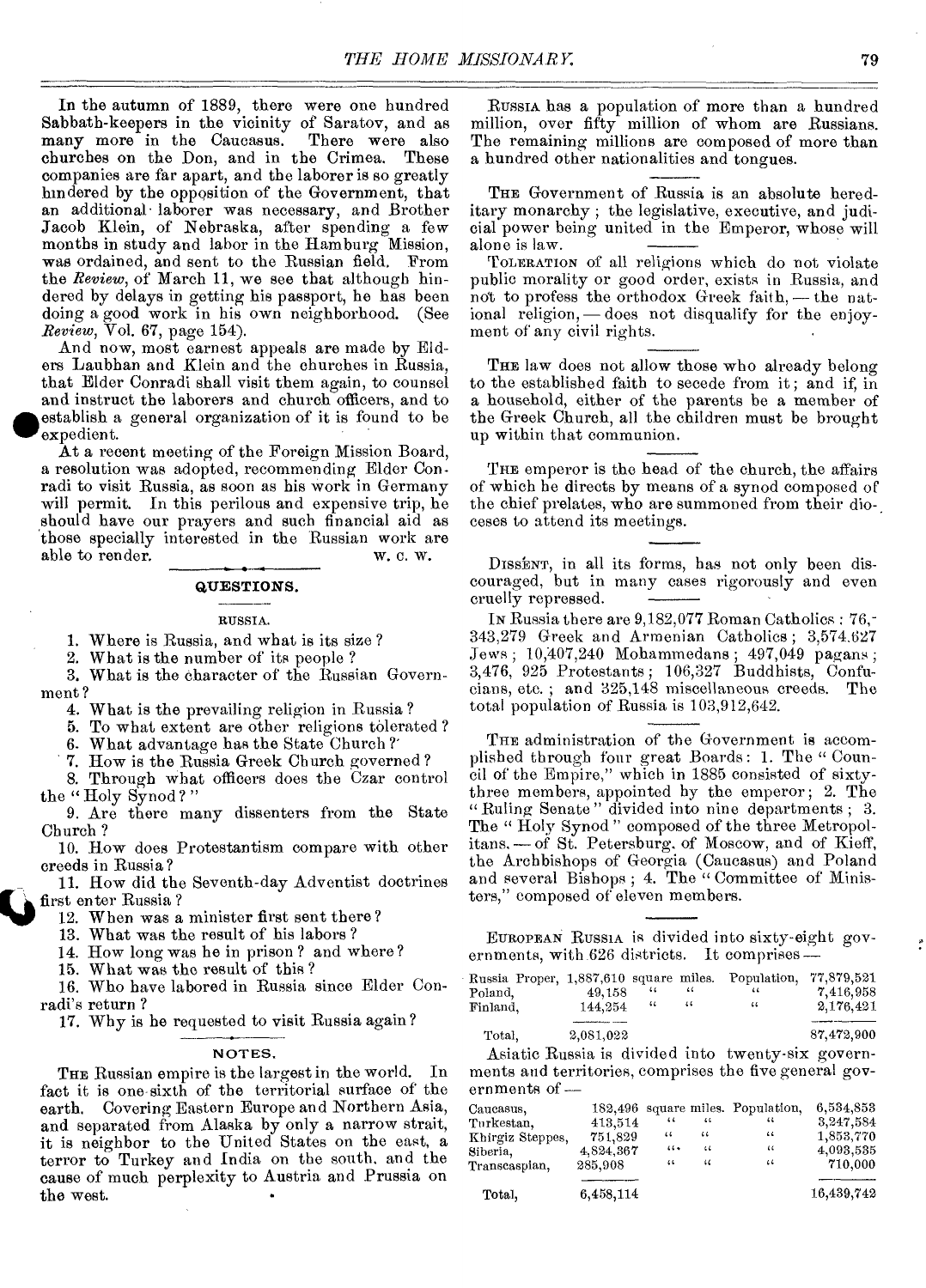In the autumn of 1889, there were one hundred Sabbath-keepers in the vicinity of Saratov, and as many more in the Caucasus. There were also churches on the Don, and in the Crimea. These churches on the Don, and in the Crimea. companies are far apart, and the laborer is so greatly hindered by the opposition of the Government, that an additional• laborer was necessary, and Brother Jacob Klein, of Nebraska, after spending a few months in study and labor in the Hamburg Mission, was ordained, and sent to the Russian field. From the *Review,* of March 11, we see that although hindered by delays in getting his passport, he has been doing a good work in his own neighborhood. (See *Review,* Vol. 67, page 154).

And now, most earnest appeals are made by Elders Laubhan and Klein and the churches in Russia, that Elder Conradi shall visit them again, to counsel and instruct the laborers and church officers, and to establish a general organization of it is found to be doing a good work in its own heighborhood. (See<br> *Review*, Vol. 67, page 154).<br>
And now, most earnest appeals are made by Eld-<br>
ers Laubhan and Klein and the churches in Russia,<br>
that Elder Conradi shall visit them again, expedient.

At a recent meeting of the Foreign Mission Board, a resolution was adopted, recommending Elder Conradi to visit Russia, as soon as his work in Germany will permit. In this perilous and expensive trip, he should have our prayers and such financial aid as those specially interested in the Russian work are able to render. able to render.

#### **QUESTIONS.**

#### RUSSIA.

1. Where is Russia, and what is its size ?

2. What is the number of its people ?

3. What is the character of the Russian Government ?

4. What is the prevailing religion in Russia ?

5. To what extent are other religions tolerated ?

6. What advantage has the State Church ?'

7. How is the Russia Greek Church governed ?

8. Through what officers does the Czar control the "Holy Synod?"

9. Are there many dissenters from the State Church ?

10. How does Protestantism compare with other creeds in Russia?

11. How did the Seventh-day Adventist doctrines first enter Russia ?  $\overline{\mathbf{Q}}$ 

12. When was a minister first sent there ?

13. What was the result of his labors ?

14. How long was he in prison ? and where ?

15. What was the result of this ?

16. Who have labored in Russia since Elder Conradi's return ?

17. Why is he requested to visit Russia again?

#### NOTES.

THE Russian empire is the largest in the world. In fact it is one sixth of the territorial surface of the earth. Covering Eastern Europe and Northern Asia, and separated from Alaska by only a narrow strait, it is neighbor to the United States on the east, a terror to Turkey and India on the south, and the cause of much perplexity to Austria and Prussia on the west.

RUSSIA has a population of more than a hundred million, over fifty million of whom are Russians. The remaining millions are composed of more than a hundred other nationalities and tongues.

THE Government of Russia is an absolute hereditary monarchy ; the legislative, executive, and judicial power being united in the Emperor, whose will alone is law.

TOLERATION of all religions which do not violate public morality or good order, exists in Russia, and not to profess the orthodox Greek faith, — the national religion, — does not disqualify for the enjoyment of any civil rights.

THE law does not allow those who already belong to the established faith to secede from it; and if, in a household, either of the parents be a member of the Greek Church, all the children must be brought up within that communion.

THE emperor is the head of the church, the affairs of which he directs by means of a synod composed of the chief prelates, who are summoned from their dio-, ceses to attend its meetings.

DISSENT, in all its forms, has not only been discouraged, but in many cases rigorously and even cruelly repressed.

IN Russia there are 9,182,077 Roman Catholics : 76,- 343,279 Greek and Armenian Catholics ; 3,574.627 Jews ; 10,407,240 Mohammedans ; 497,049 pagans ; 3,476, 925 Protestants ; 106,327 Buddhists, Confucians, etc. ; and 325,148 miscellaneous creeds. The total population of Russia is 103,912,642.

THE administration of the Government is accomplished through four great Boards : 1. The " Council of the Empire," which in 1885 consisted of sixtythree members, appointed by the emperor; 2. The "Ruling Senate" divided into nine departments ; 3. The "Holy Synod" composed of the three Metropolitans. — of St. Petersburg. of Moscow, and of Kieff, the Archbishops of Georgia (Caucasus) and Poland and several Bishops; 4. The "Committee of Ministers," composed of eleven members.

EUROPEAN RUSSIA is divided into sixty-eight governments, with 626 districts. It comprises—

| Russia Proper, 1,887,610 square miles. |           |      |    | Population, 77,879.521 |            |  |
|----------------------------------------|-----------|------|----|------------------------|------------|--|
| Poland.                                | 49,158    | 44   | "  | 44                     | 7.416.958  |  |
| Finland.                               | 144,254   | - 44 | 44 | $\ddotsc$              | 2,176,421  |  |
|                                        |           |      |    |                        |            |  |
| Total.                                 | 2,081,022 |      |    |                        | 87,472,900 |  |

Asiatic Russia is divided into twenty-six governments and territories, comprises the five general governments of —

| Caucasus,        |           |            |    | 182,496 square miles. Population, | 6,534,853  |
|------------------|-----------|------------|----|-----------------------------------|------------|
| Turkestan,       | 413,514   | $\epsilon$ | 44 | 44                                | 3,247,584  |
| Khirgiz Steppes, | 751,829   | 44         | 44 | 66                                | 1.853,770  |
| Siberia,         | 4.824.367 | $\cdots$   | 44 | $\left\langle \right\rangle$      | 4,093,535  |
| Transcaspian,    | 285,908   | 44         | 11 | 44                                | 710,000    |
| Total.           | 6,458,114 |            |    |                                   | 16,439,742 |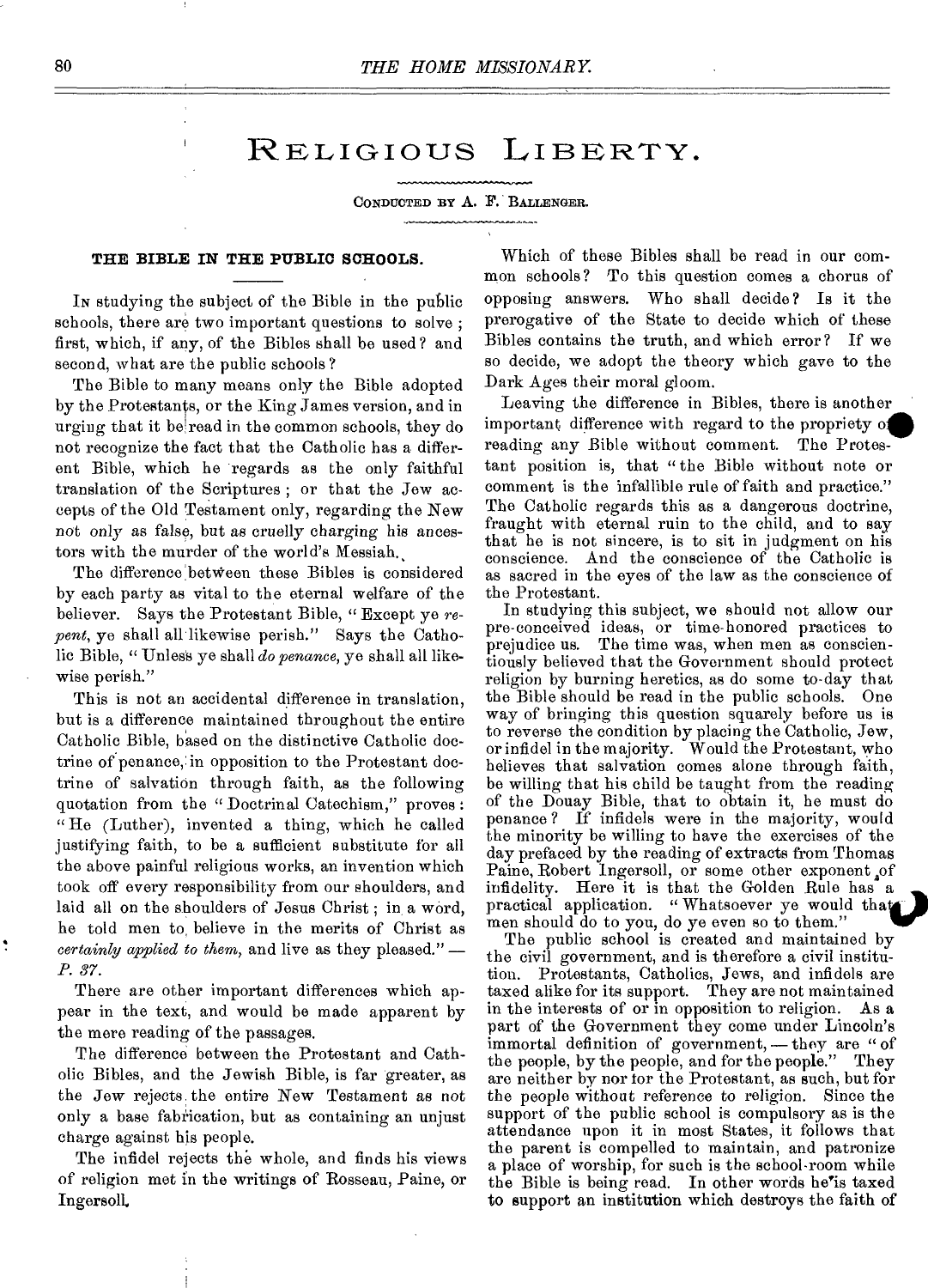### RELIGIOUS LIBERTY.

CONDUCTED BY A. F. BALLENGER.

#### **THE BIBLE IN THE PUBLIC SCHOOLS.**

IN studying the subject of the Bible in the public schools, there are two important questions to solve ; first, which, if any, of the Bibles shall be used ? and second, what are the public schools?

The Bible to many means only the Bible adopted by the Protestants, or the King James version, and in urging that it be read in the common schools, they do not recognize the fact that the Catholic has a different Bible, which he regards as the only faithful translation of the Scriptures ; or that the Jew accepts of the Old Testament only, regarding the New not only as false, but as cruelly charging his ancestors with the murder of the world's Messiah.

The difference between these Bibles is considered by each party as vital to the eternal welfare of the believer. Says the Protestant Bible, " Except ye *repent,* ye shall all likewise perish." Says the Catholic Bible, " Unless ye shall *do penance*, ye shall all likewise perish."

This is not an accidental difference in translation, but is a difference maintained throughout the entire Catholic Bible, based on the distinctive Catholic doctrine of penance, in opposition to the Protestant doctrine of salvation through faith, as the following quotation from the "Doctrinal Catechism," proves : " He (Luther), invented a thing, which he called justifying faith, to be a sufficient substitute for all the above painful religious works, an invention which took off every responsibility from our shoulders, and laid all on the shoulders of Jesus Christ; in a word, he told men to, believe in the merits of Christ as *certainly applied to them,* and live as they pleased." *— P. 37.* 

There are other important differences which appear in the text, and would be made apparent by the mere reading of the passages.

The difference between the Protestant and Catholic Bibles, and the Jewish Bible, is far greater, as the Jew rejects the entire New Testament as not only a base fabrication, but as containing an unjust charge against his people.

The infidel rejects the whole, and finds his views of religion met in the writings of Rosseau, Paine, or Ingersoll.

Which of these Bibles shall be read in our common schools? To this question comes a chorus of opposing answers. Who shall decide? Is it the prerogative of the State to decide which of these Bibles contains the truth, and which error? If we so decide, we adopt the theory which gave to the Dark Ages their moral gloom.

Leaving the difference in Bibles, there is another important difference with regard to the propriety oil reading any Bible without comment. The Protestant position is, that " the Bible without note or comment is the infallible rule of faith and practice." The Catholic regards this as a dangerous doctrine, fraught with eternal ruin to the child, and to say that he is not sincere, is to sit in judgment on his conscience. And the conscience of the Catholic is as sacred in the eyes of the law as the conscience of the Protestant.

In studying this subject, we should not allow our pre-conceived ideas, or time-honored practices to prejudice us. The time was, when men as conscientiously believed that the Government should protect religion by burning heretics, as do some to-day that the Bible should be read in the public schools. One way of bringing this question squarely before us is to reverse the condition by placing the Catholic, Jew, or infidel in the majority. Would the Protestant, who believes that salvation comes alone through faith, be willing that his child be taught from the reading of the Douay Bible, that to obtain it, he must do penance? If infidels were in the majority, would the minority be willing to have the exercises of the day prefaced by the reading of extracts from Thomas Paine, Robert Ingersoll, or some other exponent of infidelity. Here it is that the Golden Rule has a practical application. " Whatsoever ye would that) men should do to you, do ye even so to them."

The public school is created and maintained by the civil government, and is therefore a civil institution. Protestants, Catholics, Jews, and infidels are taxed alike for its support. They are not maintained in the interests of or in opposition to religion. As a part of the Government they come under Lincoln's immortal definition of government, — they are " of the people, by the people, and for the people." They the people, by the people, and for the people." are neither by nor for the Protestant, as such, but for the people without reference to religion. Since the support of the public school is compulsory as is the attendance upon it in most States, it follows that the parent is compelled to maintain, and patronize a place of worship, for such is the school-room while the Bible is being read. In other words he'is taxed to support an institution which destroys the faith of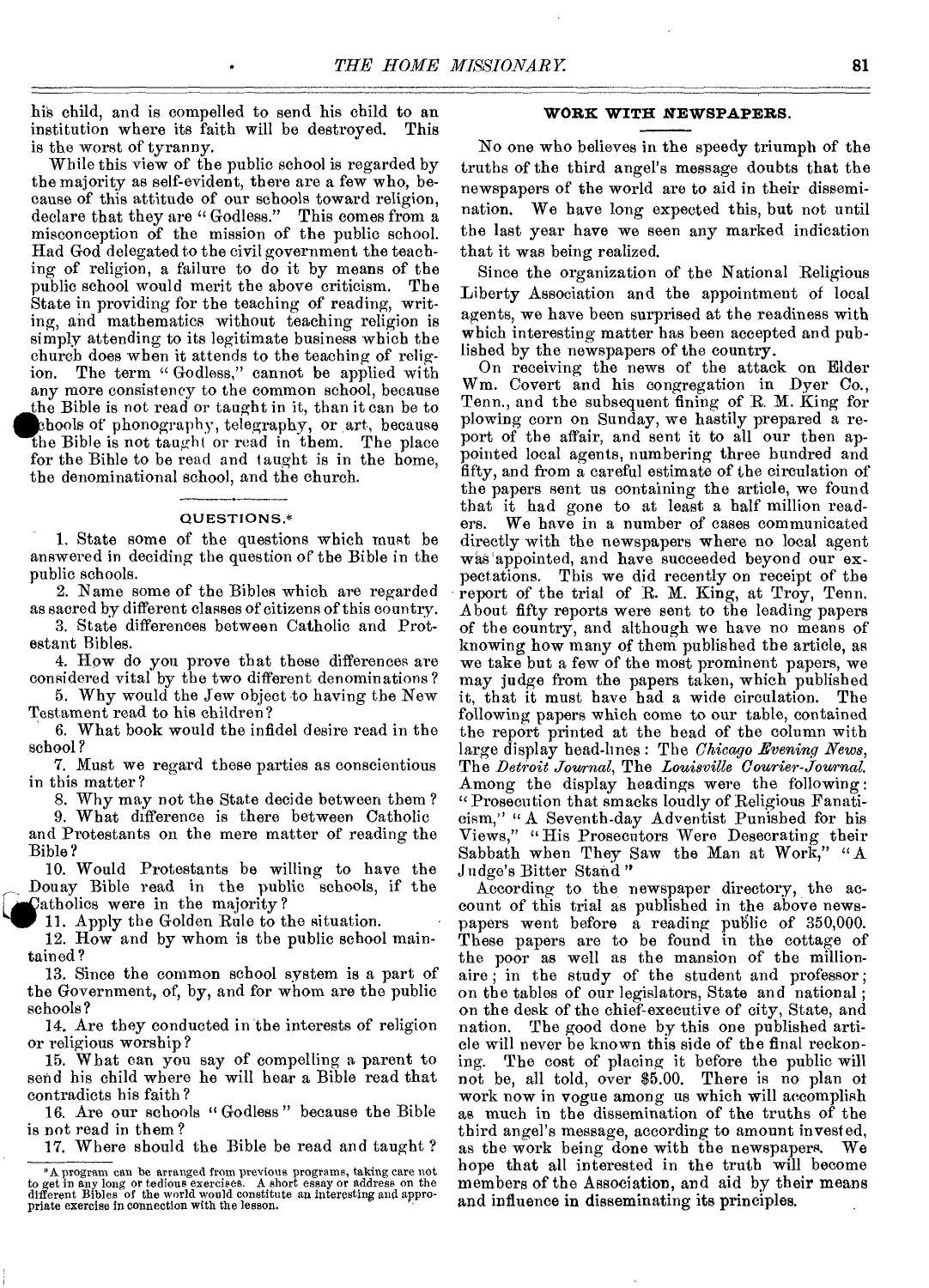his child, and is compelled to send his child to an institution where its faith will be destroyed. This institution where its faith will be destroyed. is the worst of tyranny.

While this view of the public school is regarded by the majority as self-evident, there are a few who, because of this attitude of our schools toward religion, declare that they are "Godless." This comes from a misconception of the mission of the public school. Had God delegated to the civil government the teaching of religion, a failure to do it by means of the public school would merit the above criticism. The State in providing for the teaching of reading, writing, and mathematics without teaching religion is simply attending to its legitimate business which the church does when it attends to the teaching of religion. The term "Godless," cannot be applied with The term " Godless," cannot be applied with any more consistency to the common school, because the Bible is not read or taught in it, than it can be to chools of phonography, telegraphy, or art, because the Bible is not taught or read in them. The place for the Bible to be read and taught is in the home, the denominational school, and the church.

#### QUESTIONS.\*

1. State some of the questions which must be answered in deciding the question of the Bible in the public schools.

2. Name some of the Bibles which are regarded as sacred by different classes of citizens of this country.

3. State differences between Catholic and Protestant Bibles.

4. How do you prove that these differences are considered vital by the two different denominations?

5. Why would the Jew object to having the New Testament read to his children?

6. What book would the infidel desire read in the school ?

7. Must we regard these parties as conscientious in this matter?

8. Why may not the State decide between them ?

9. What difference is there between Catholic and Protestants on the mere matter of reading the Bible?

10. Would Protestants be willing to have the Douay Bible read in the public schools, if the Catholics were in the majority?

11. Apply the Golden Rule to the situation.

12. How and by whom is the public school maintained?

13. Since the common school system is a part of the Government, of, by, and for whom are the public schools?

14. Are they conducted in the interests of religion or religious worship?

15. What can you say of compelling a parent to send his child where he will hoar a Bible read that contradicts his faith?

16. Are our schools " Godless " because the Bible is not read in them?

17. Where should the Bible be read and taught ?

#### **WORK WITH NEWSPAPERS.**

No one who believes in the speedy triumph of the truths of the third angel's message doubts that the newspapers of the world are to aid in their dissemination. We have long expected this, but not until the last year have we seen any marked indication that it was being realized.

Since the organization of the National Religious Liberty Association and the appointment of local agents, we have been surprised at the readiness with which interesting matter has been accepted and published by the newspapers of the country.

On receiving the news of the attack on Elder Wm. Covert and his congregation in Dyer Co., Tenn., and the subsequent fining of R. M. King for plowing corn on Sunday, we hastily prepared a report of the affair, and sent it to all our then appointed local agents, numbering three hundred and fifty, and from a careful estimate of the circulation of the papers sent us containing the article, we found that it had gone to at least a half million read-We have in a number of cases communicated directly with the newspapers where no local agent was appointed, and have succeeded beyond our expectations. This we did recently on receipt of the report of the trial of R. M. King, at Troy, Tenn. About fifty reports were sent to the leading papers of the country, and although we have no means of knowing how many of them published the article, as we take but a few of the most prominent papers, we may judge from the papers taken, which published it, that it must have had a wide circulation. The following papers which come to our table, contained the report printed at the head of the column with large display head-lines : The *Chicago Evening News,*  The *Detroit Journal,* The *Louisville Courier-Journal.*  Among the display headings were the following : "Prosecution that smacks loudly of Religious Fanaticism," " A Seventh-day Adventist Punished for his Views," "His Prosecutors Were Desecrating their Sabbath when They Saw the Man at Work," "A Judge's Bitter Stand "

According to the newspaper directory, the account of this trial as published in the above newspapers went before a reading public of 350,000. These papers are to be found in the cottage of the poor as well as the mansion of the millionaire ; in the study of the student and professor; on the tables of our legislators, State and national ; on the desk of the chief-executive of city, State, and nation. The good done by this one published arti-The good done by this one published article will never be known this side of the final reckon-<br>ing. The cost of placing it before the public will The cost of placing it before the public will not be, all told, over \$5.00. There is no plan of work now in vogue among us which will accomplish as much in the dissemination of the truths of the third angel's message, according to amount invested, as the work being done with the newspapers. hope that all interested in the truth will become members of the Association, and aid by their means and influence in disseminating its principles.

 $*$  A program can be arranged from previous programs, taking care not to get in any long or tedious exercises. A short essay or address on the different Bibles of the world would constitute an interesting and appropriate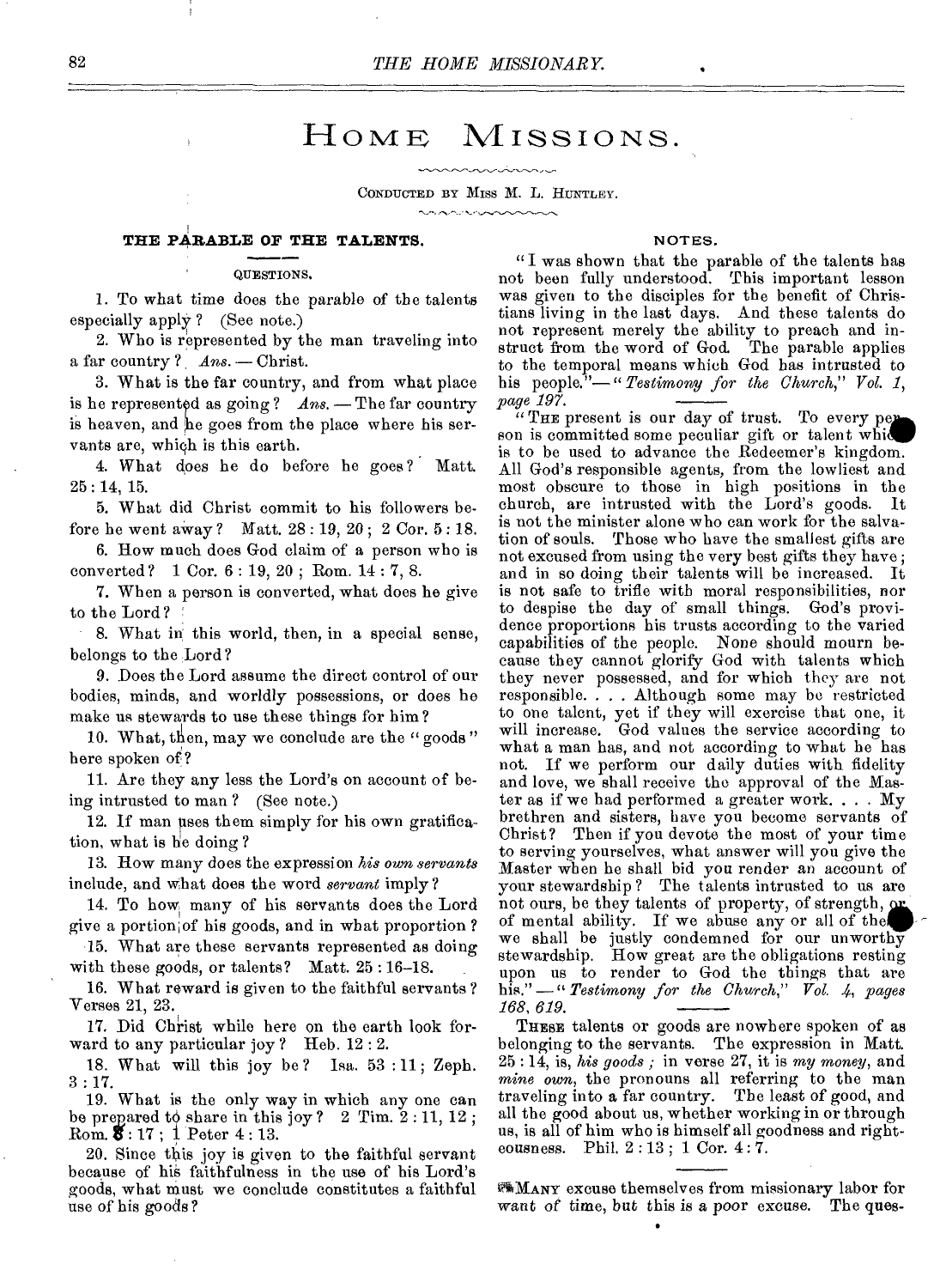### HOME MISSIONS.

#### CONDUCTED BY MISS M. L. HUNTLEY. **CARACTER ARRAIGN**

#### **THE PARABLE OF THE TALENTS.**

#### QUESTIONS,

1. To what time does the parable of the talents especially apply ? (See note.)

2. Who is represented by the man traveling into a far country ? *Ans.* - Christ.

3. What is the far country, and from what place is he represented as going?  $Ans.$  - The far country is heaven, and be goes from the place where his servants are, which is this earth.

4. What does he do before he goes ? Matt. 25 : 14, 15.

5. What did Christ commit to his followers before he went away ? Matt. 28 : 19, 20 ; 2 Cor. 5 : 18.

6. How much does God claim of a person who is converted? 1 Cor. 6 : 19, 20 ; Rom. 14 : 7, 8.

7. When a person is converted, what does he give to the Lord?

8. What in this world, then, in a special sense, belongs to the Lord?

9. Does the Lord assume the direct control of our bodies, minds, and worldly possessions, or does he make us stewards to use these things for him?

10. What, then, may we conclude are the " goods " here spoken of?

11. Are they any less the Lord's on account of being intrusted to man ? (See note.)

12. If man uses them simply for his own gratification, what is he doing ?

13. How many does the expression *his own servants*  include, and what does the word *servant* imply ?

14. To how many of his servants does the Lord give a portion,of his goods, and in what proportion ?

15. What are these servants represented as doing with these goods, or talents? Matt. 25 : 16-18.

16. What reward is given to the faithful servants ? Verses 21, 23.

17. Did Christ while here on the earth look forward to any particular joy ? Heb. 12 : 2.

18. What will this joy be ? Isa. 53 : 11 ; Zeph. 3 : 17.

19. What is the only way in which any one can be prepared to share in this joy?  $2$  Tim.  $2:11, 12$ ;  $Rom. 8: 17$ ; 1 Peter 4:13.

20. Since this joy is given to the faithful servant because of his faithfulness in the use of his Lord's goods, what must we conclude constitutes a faithful use of his goods ?

#### NOTES.

"I was shown that the parable of the talents has not been fully understood. This important lesson was given to the disciples for the benefit of Christians living in the last days. And these talents do not represent merely the ability to preach and instruct from the word of God. The parable applies to the temporal means which God has intrusted to his people.<sup>"</sup> -" Testimony for the Church," Vol. 1, *page 197.* 

"THE present is our day of trust. To every per son is committed some peculiar gift or talent which is to be used to advance the Redeemer's kingdom. All God's responsible agents, from the lowliest and most obscure to those in high positions in the church, are intrusted with the Lord's goods. It is not the minister alone who can work for the salvation of souls. Those who have the smallest gifts are not excused from using the very best gifts they have ; and in so doing their talents will be increased. It is not safe to trifle with moral responsibilities, nor to despise the day of small things. God's providence proportions his trusts according to the varied capabilities of the people. None should mourn because they cannot glorify God with talents which they never possessed, and for which they are not responsible. . . . Although some may be restricted to one talent, yet if they will exercise that one, it will increase. God values the service according to what a man has, and not according to what he has not. If we perform our daily duties with fidelity and love, we shall receive the approval of the Master as if we bad performed a greater work. . . . My brethren and sisters, have you become servants of Christ? Then if you devote the most of your time to serving yourselves, what answer will you give the Master when he shall bid you render an account of your stewardship ? The talents intrusted to us are not ours, be they talents of property, of strength, or of mental ability. If we abuse any or all of the. we shall be justly condemned for our unworthy stewardship. How great are the obligations resting upon us to render to God the things that are his."-" **Testimony** for the Church," Vol. 4, pages *168, 619.* 

THESE talents or goods are nowhere spoken of as belonging to the servants. The expression in Matt. 25 : 14, is, *his goods ;* in verse 27, it is *my money,* and *mine own,* the pronouns all referring to the man traveling into a far country. The least of good, and all the good about us, whether working in or through us, is all of him who is himself all goodness and righteousness. Phil. 2 : 13 ; 1 Cor. 4 : 7.

MANY excuse themselves from missionary labor for want of time, but *this is a poor* excuse. The ques-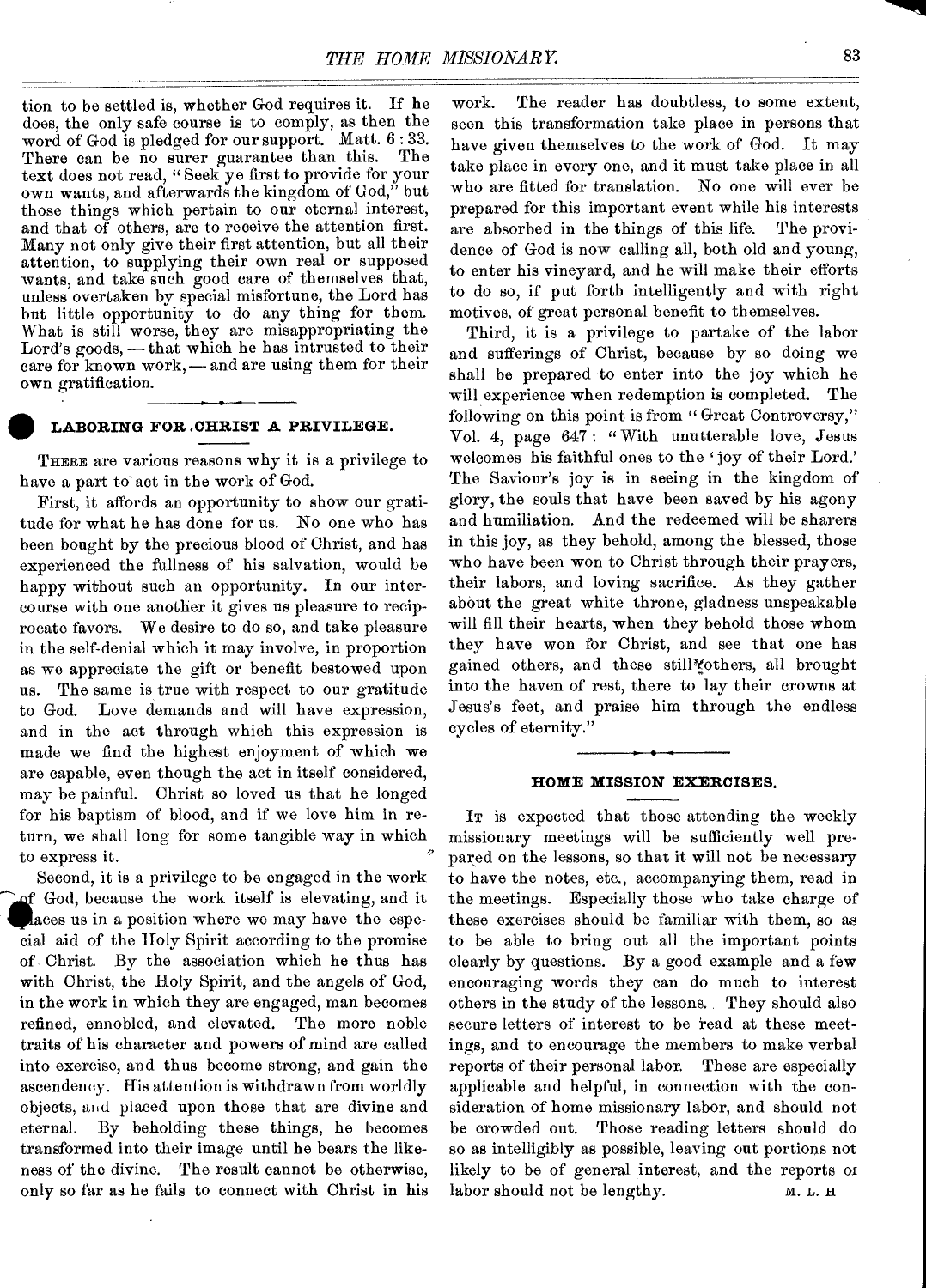tion to be settled is, whether God requires it. If he does, the only safe course is to comply, as then the word of God is pledged for our support. Matt. 6 : 33. There can be no surer guarantee than this. text does not read, " Seek ye first to provide for your own wants, and afterwards the kingdom of God," but those things which pertain to our eternal interest, and that of others, are to receive the attention first. Many not only give their first attention, but all their attention, to supplying their own real or supposed wants, and take such good care of themselves that, unless overtaken by special misfortune, the Lord has but little opportunity to do any thing for them. What is still worse, they are misappropriating the Lord's goods, - that which he has intrusted to their care for known work,—and are using them for their own gratification.

### **• LABORING FOR .CHRIST A PRIVILEGE.**

THERE are various reasons why it is a privilege to have a part to act in the work of God.

First, it affords an opportunity to show our gratitude for what he has done for us. No one who has been bought by the precious blood of Christ, and has experienced the fullness of his salvation, would be happy without such an opportunity. In our intercourse with one another it gives us pleasure to reciprocate favors. We desire to do so, and take pleasure in the self-denial which it may involve, in proportion as we appreciate the gift or benefit bestowed upon us. The same is true with respect to our gratitude to God. Love demands and will have expression, and in the act through which this expression is made we find the highest enjoyment of which we are capable, even though the act in itself considered, may be painful. Christ so loved us that he longed for his baptism of blood, and if we love him in return, we shall long for some tangible way in which to express it.

Second, it is a privilege to be engaged in the work of God, because the work itself is elevating, and it aces us in a position where we may have the especial aid of the Holy Spirit according to the promise of Christ. By the association which he thus has with Christ, the Holy Spirit, and the angels of God, in the work in which they are engaged, man becomes refined, ennobled, and elevated. The more noble traits of his character and powers of mind are called into exercise, and thus become strong, and gain the ascendency. His attention is withdrawn from worldly objects, and placed upon those that are divine and eternal. By beholding these things, he becomes transformed into their image until he bears the likeness of the divine. The result cannot be otherwise, only so far as he fails to connect with Christ in his

work. The reader has doubtless, to some extent, seen this transformation take place in persons that have given themselves to the work of God. It may take place in every one, and it must take place in all who are fitted for translation. No one will ever be prepared for this important event while his interests are absorbed in the things of this life. The providence of God is now calling all, both old and young, to enter his vineyard, and he will make their efforts to do so, if put forth intelligently and with right motives, of great personal benefit to themselves.

Third, it is a privilege to partake of the labor and sufferings of Christ, because by so doing we shall be prepared to enter into the joy which he will experience when redemption is completed. The following on this point is from "Great Controversy," Vol. 4, page 647: " With unutterable love, Jesus welcomes his faithful ones to the 'joy of their Lord.' The Saviour's joy is in seeing in the kingdom of glory, the souls that have been saved by his agony and humiliation. And the redeemed will be sharers in this joy, as they behold, among the blessed, those who have been won to Christ through their prayers, their labors, and loving sacrifice. As they gather about the great white throne, gladness unspeakable will fill their hearts, when they behold those whom they have won for Christ, and see that one has gained others, and these still<sup>3</sup> tothers, all brought into the haven of rest, there to lay their crowns at Jesus's feet, and praise him through the endless cycles of eternity."

#### **HOME MISSION EXERCISES.**

IT is expected that those attending the weekly missionary meetings will be sufficiently well prepared on the lessons, so that it will not be necessary to have the notes, etc., accompanying them, read in the meetings. Especially those who take charge of these exercises should be familiar with them, so as to be able to bring out all the important points clearly by questions. By a good example and a few encouraging words they can do much to interest others in the study of the lessons.. They should also secure letters of interest to be read at these meetings, and to encourage the members to make verbal reports of their personal labor. These are especially applicable and helpful, in connection with the consideration of home missionary labor, and should not be crowded out. Those reading letters should do so as intelligibly as possible, leaving out portions not likely to be of general interest, and the reports or labor should not be lengthy. M. L. H

111111111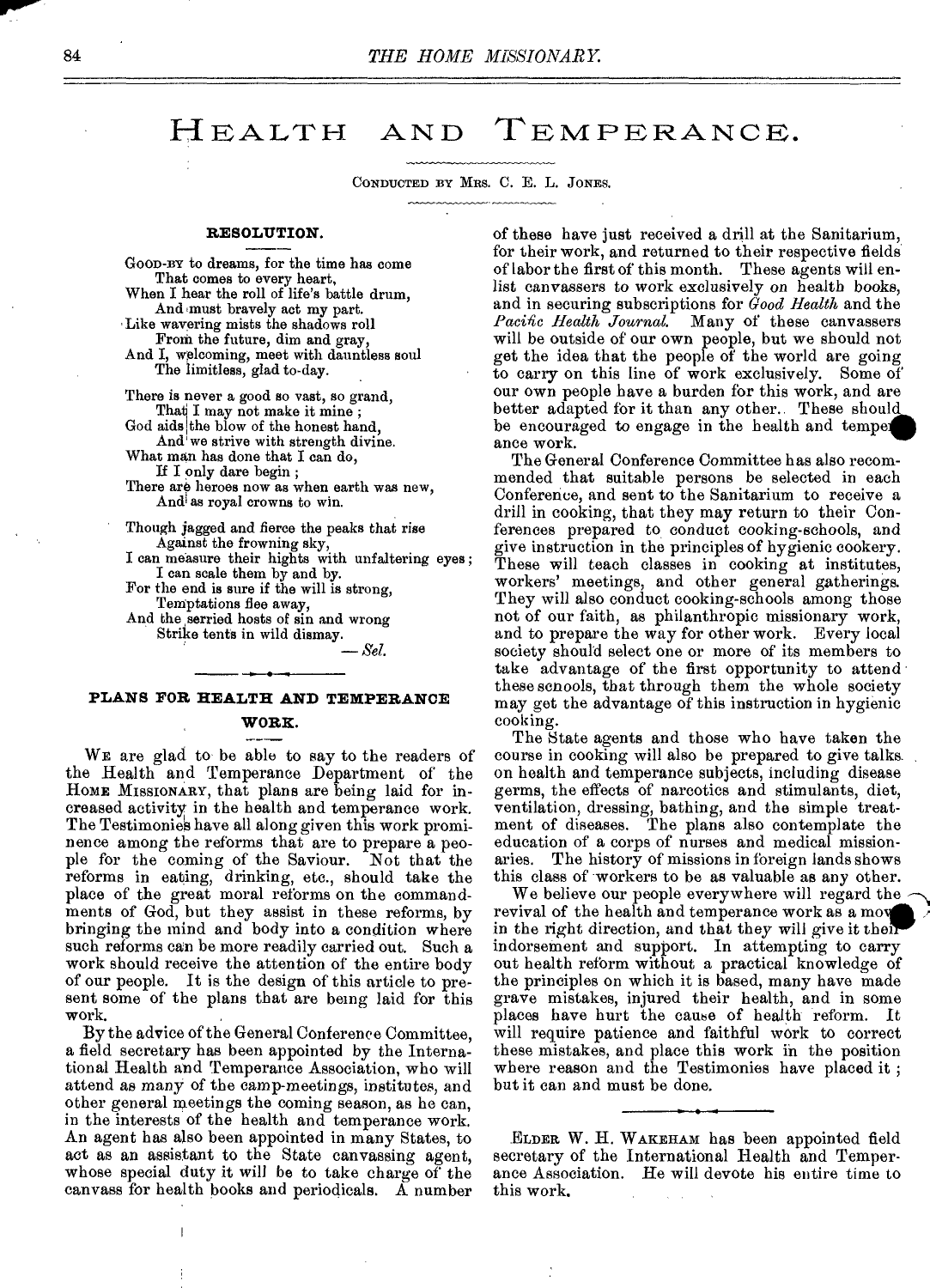### HEALTH AND TEMPERANCE.

CONDUCTED BY MRS. C. E. L. JONES.

#### **RESOLUTION.**

GOOD-BY to dreams, for the time has come That comes to every heart, When I hear the roll of life's battle drum,

And must bravely act my part. Like wavering mists the shadows roll From the future, dim and gray,

And I, welcoming, meet with dauntless soul The limitless, glad to-day.

There is never a good so vast, so grand, That I may not make it mine;

God aids the blow of the honest hand.

And' we strive with strength divine.

What man has done that I can do,

If I only dare begin ;

There are heroes now as when earth was new, And' as royal crowns to win.

Though jagged and fierce the peaks that rise Against the frowning sky,

I can measure their hights with unfaltering eyes ; I can scale them by and by.

For the end is sure if the will is strong, Temptations flee away,

And the serried hosts of sin and wrong Strike tents in wild dismay.

*—551.* 

#### **PLANS FOR HEALTH AND TEMPERANCE**

#### **WORK.**

**WE** are glad to be able to say to the readers of the Health and Temperance Department of the HOME MISSIONARY, that plans are being laid for increased activity in the health and temperance work. The Testimonies have all along given this work prominence among the reforms that are to prepare a people for the coming of the Saviour. Not that the reforms in eating, drinking, etc., should take the place of the great moral reforms on the commandments of God, but they assist in these reforms, by bringing the mind and body into a condition where such reforms can be more readily carried out. Such a work should receive the attention of the entire body of our people. It is the design of this article to present some of the plans that are being laid for this work.

By the advice of the General Conference Committee, a field secretary has been appointed by the International Health and Temperance Association, who will attend as many of the camp-meetings, institutes, and other general meetings the coming season, as he can, in the interests of the health and temperance work. An agent has also been appointed in many States, to act as an assistant to the State canvassing agent, whose special duty it will be to take charge of the canvass for health books and periodicals. A number of these have just received a drill at the Sanitarium, for their work, and returned to their respective fields of labor the first of this month. These agents will enlist canvassers to work exclusively on health books, and in securing subscriptions for *Good Health* and the Pacific Health Journal. Many of these canvassers will be outside of our own people, but we should not get the idea that the people of the world are going to carry on this line of work exclusively. Some of our own people have a burden for this work, and are better adapted for it than any other.. These should be encouraged to engage in the health and temper ance work.

The General Conference Committee has also recommended that suitable persons be selected in each Conference, and sent to the Sanitarium to receive a drill in cooking, that they may return to their Conferences prepared to, conduct cooking-schools, and give instruction in the principles of hygienic cookery. These will teach classes in cooking at institutes, workers' meetings, and other general gatherings. They will also conduct cooking-schools among those not of our faith, as philanthropic missionary work, and to prepare the way for other work. Every local society should select one or more of its members to take advantage of the first opportunity to attend these schools, that through them the whole society may got the advantage of this instruction in hygienic cooking.

The State agents and those who have taken the course in cooking will also be prepared to give talks on health and temperance subjects, including disease germs, the effects of narcotics and stimulants, diet, ventilation, dressing, bathing, and the simple treatment of diseases. The plans also contemplate the education of a corps of nurses and medical mission-The history of missions in foreign lands shows this class of workers to be as valuable as any other.

We believe our people everywhere will regard the revival of the health and temperance work as a mo in the right direction, and that they will give it their' indorsement and support. In attempting to carry out health reform without a practical knowledge of the principles on which it is based, many have made grave mistakes, injured their health, and in some places have hurt the cause of health reform. It will require patience and faithful work to correct these mistakes, and place this work in the position where reason and the Testimonies have placed it ; but it can and must be done.

ELDER W. H. WAKEHAM has been appointed field secretary of the International Health and Temperance Association. He will devote his entire time to this work.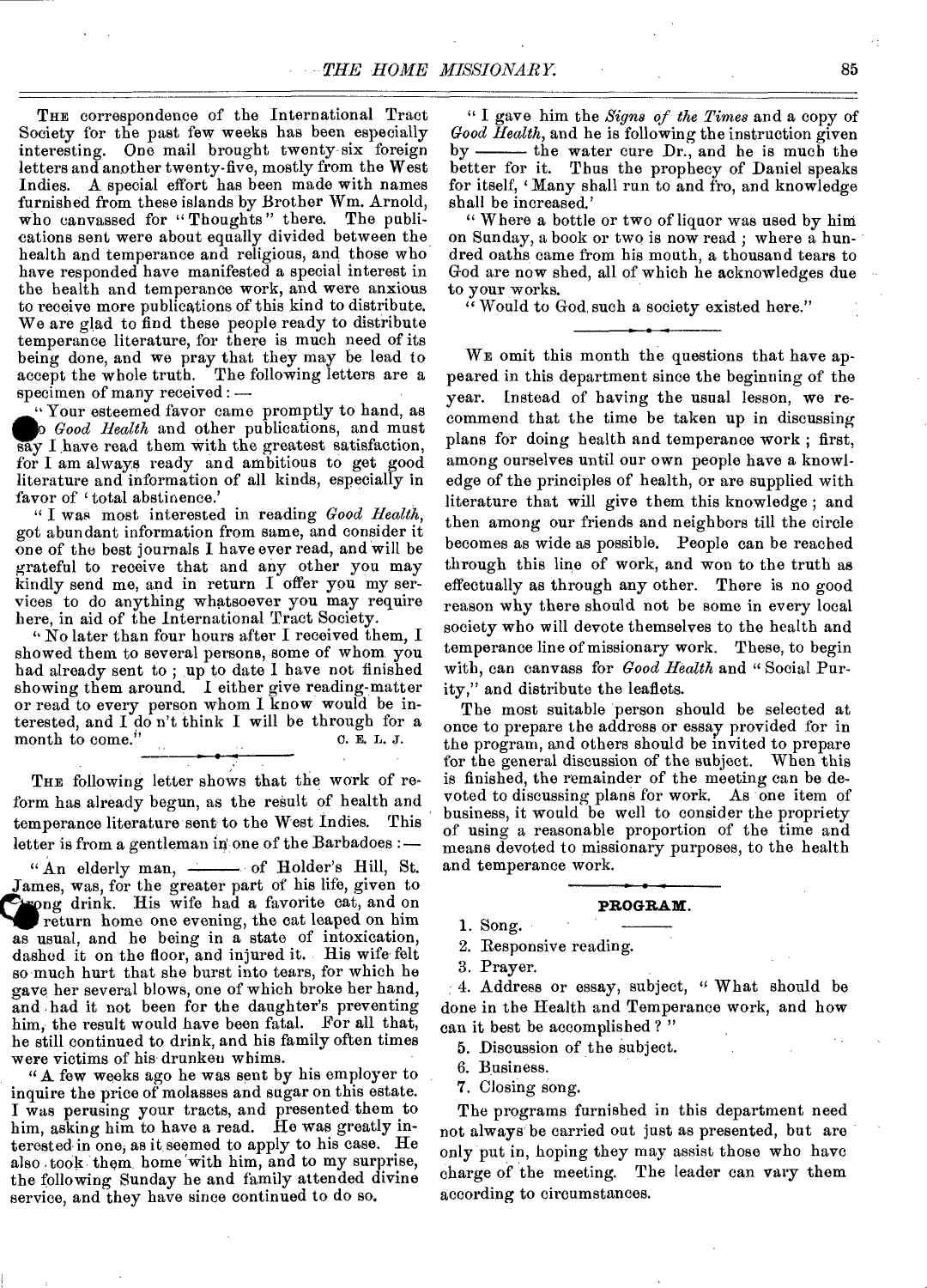THE correspondence of the International Tract Society for the past few weeks has been especially interesting. One mail brought twenty-six foreign letters and another twenty-five, mostly from the West Indies. A special effort has been made with names furnished from these islands by Brother Wm. Arnold, who canvassed for "Thoughts" there. The publications sent were about equally divided between the health and temperance and religious, and those who have responded have manifested a special interest in the health and temperance work, and were anxious to receive more publications of this kind to distribute. We are glad to find these people ready to distribute temperance literature, for there is much need of its being done, and we pray that they may be lead to accept the whole truth. The following letters are a specimen of many received : —

' Your esteemed favor came promptly to hand, as *Good Health* and other publications, and must say I have read them with the greatest satisfaction, for I am always ready and ambitious to get good literature and information of all kinds, especially in favor of 'total abstinence.'

" I was most interested in reading *Good Health,*  got abundant information from same, and consider it one of the best journals I have ever read, and will be grateful to receive that and any other you may kindly send me, and in return I offer you my services to do anything whatsoever you may require here, in aid of the International Tract Society.

" No later than four hours after I received them, I showed them to several persons, some of whom you had already sent to ; up to date I have not finished showing them around. I either give reading-matter or read to every person whom I know would be interested, and  $I$  do n't think I will be through for a month to come."  $0.$  E, L, J. month to come.'

THE following letter shows that the work of reform has already begun, as the result of health and temperance literature sent to the West Indies. This letter is from a gentleman in one of the Barbadoes :-

" An elderly man, - of Holder's Hill, St. James, was, for the greater part of his life, given to **gro** ng drink. His wife had a favorite cat, and on return home one evening, the eat leaped on him as usual, and he being in a state of intoxication, dashed it on the floor, and injured it. His wife felt so much hurt that she burst into tears, for which he gave her several blows, one of which broke her hand, and had it not been for the daughter's preventing him, the result would have been fatal. For all that, he still continued to drink, and his family often times were victims of his drunken whims.

"A few weeks ago he was sent by his employer to inquire the price of molasses and sugar on this estate. I was perusing your tracts, and presented' them to him, asking him to have a read. He was greatly interested in one, as it seemed to apply to his case. He also took them home with him, and to my surprise, the following Sunday he and family attended divine service, and they have since continued to do so.

" I gave him the *Signs of the Times* and a copy of *Good Health,* and he is following the instruction given by - the water cure Dr., and he is much the better for it. Thus the prophecy of Daniel speaks for itself, 'Many shall run to and fro, and knowledge shall be increased.'

" Where a bottle or two of liquor was used by him on Sunday, a book or two is now read ; where a hundred oaths came from his mouth, a thousand tears to God are now shed, all of which he acknowledges due to your works.

" Would to God, such a society existed here."

WE omit this month the questions that have appeared in this department since the beginning of the year. Instead of having the usual lesson, we recommend that the time be taken up in discussing plans for doing health and temperance work ; first, among ourselves until our own people have a knowledge of the principles of health, or are supplied with literature that will give them this knowledge ; and then among our friends and neighbors till the circle becomes as wide as possible. People can be reached through this line of work, and won to the truth as effectually as through any other. There is no good reason why there should not be some in every local society who will devote themselves to the health and temperance line of missionary work. These, to begin with, can canvass for *Good Health* and " Social Purity," and distribute the leaflets.

The most suitable person should be selected at once to prepare the address or essay provided for in the program, and others should be invited to prepare for the general discussion of the subject. When this is finished, the remainder of the meeting can be devoted to discussing plans for work. As one item of business, it would be well to consider the propriety of using a reasonable proportion of the time and means devoted to missionary purposes, to the health and temperance work.

#### **PROGRAM.**

1. Song.

2. Responsive reading.

3. Prayer.

4. Address or essay, subject, " What should be done in the Health and Temperance work, and how can it best be accomplished ? "

5. Discussion of the subject.

6. Business.

7. Closing song.

The programs furnished in this department need not always' be carried out just as presented, but are only put in, hoping they may assist those who have charge of the meeting. The leader can vary them according to circumstances.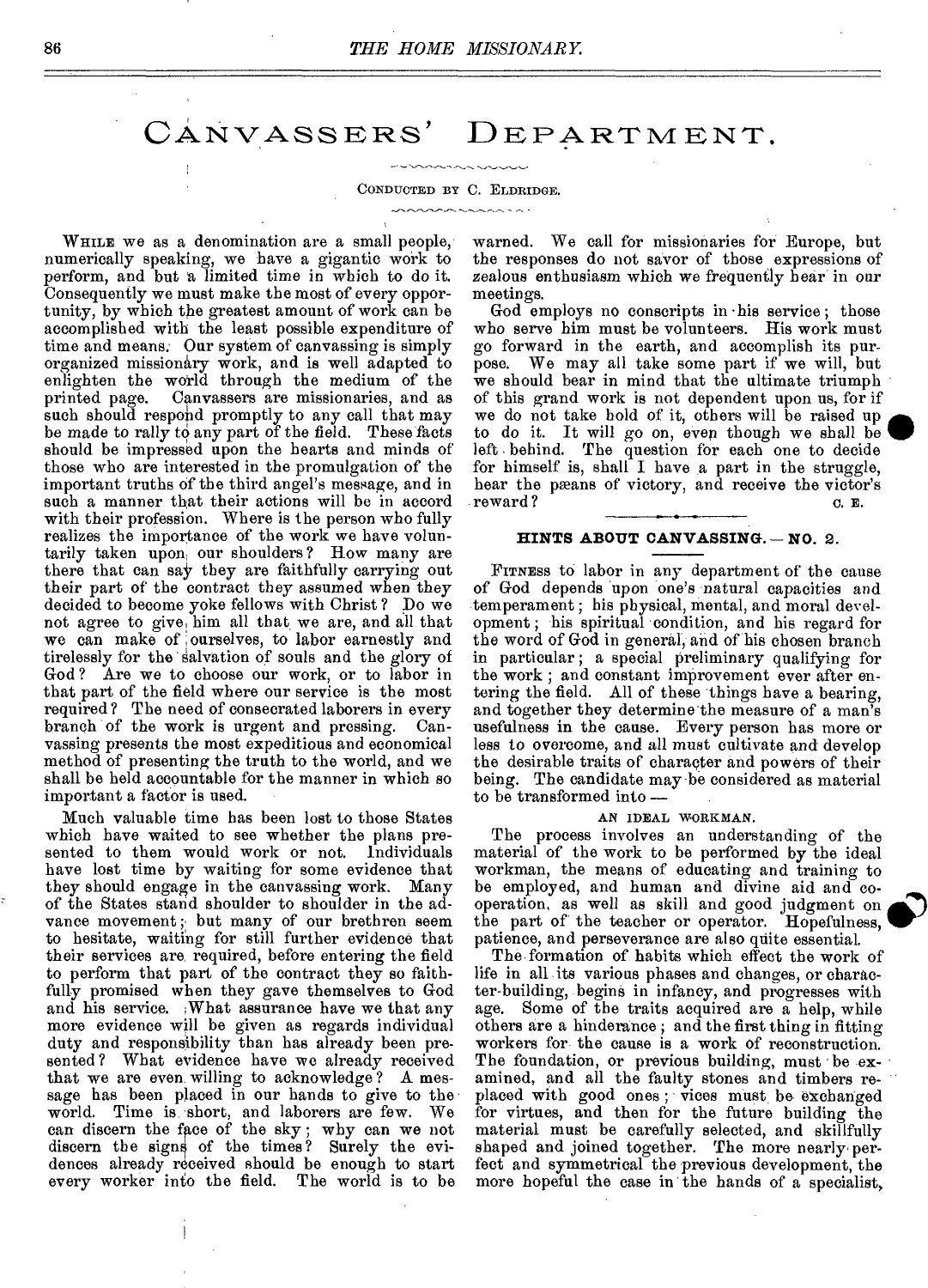### CANVASSERS' DEPARTMENT,

#### CONDUCTED BY C. ELDRIDGE.

WHILE we as a denomination are a small people, numerically speaking, we have a gigantic work to perform, and but a limited time in which to do it. Consequently we must make the most of every opportunity, by which the greatest amount of work can be accomplished with the least possible expenditure of time and means. Our system of canvassing is simply organized missionary work, and is well adapted to enlighten the world through the medium of the printed page. Canvassers are missionaries, and as such should respond promptly to any call that may be made to rally to any part of the field. These facts should be impressed upon the hearts and minds of those who are interested in the promulgation of the important truths of the third angel's message, and in such a manner that their actions will be in accord with their profession. Where is the person who fully realizes the importance of the work we have voluntarily taken upon our shoulders? How many are there that can say they are faithfully carrying out their part of the contract they assumed when they decided to become yoke fellows with Christ ? Do we not agree to give, him all that we are, and all that we can make of ourselves, to labor earnestly and tirelessly for the salvation of souls and the glory of God? Are we to choose our work, or to labor in that part of the field where our service is the most required? The need of consecrated laborers in every branch of the work is urgent and pressing. Canvassing presents the most expeditious and economical method of presenting the truth to the world, and we shall be held accountable for the manner in which so important a factor is used.

Much valuable time has been lost to those States which have waited to see whether the plans presented to them would work or not. Individuals have lost time by waiting for some evidence that they should engage in the canvassing work. Many of the States stand shoulder to shoulder in the advance movement; but many of our brethren seem to hesitate, waiting for still further evidence that their services are, required, before entering the field to perform that part of the contract they so faithfully promised when they gave themselves to God and his service. What assurance have we that any more evidence will be given as regards individual duty and responsibility than has already been presented? What evidence have we already received that we are even willing to acknowledge ? A message has been placed in our hands to give to the world. Time is short, and laborers are few. We world. Time is short, and laborers are few. can discern the face of the sky ; why can we not discern the signs of the times? Surely the evidences already received should be enough to start every worker into the field. The world is to be

warned. We call for missionaries for Europe, but the responses do not savor of those expressions of zealous enthusiasm which we frequently hear in our meetings.

God employs no conscripts in •his service ; those who serve him must be volunteers. His work must go forward in the earth, and accomplish its pur-We may all take some part if we will, but we should bear in mind that the ultimate triumph of this grand work is not dependent upon us, for if we do not take hold of it, others will be raised up to do it. It will go on, even though we shall be left • behind. The question for each one to decide for himself is, shall I have a part in the struggle, hear the pæans of victory, and receive the victor's reward? c. E.

#### **HINTS ABOUT CANVASSING. — NO.** 2.

FITNESS to labor in any department of the cause of God depends upon one's natural capacities and temperament ; his physical, mental, and moral development ; his spiritual condition, and his regard for the word of God in general, and of his chosen branch in particular ; a special preliminary qualifying for the work ; and constant improvement ever after entering the field. All of these things have a bearing, and together they determine the measure of a man's usefulness in the cause. Every person has more or less to overcome, and all must cultivate and develop the desirable traits of character and powers of their being. The candidate may be considered as material to be transformed into —

#### AN IDEAL WORKMAN.

The process involves an understanding of the material of the work to be performed by the ideal workman, the means of educating and training to be employed, and human and divine aid and cooperation, as well as skill and good judgment on the part of the teacher or operator. Hopefulness, patience, and perseverance are also quite essential.

The formation of habits which effect the work of life in all its various phases and changes, or character-building, begins in infancy, and progresses with age. Some of the traits acquired are a help, while others are a hinderanee ; and the first thing in fitting workers for the cause is a work of reconstruction. The foundation, or previous building, must be examined, and all the faulty stones and timbers replaced with good ones; vices must be exchanged for virtues, and then for the future building the material must be carefully selected, and skillfully shaped and joined together. The more nearly perfeet and symmetrical the previous development, the more hopeful the case in the hands of a specialist,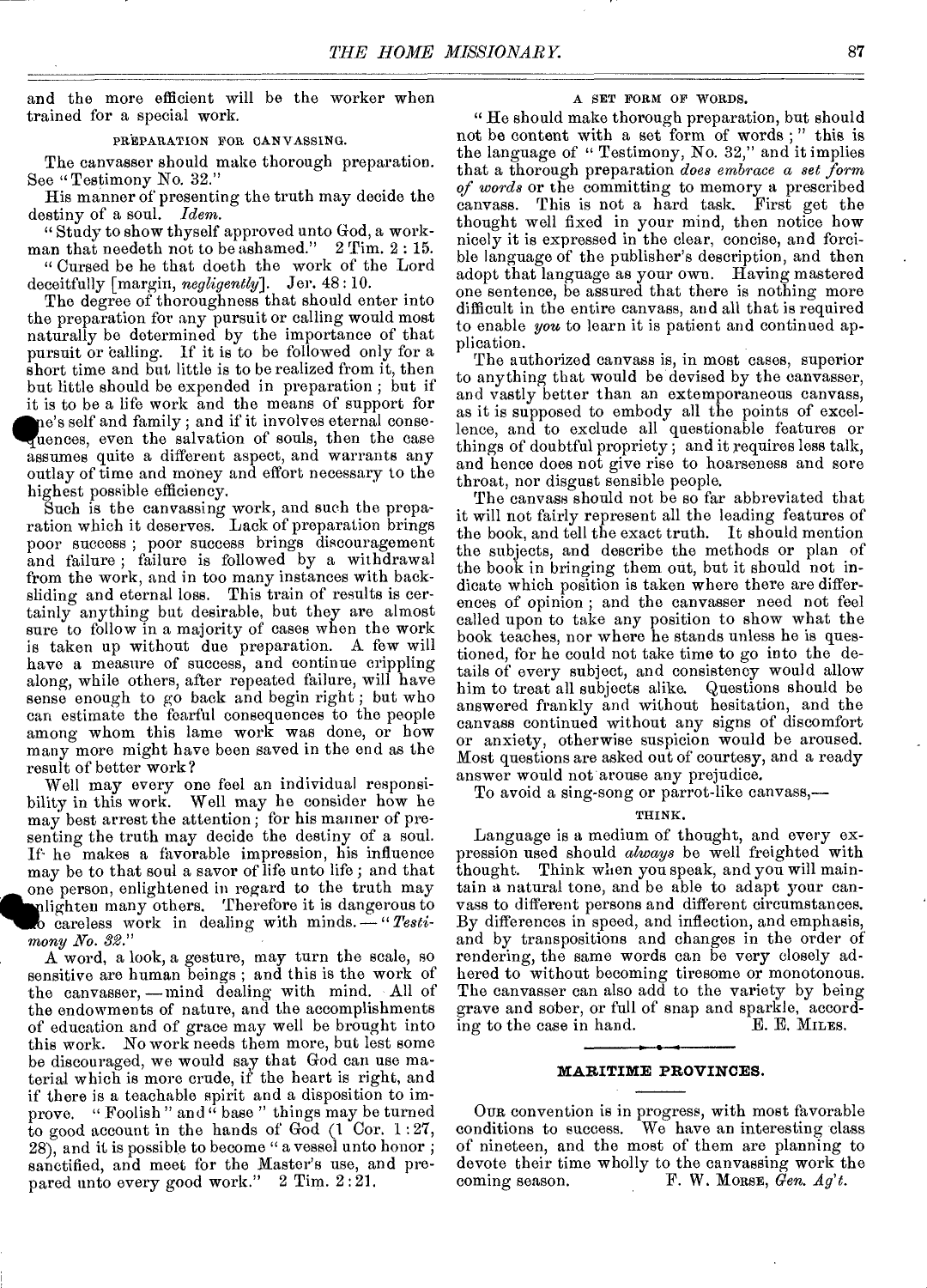and the more efficient will be the worker when trained for a special work.

#### PREPARATION FOR CANVASSING.

The canvasser should make thorough preparation. See "Testimony No. 32."

His manner of presenting the truth may decide the destiny of a soul. *Idem.* 

" Study to show thyself approved unto God, a workman that needeth not to be ashamed." 2 Tim. 2 : 15.

" Cursed be he that doeth the work of the Lord deceitfully [margin, *negligently].* Jer. 48 : 10.

The degree of thoroughness that should enter into the preparation for any pursuit or calling would most naturally be determined by the importance of that pursuit or calling. If it is to be followed only for a short time and but little is to be realized from it, then but little should be expended in preparation ; but if it is to be a life work and the means of support for e's self and family ; and if it involves eternal conseuences, even the salvation of souls, then the case assumes quite a different aspect, and warrants any outlay of time and money and effort necessary to the highest possible efficiency.

Such is the canvassing work, and such the preparation which it deserves. Lack of preparation brings poor success ; poor success brings discouragement and failure; failure is followed by a withdrawal from the work, and in too many instances with backsliding and eternal loss. This train of results is certainly anything but desirable, but they are almost sure to follow in a majority of cases when the work is taken up without due preparation. A few will have a measure of success, and continue crippling along, while others, after repeated failure, will have sense enough to go back and begin right ; but who can estimate the fearful consequences to the people among whom this lame work was done, or bow many more might have been saved in the end as the result of better work?

Well may every one feel an individual responsibility in this work. Well may be consider how he may best arrest the attention ; for his manner of presenting the truth may decide the destiny of a soul. If- he makes a favorable impression, his influence may be to that soul a savor of life unto life; and that one person, enlightened in regard to the truth may lighten many others. Therefore it is dangerous to careless work in dealing with minds. *—"Testimony No. 3g."* 

A word, a look, a gesture, may turn the scale, so sensitive are human beings ; and this is the work of the canvasser, —mind dealing with mind. All of the endowments of nature, and the accomplishments of education and of grace may well be brought into this work. No work needs them more, but lest some be discouraged, we would say that God can use material which is more crude, if the heart is right, and if there is a teachable spirit and a disposition to improve. "Foolish" and  $\ddot{a}$  base" things may be turned to good account in the hands of God (1 Cor. 1:27, 28), and it is possible to become " a vessel unto honor ; sanctified, and meet for the Master's use, and prepared unto every good work." 2 Tim. 2:21.

#### A SET FORM OF WORDS.

" He should make thorough preparation, but should not be content with a set form of words ; " this is the language of "Testimony, No. 32," and it implies that a thorough preparation *does embrace a set form of words* or the committing to memory a prescribed canvass. This is not a hard task. First get the thought well fixed in your mind, then notice how nicely it is expressed in the clear, concise, and forcible language of the publisher's description, and then adopt that language as your own. Having mastered one sentence, be assured that there is nothing more difficult in the entire canvass, and all that is required to enable *you* to learn it is patient and continued application.

The authorized canvass is, in most cases, superior to anything that would be devised by the canvasser, and vastly better than an extemporaneous canvass, as it is supposed to embody all the points of excellence, and to exclude all questionable features or things of doubtful propriety ; and it requires less talk, and hence does not give rise to hoarseness and sore throat, nor disgust sensible people.

The canvass should not be so far abbreviated that it will not fairly represent all the leading features of the book, and tell the exact truth. It should mention the subjects, and describe the methods or plan of the book in bringing them out, but it should not indicate which position is taken where there are differences of opinion ; and the canvasser need not feel called upon to take any position to show what the book teaches, nor where he stands unless he is questioned, for he could not take time to go into the details of every subject, and consistency would allow him to treat all subjects alike. Questions should be answered frankly and without hesitation, and the canvass continued without any signs of discomfort or anxiety, otherwise suspicion would be aroused. Most questions are asked out of courtesy, and a ready answer would not arouse any prejudice.

To avoid a sing-song or parrot-like canvass,—

#### THINK.

Language is a medium of thought, and every expression used should *always* be well freighted with thought. Think when you speak, and you will maintain a natural tone, and be able to adapt your canvass to different persons and different circumstances. By differences in speed, and inflection, and emphasis, and by transpositions and changes in the order of rendering, the same words can be very closely adhered to without becoming tiresome or monotonous. The canvasser can also add to the variety by being grave and sober, or full of snap and sparkle, accord-<br>ing to the case in hand. E. E. MILES. ing to the case in hand.

#### **MARITIME PROVINCES.**

OUR convention is in progress, with most favorable conditions to success. We have an interesting class of nineteen, and the most of them are planning to devote their time wholly to the canvassing work the coming season. F. W. MORSE, *Gen. Ag't.*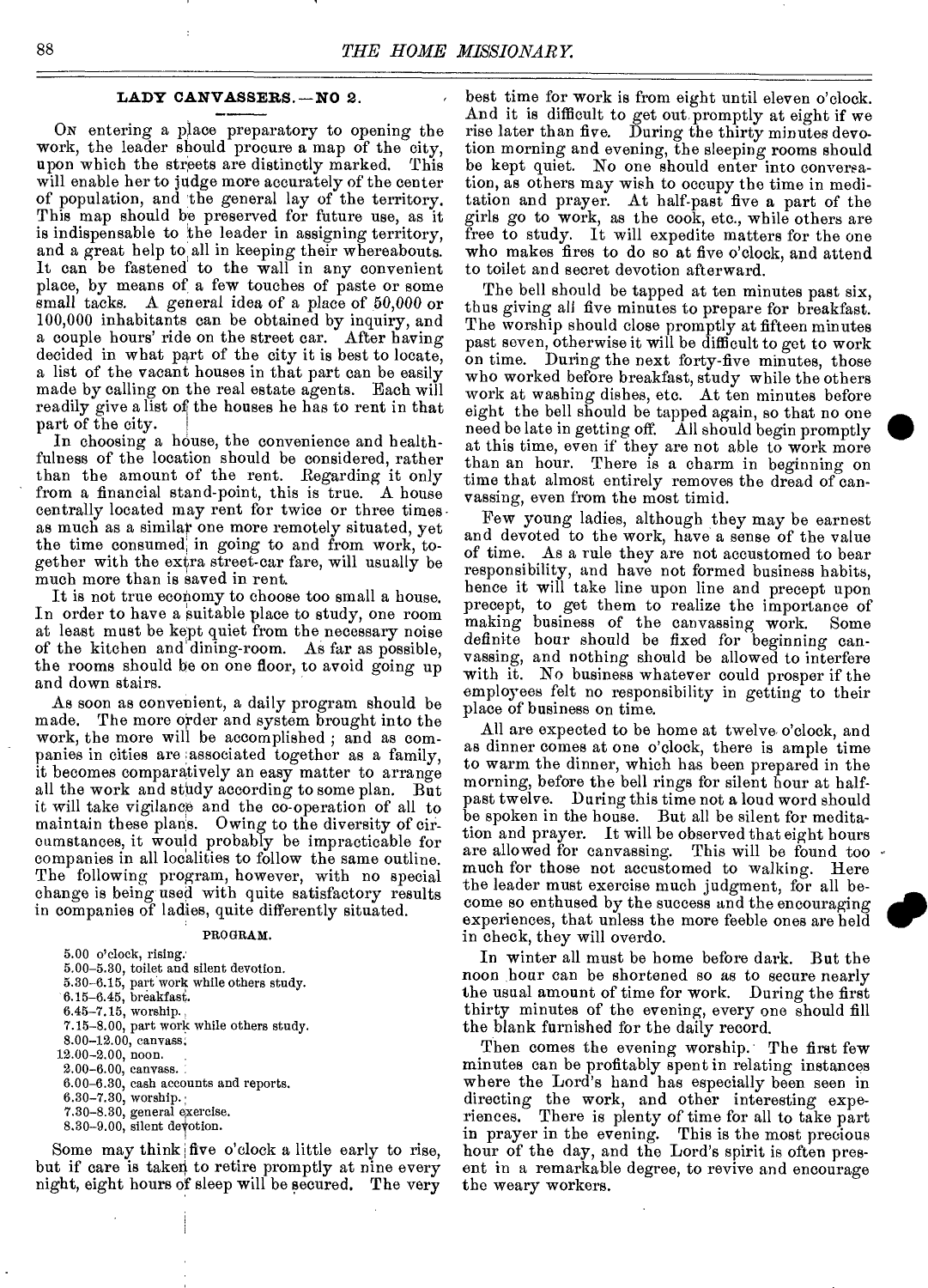#### **LADY CANVASSERS. —NO** 2.

Ox entering a place preparatory to opening the work, the leader should procure a map of the city, upon which the streets are distinctly marked. This will enable her to judge more accurately of the center of population, and the general lay of the territory. This map should be preserved for future use, as it is indispensable to the leader in assigning territory, and a great help to, all in keeping their whereabouts. It can be fastened to the wall in any convenient place, by means of a few touches of paste or some small tacks. A general idea of a place of 50,000 or 100,000 inhabitants can be obtained by inquiry, and a couple hours' ride on the street car. After having decided in what part of the city it is best to locate, a list of the vacant houses in that part can be easily made by calling on the real estate agents. Each will readily give a list of the houses he has to rent in that part of the city.

In choosing a house, the convenience and healthfulness of the location should be considered, rather than the amount of the rent. Regarding it only from a financial stand-point, this is true. A house centrally located may rent for twice or three times as much as a similar one more remotely situated, yet the time consumed, in going to and from work, together with the extra street-car fare, will usually be much more than is saved in rent.

It is not true economy to choose too small a house. In order to have a suitable place to study, one room at least must be kept quiet from the necessary noise of the kitchen and dining-room. As far as possible, the rooms should be on one floor, to avoid going up and down stairs.

As soon as convenient, a daily program should be made. The more order and system brought into the work, the more will be accomplished ; and as companies in cities are associated together as a family, it becomes comparatively an easy matter to arrange all the work and study according to some plan. But it will take vigilance and the co-operation of all to maintain these plans. Owing to the diversity of circumstances, it would probably be impracticable for companies in all localities to follow the same outline. The following program, however, with no special change is being used with quite satisfactory results in companies of ladies, quite differently situated.

#### PROGRAM.

| 5.00 o'clock, rising.                    |
|------------------------------------------|
| 5.00-5.30, toilet and silent devotion.   |
| 5.30-6.15, part work while others study. |
| $6.15-6.45$ , breakfast.                 |
| $6.45 - 7.15$ , worship.                 |
| 7.15–8.00, part work while others study. |
| 8.00-12.00, canvass.                     |
| $12.00 - 2.00$ , noon.                   |
| $2.00 - 6.00$ , canvass.                 |
| $6.00-6.30$ , eash accounts and reports. |
| $6.30 - 7.30$ , worship.                 |
| 7.30-8.30, general exercise.             |
| $8.30-9.00$ , silent devotion.           |
| Some may think five o'clock a little     |
| t if care is taken to retire promptly    |

Some may think five o'clock a little early to rise,<br>but if care is taken to retire promotive at nine every at nine every night, eight hours of sleep will be secured. The very

best time for work is from eight until eleven o'clock. And it is difficult to get out promptly at eight if we rise later than five. During the thirty minutes devotion morning and evening, the sleeping rooms should be kept quiet. No one should enter into conversation, as others may wish to occupy the time in meditation and prayer. At half-past five a part of the girls go to work, as the cook, etc., while others are free to study. It will expedite matters for the one who makes fires to do so at five o'clock, and attend to toilet and secret devotion afterward.

The bell should be tapped at ten minutes past six, thus giving all five minutes to prepare for breakfast. The worship should close promptly at fifteen minutes past seven, otherwise it will be difficult to get to work on time. During the next forty-five minutes, those who worked before breakfast, study while the others work at washing dishes, etc. At ten minutes before eight the bell should be tapped again, so that no one need be late in getting off. All should begin promptly at this time, even if they are not able to work more than an hour. There is a charm in beginning on time that almost entirely removes the dread of canvassing, even from the most timid.

Few young ladies, although they may be earnest and devoted to the work, have a sense of the value of time. As a rule they are not accustomed to bear responsibility, and have not formed business habits, hence it will take line upon line and precept upon precept, to get them to realize the importance of making business of the canvassing work. Some definite hour should be fixed for beginning canvassing, and nothing should be allowed to interfere with it. No business whatever could prosper if the employees felt no responsibility in getting to their place of business on time.

All are expected to be home at twelve o'clock, and as dinner comes at one o'clock, there is ample time to warm the dinner, which has been prepared in the morning, before the bell rings for silent hour at halfpast twelve. During this time not a loud word should be spoken in the house. But all be silent for meditation and prayer. It will be observed that eight hours<br>are allowed for canvassing. This will be found too This will be found too. much for those not accustomed to walking. Here the leader must exercise much judgment, for all become so enthused by the success and the encouraging experiences, that unless the more feeble ones are held in check, they will overdo.

In winter all must be home before dark. But the noon hour can be shortened so as to secure nearly the usual amount of time for work. During the first thirty minutes of the evening, every one should fill the blank furnished for the daily record.

Then comes the evening worship. The first few minutes can be profitably spent in relating instances where the Lord's hand has especially been seen in directing the work, and other interesting experiences. There is plenty of time for all to take part in prayer in the evening. This is the most precious hour of the day, and the Lord's spirit is often present in a remarkable degree, to revive and encourage the weary workers.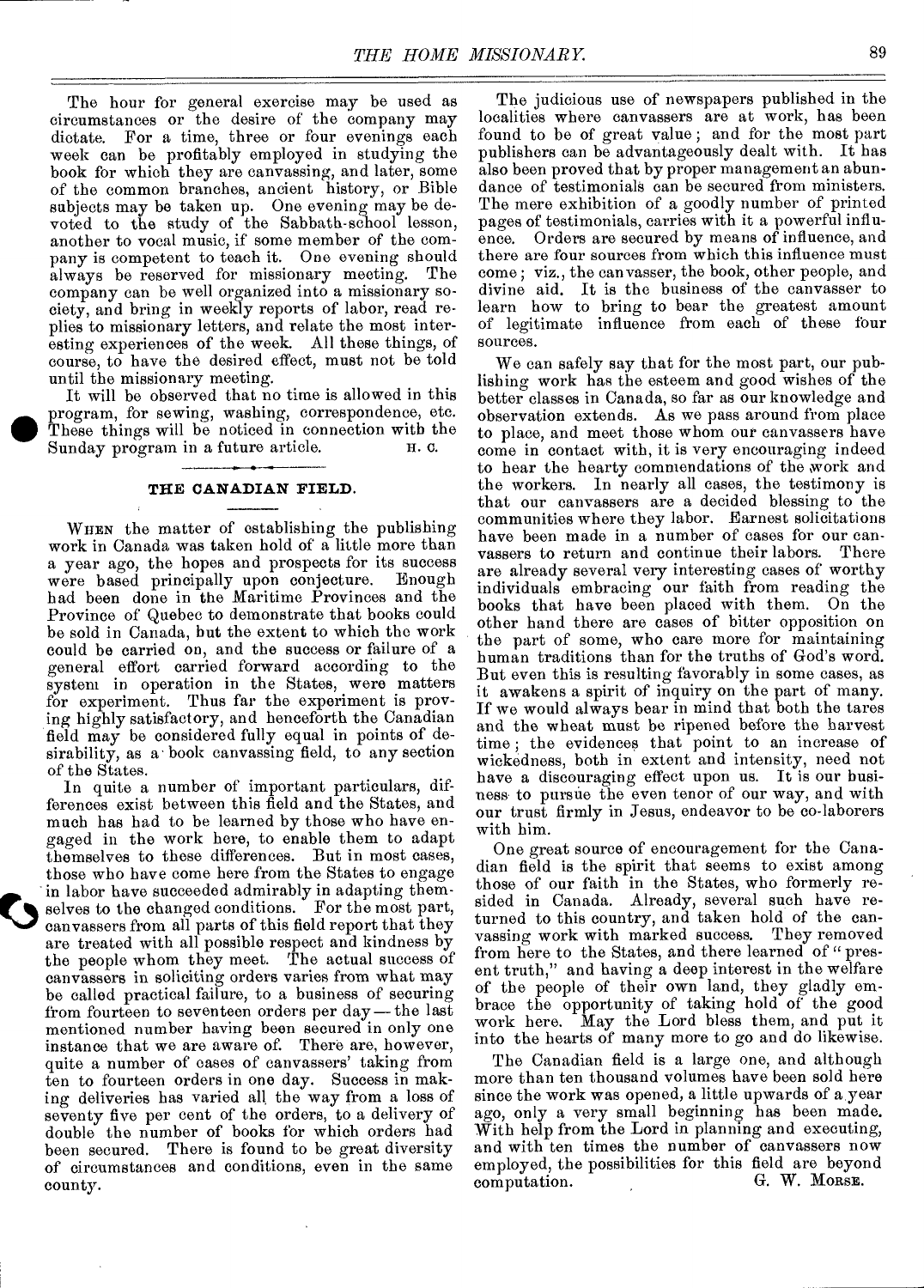The hour for general exercise may be used as circumstances or the desire of the company may dictate. For a time, three or four evenings each week can be profitably employed in studying the book for which they are canvassing, and later, some of the common branches, ancient history, or Bible subjects may be taken up. One evening may be devoted to the study of the Sabbath-school lesson, another to vocal music, if some member of the company is competent to teach it. One evening should always be reserved for missionary meeting. The company can be well organized into a missionary society, and bring in weekly reports of labor, read replies to missionary letters, and relate the most interesting experiences of the week. All these things, of course, to have the desired effect, must not be told until the missionary meeting.

It will be observed that no time is allowed in this program, for sewing, washing, correspondence, etc. These things will be noticed in connection with the Sunday program in a future article Sunday program in a future article.

#### **THE CANADIAN FIELD.**

WHEN the matter of establishing the publishing work in Canada was taken hold of a little more than a year ago, the hopes and prospects for its success were based principally upon conjecture. had been done in the Maritime Provinces and the Province of Quebec to demonstrate that books could be sold in Canada, but the extent to which the work could be carried on, and the success or failure of a general effort carried forward according to the system in operation in the States, were matters for experiment. Thus far the experiment is proving highly satisfactory, and henceforth the Canadian field may be considered fully equal in points of desirability, as a book canvassing field, to any section of the States.

In quite a number of important particulars, differences exist between this field and the States, and much has had to be learned by those who have engaged in the work here, to enable them to adapt themselves to these differences. But in most cases, those who have come here from the States to engage in labor have succeeded admirably in adapting themselves to the changed conditions. For the most part, canvassers from all parts of this field report that they are treated with all possible respect and kindness by the people whom they meet. The actual success of canvassers in soliciting orders varies from what may be called practical failure, to a business of securing from fourteen to seventeen orders per day—the last mentioned number having been secured in only one instance that we are aware of. There are, however, quite a number of cases of canvassers' taking from ten to fourteen orders in one day. Success in making deliveries has varied all the way from a loss of seventy five per cent of the orders, to a delivery of double the number of books for which orders had been secured. There is found to be great diversity of circumstances and conditions, even in the same county.

 $\blacktriangledown$ 

The judicious use of newspapers published in the localities where canvassers are at work, has been found to be of great value ; and for the most part publishers can be advantageously dealt with. It has also been proved that by proper management an abundance of testimonials can be secured from ministers. The mere exhibition of a goodly number of printed pages of testimonials, carries with it a powerful influence. Orders are secured by means of influence, and there are four sources from which this influence must come; viz., the canvasser, the book, other people, and divine aid. It is the business of the canvasser to learn how to bring to bear the greatest amount of legitimate influence from each of these four sources.

We can safely say that for the most part, our publishing work has the esteem and good wishes of the better classes in Canada, so far as our knowledge and observation extends. As we pass around from place to place, and meet those whom our canvassers have come in contact with, it is very encouraging indeed to hear the hearty commendations of the work and the workers. In nearly all cases, the testimony is that our canvassers are a decided blessing to the communities where they labor. Earnest solicitations have been made in a number of cases for our canvassers to return and continue their labors. There are already several very interesting cases of worthy individuals embracing our faith from reading the books that have been placed with them. On the other hand there are cases of bitter opposition on the part of some, who care more for maintaining human traditions than for the truths of God's word. But even this is resulting favorably in some cases, as it awakens a spirit of inquiry on the part of many. If we would always bear in mind that both the tares and the wheat must be ripened before the harvest time ; the evidences that point to an increase of wickedness, both in extent and intensity, need not have a discouraging effect upon us. It is our business to pursue the even tenor of our way, and with our trust firmly in Jesus, endeavor to be co-laborers with him.

One great source of encouragement for the Canadian field is the spirit that seems to exist among those of our faith in the States, who formerly resided in Canada. Already, several such have returned to this country, and taken hold of the canvassing work with marked success. They removed from here to the States, and there learned of "present truth," and having a deep interest in the welfare of the people of their own land, they gladly embrace the opportunity of taking hold of the good work here. May the Lord bless them, and put it into the hearts of many more to go and do likewise.

The Canadian field is a large one, and although more than ten thousand volumes have been sold here since the work was opened, a little upwards of a year ago, only a very small beginning has been made. With help from the Lord in planning and executing, and with ten times the number of canvassers now employed, the possibilities for this field are beyond computation.  $\mathbf{G}$ . W. MORSE. computation.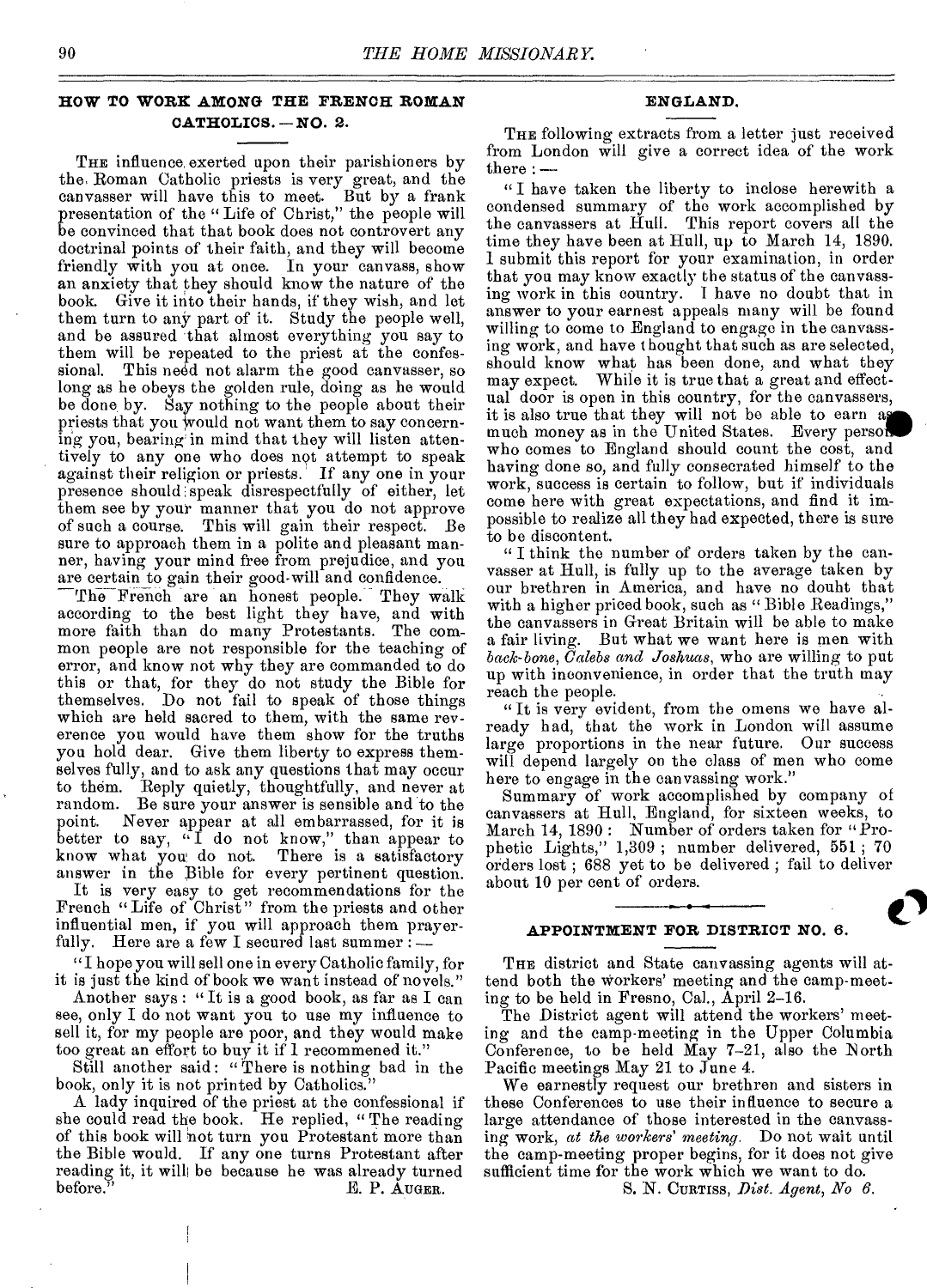#### **HOW TO WORK AMONG THE FRENCH ROMAN CATHOLICS. —NO.** 2.

THE influence exerted upon their parishioners by the, Roman Catholic priests is very great, and the canvasser will have this to meet. But by a frank presentation of the " Life of Christ," the people will be convinced that that book does not controvert any doctrinal points of their faith, and they will become friendly with you at once. In your canvass, show an anxiety that they should know the nature of the book. Give it into their hands, if they wish, and let them turn to any part of it. Study the people well, and be assured that almost everything you say to them will be repeated to the priest at the confessional. This need not alarm the good canvasser, so long as he obeys the golden rule, doing as he would be done by. Say nothing to the people about their priests that you Would not want them to say concerning you, bearing in mind that they will listen attentively to any one who does not attempt to speak against their religion or priests.' If any one in your presence should speak disrespectfully of either, let them see by your manner that you do not approve of such a course. This will gain their respect. Be sure to approach them in a polite and pleasant manner, having your mind free from prejudice, and you are certain to gain their good-will and confidence.

The French are an honest people. They walk according to the best light they have, and with more faith than do many Protestants. The common people are not responsible for the teaching of error, and know not why they are commanded to do this or that, for they do not study the Bible for themselves. Do not fail to speak of those things which are held sacred to them, with the same reverence you would have them show for the truths you hold dear. Give them liberty to express themselves fully, and to ask any questions that may occur<br>to them. Reply quietly, thoughtfully, and never at Reply quietly, thoughtfully, and never at random. Be sure your answer is sensible and to the point. Never appear at all embarrassed, for it is Never appear at all embarrassed, for it is better to say,  $\mathbf{f}$  do not know," than appear to know what you do not. There is a satisfactory answer in the Bible for every pertinent question.

It is very easy to get recommendations for the French "Life of Christ" from the priests and other influential men, if you will approach them prayerfully. Here are a few I secured last summer :

"I hope you will sell one in every Catholic family, for it is just the kind of book we want instead of novels."

Another says : " It is a good book, as far as I can see, only I do not want you to use my influence to sell it, for my people are poor, and they would make too great an effort to buy it if I recommened it."

Still another said: "There is nothing bad in the book, only it is not printed by Catholics."

A lady inquired of the priest at the confessional if she could read the book. He replied, "The reading of this book will not turn you Protestant more than the Bible would. If any one turns Protestant after reading it, it will; be because he was already turned E. P. AUGER.

#### **ENGLAND.**

THE following extracts from a letter just received from London will give a correct idea of the work there : —

" I have taken the liberty to inclose herewith a condensed summary of the work accomplished by the canvassers at Hull. This report covers all the time they have been at Hull, up to March 14, 1890. I submit this report for your examination, in order that you may know exactly the status of the canvassing work in this country. I have no doubt that in answer to your earnest appeals many will be found willing to come to England to engage in the canvassing work, and have t hought that such as are selected, should know what has been done, and what they may expect. While it is true that a great and effectual door is open in this country, for the canvassers, it is also true that they will not be able to earn a much money as in the United States. Every perso who comes to England should count the cost, and having done so, and fully consecrated himself to the work, success is certain to follow, but if individuals come here with great expectations, and find it impossible to realize all they had expected, there is sure to be discontent.

" I think the number of orders taken by the canvasser at Hull, is fully up to the average taken by our brethren in America, and have no doubt that with a higher priced book, such as "Bible Readings," the canvassers in Great Britain will be able to make a fair living. But what we want here is men with *back-bone, Calebs and Joshuas,* who are willing to put up with inconvenience, in order that the truth may reach the people.

"It is very evident, from the omens we have already had, that the work in London will assume large proportions in the near future. Our success will depend largely on the class of men who come here to engage in the canvassing work."

Summary of work accomplished by company of canvassers at Hull, England, for sixteen weeks, to March 14, 1890: Number of orders taken for "Prophetic Lights," 1,309 ; number delivered, 551 ; 70 orders lost ; 688 yet to be delivered ; fail to deliver about 10 per cent of orders.

#### **APPOINTMENT FOR DISTRICT NO.** 6.

THE district and State canvassing agents will attend both the workers' meeting and the camp-meeting to be held in Fresno, Cal., April 2-16.

The District agent will attend the workers' meeting and the camp-meeting in the Upper Columbia Conference, to be held May 7-21, also the North Pacific meetings May 21 to June 4.

We earnestly request our brethren and sisters in these Conferences to use their influence to secure a large attendance of those interested in the canvassing work, *at the workers' meeting.* Do not wait until the camp-meeting proper begins, for it does not give sufficient time for the work which we want to do.

S. N. CURTISS, *Dist. Agent, No 6.*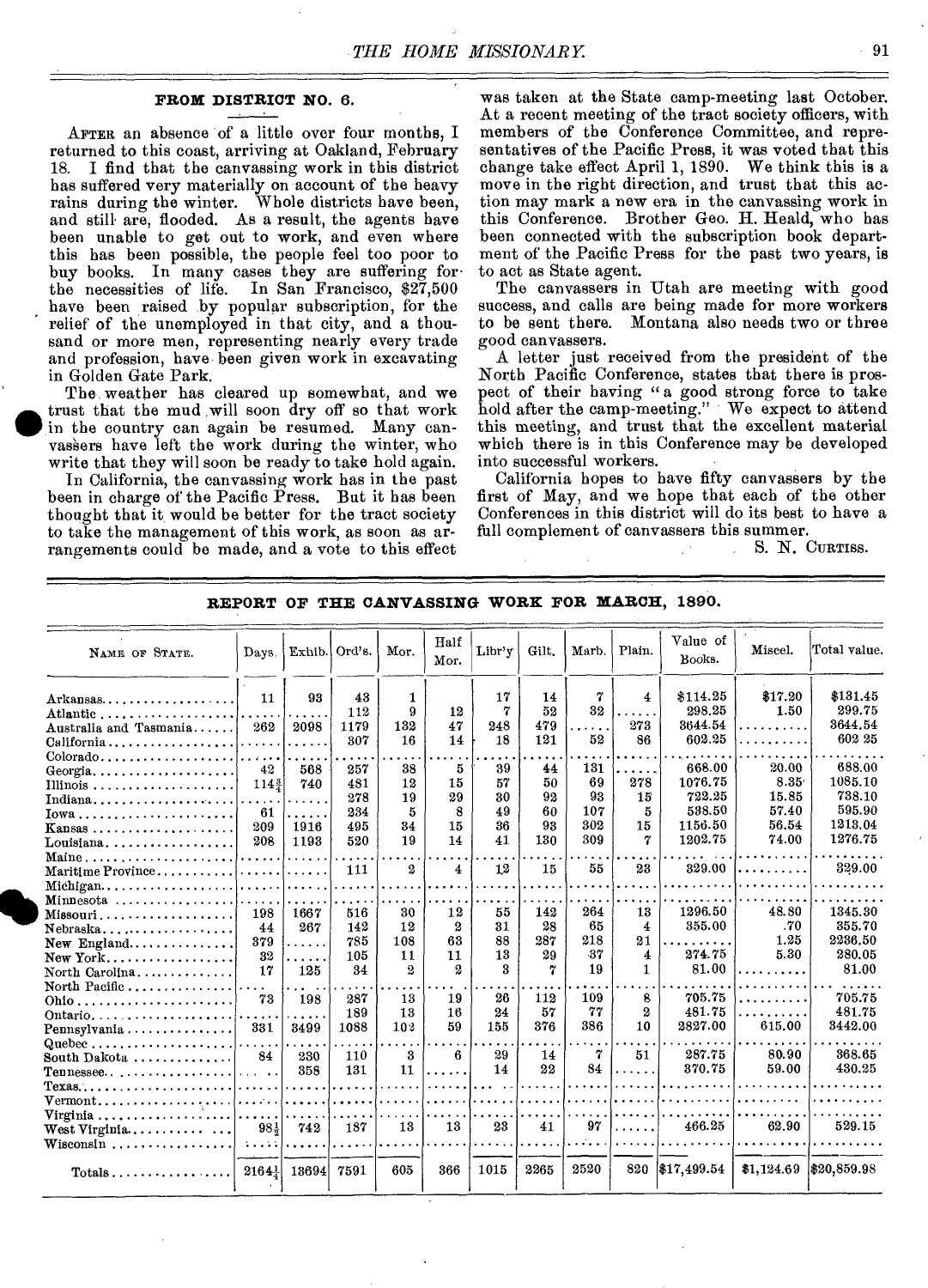#### **FROM DISTRICT NO.** 6.

AFTER an absence of a little over four months, I returned to this coast, arriving at Oakland, February 18. I find that the canvassing work in this district has suffered very materially on account of the heavy rains during the winter. Whole districts have been, and still• are, flooded. As a result, the agents have been unable to get out to work, and even where this has been possible, the people feel too poor to buy books. In many cases they are suffering forthe necessities of life. In San Francisco, \$27,500 have been raised by popular subscription, for the relief of the unemployed in that city, and a thousand or more men, representing nearly every trade and profession, have- been given work in excavating in Golden Gate Park.

The weather has cleared up somewhat, and we trust that the mud will soon dry off so that work in the country can again be resumed. Many canvassers have left the work during the winter, who write that they will soon be ready to take hold again.

In California, the canvassing work has in the past been in charge of the Pacific Press. But it has been thought that it would be better for the tract society to take the management of this work, as soon as arrangements could be made, and a vote to this effect was taken at the State camp-meeting last October. At a recent meeting of the tract society officers, with members of the Conference Committee, and representatives of the Pacific Press, it was voted that this change take effect April 1, 1890. We think this is a move in the right direction, and trust that this action may mark a new era in the canvassing work in this Conference. Brother Geo. H. Heald, who has been connected with the subscription book department of the Pacific Press for the past two years, is to act as State agent.

The canvassers in Utah are meeting with good success, and calls are being made for more workers to be sent there. Montana also needs two or three good canvassers.

A letter just received from the president of the North Pacific Conference, states that there is prospect of their having "a good strong force to take hold after the camp-meeting." We expect to attend this meeting, and trust that the excellent material which there is in this Conference may be developed into successful workers.

California hopes to have fifty canvassers by the first of May, and we hope that each of the other Conferences in this district will do its best to have a full complement of canvassers this summer.

S. N. CURTISS.

| NAME OF STATE.                                                                                                                                                             | Days.                                                              | Exhib.                                      | Ord's.                                 | Mor.                                                    | Half<br>Mor.                                                  | Libr'y                           | Gilt.                             | Marb.                                 | Plain.                                                     | Value of<br>Books.                                          | Miscel.                                           | Total value.                                                |
|----------------------------------------------------------------------------------------------------------------------------------------------------------------------------|--------------------------------------------------------------------|---------------------------------------------|----------------------------------------|---------------------------------------------------------|---------------------------------------------------------------|----------------------------------|-----------------------------------|---------------------------------------|------------------------------------------------------------|-------------------------------------------------------------|---------------------------------------------------|-------------------------------------------------------------|
| $Arkansas \ldots \ldots \ldots$<br>Atlantic<br>Australia and Tasmania<br>California                                                                                        | 11<br>262                                                          | 93<br>2098<br>.                             | 43<br>112<br>1179<br>307               | $\mathbf{1}$<br>9<br>132<br>16                          | 12<br>47<br>14                                                | 17<br>7<br>248<br>18             | 14<br>52<br>479<br>121            | 7<br>32<br>$\ddotsc$<br>52            | $\overline{4}$<br>$\cdots$<br>273<br>86                    | \$114.25<br>298.25<br>3644.54<br>602.25                     | \$17.20<br>1.50<br>. <b>.</b><br>$\sim$           | \$131.45<br>299.75<br>3644.54<br>602 25                     |
| $Colorado \ldots \ldots \ldots \ldots \ldots$<br>Georgia<br>Indiana<br>$Iowa \ldots \ldots \ldots \ldots \ldots \ldots \ldots$<br>Kansas<br>Louisiana                      | $\cdots$<br>42<br>$114\frac{3}{4}$<br>$\cdots$<br>61<br>209<br>208 | 568<br>740<br>$\cdots$<br>.<br>1916<br>1193 | 257<br>481<br>278<br>234<br>495<br>520 | 38<br>12<br>19<br>5<br>34<br>19                         | 5<br>15<br>29<br>8<br>15<br>14                                | 39<br>57<br>80<br>49<br>36<br>41 | 44<br>50<br>92<br>60<br>98<br>130 | 131<br>69<br>93<br>107<br>302<br>309  | $\cdots$<br>278<br>15<br>5<br>15<br>7                      | 668.00<br>1076.75<br>722.25<br>538.50<br>1156.50<br>1202.75 | 20.00<br>8.35<br>15.85<br>57.40<br>56.54<br>74.00 | 688.00<br>1085.10<br>738.10<br>595.90<br>1213.04<br>1276.75 |
| Maine<br>Maritime Province<br>Michigan<br>Minnesota<br>$M$ issouri<br>$Nebraska$<br>New England<br>North Carolina                                                          | a a a a a a<br>198<br>44<br>379<br>32<br>17                        | .<br>1667<br>267<br>.<br>$\cdots$<br>125    | 111<br>516<br>142<br>785<br>105<br>34  | $\mathbf{2}$<br>30<br>12<br>108<br>11<br>$\overline{2}$ | $\overline{\mathbf{4}}$<br>12<br>2<br>63<br>11<br>$\mathbf 2$ | 12<br>55<br>31<br>88<br>13<br>3  | 15<br>142<br>28<br>287<br>29<br>7 | 55<br>264<br>65<br>218<br>$-37$<br>19 | 23<br>13<br>4<br>21<br>$\overline{\bf{4}}$<br>$\mathbf{1}$ | 329.00<br>1296.50<br>355.00<br>274.75<br>81.00              | .<br>48.80<br>.70<br>1.25<br>5.30                 | 329.00<br>1345.30<br>355.70<br>2236.50<br>280.05<br>81.00   |
| North Pacific<br>Ontario<br>Pennsylvania<br>Quebec<br>South Dakota<br>Tennessee                                                                                            | 73<br>331<br>84<br>.                                               | 198<br>$\cdots$<br>8499<br>230<br>358       | 287<br>189<br>1088<br>110<br>131       | 13<br>13<br>10 <sub>3</sub><br>3<br>11                  | 19<br>16<br>59<br>6.<br>.                                     | 26<br>24<br>155<br>29<br>14      | 112<br>57<br>376<br>14<br>22      | 109<br>77<br>386<br>7<br>84           | 8<br>$\boldsymbol{2}$<br>10<br>51<br>.                     | 705.75<br>481.75<br>2827.00<br>287.75<br>370.75             | <u>.</u><br>615.00<br>80.90<br>59.00              | 705.75<br>481.75<br>3442.00<br>368.65<br>430.25             |
| $Texas \ldots \ldots \ldots \ldots \ldots$<br>Virginia $\ldots \ldots \ldots \ldots \ldots$<br>West Virginia<br>$Wiseonsin \ldots \ldots \ldots \ldots \ldots$<br>$Totals$ | .<br>$98\frac{1}{2}$<br>11111<br>$2164\frac{1}{4}$                 | .<br>1.1.1.1.1<br>742<br>13694              | 187<br>7591                            | 13<br>605                                               | 13<br>366                                                     | 23<br>1015                       | 41<br>2265                        | 97<br>2520                            | .<br>820                                                   | 466.25<br>\$17,499.54                                       | 62.90                                             | 529.15<br>$$1,124.69$ $$20,859.98$                          |

**REPORT OF THE CANVASSING WORK FOR MARCH, 1890.**